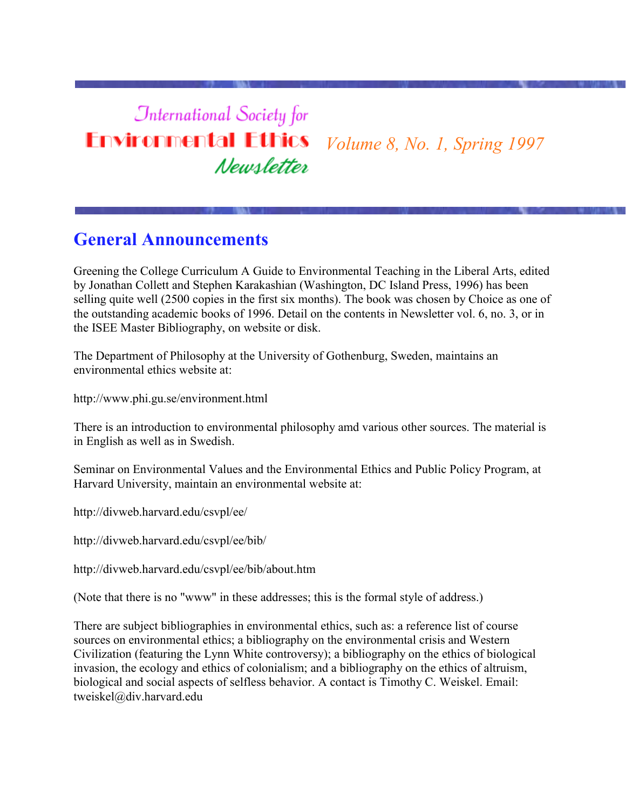# **International Society for Environmental Ethics** *Volume 8, No. 1, Spring 1997* Newsletter

# **General Announcements**

Greening the College Curriculum A Guide to Environmental Teaching in the Liberal Arts, edited by Jonathan Collett and Stephen Karakashian (Washington, DC Island Press, 1996) has been selling quite well (2500 copies in the first six months). The book was chosen by Choice as one of the outstanding academic books of 1996. Detail on the contents in Newsletter vol. 6, no. 3, or in the ISEE Master Bibliography, on website or disk.

The Department of Philosophy at the University of Gothenburg, Sweden, maintains an environmental ethics website at:

http://www.phi.gu.se/environment.html

There is an introduction to environmental philosophy amd various other sources. The material is in English as well as in Swedish.

Seminar on Environmental Values and the Environmental Ethics and Public Policy Program, at Harvard University, maintain an environmental website at:

http://divweb.harvard.edu/csvpl/ee/

http://divweb.harvard.edu/csvpl/ee/bib/

http://divweb.harvard.edu/csvpl/ee/bib/about.htm

(Note that there is no "www" in these addresses; this is the formal style of address.)

There are subject bibliographies in environmental ethics, such as: a reference list of course sources on environmental ethics; a bibliography on the environmental crisis and Western Civilization (featuring the Lynn White controversy); a bibliography on the ethics of biological invasion, the ecology and ethics of colonialism; and a bibliography on the ethics of altruism, biological and social aspects of selfless behavior. A contact is Timothy C. Weiskel. Email: tweiskel@div.harvard.edu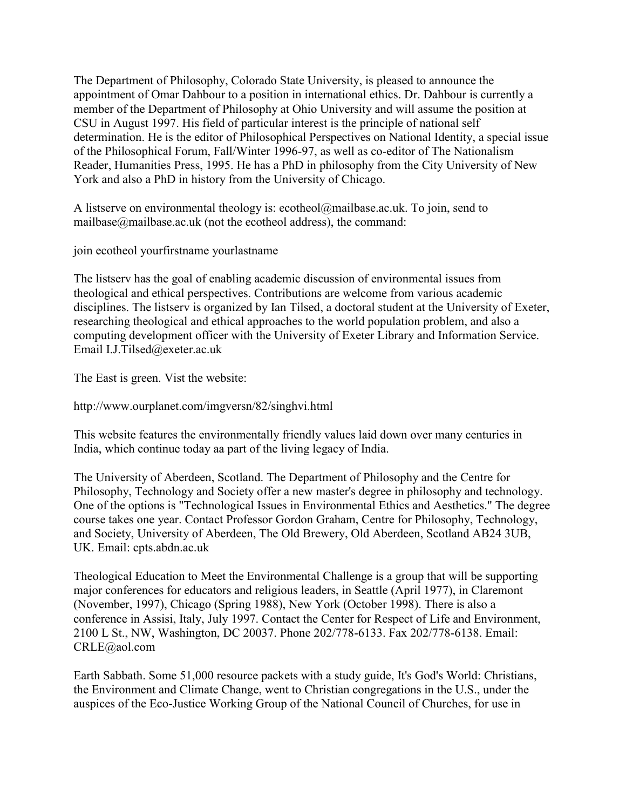The Department of Philosophy, Colorado State University, is pleased to announce the appointment of Omar Dahbour to a position in international ethics. Dr. Dahbour is currently a member of the Department of Philosophy at Ohio University and will assume the position at CSU in August 1997. His field of particular interest is the principle of national self determination. He is the editor of Philosophical Perspectives on National Identity, a special issue of the Philosophical Forum, Fall/Winter 1996-97, as well as co-editor of The Nationalism Reader, Humanities Press, 1995. He has a PhD in philosophy from the City University of New York and also a PhD in history from the University of Chicago.

A listserve on environmental theology is: ecotheol@mailbase.ac.uk. To join, send to mailbase@mailbase.ac.uk (not the ecotheol address), the command:

join ecotheol yourfirstname yourlastname

The listserv has the goal of enabling academic discussion of environmental issues from theological and ethical perspectives. Contributions are welcome from various academic disciplines. The listserv is organized by Ian Tilsed, a doctoral student at the University of Exeter, researching theological and ethical approaches to the world population problem, and also a computing development officer with the University of Exeter Library and Information Service. Email I.J.Tilsed@exeter.ac.uk

The East is green. Vist the website:

http://www.ourplanet.com/imgversn/82/singhvi.html

This website features the environmentally friendly values laid down over many centuries in India, which continue today aa part of the living legacy of India.

The University of Aberdeen, Scotland. The Department of Philosophy and the Centre for Philosophy, Technology and Society offer a new master's degree in philosophy and technology. One of the options is "Technological Issues in Environmental Ethics and Aesthetics." The degree course takes one year. Contact Professor Gordon Graham, Centre for Philosophy, Technology, and Society, University of Aberdeen, The Old Brewery, Old Aberdeen, Scotland AB24 3UB, UK. Email: cpts.abdn.ac.uk

Theological Education to Meet the Environmental Challenge is a group that will be supporting major conferences for educators and religious leaders, in Seattle (April 1977), in Claremont (November, 1997), Chicago (Spring 1988), New York (October 1998). There is also a conference in Assisi, Italy, July 1997. Contact the Center for Respect of Life and Environment, 2100 L St., NW, Washington, DC 20037. Phone 202/778-6133. Fax 202/778-6138. Email: CRLE@aol.com

Earth Sabbath. Some 51,000 resource packets with a study guide, It's God's World: Christians, the Environment and Climate Change, went to Christian congregations in the U.S., under the auspices of the Eco-Justice Working Group of the National Council of Churches, for use in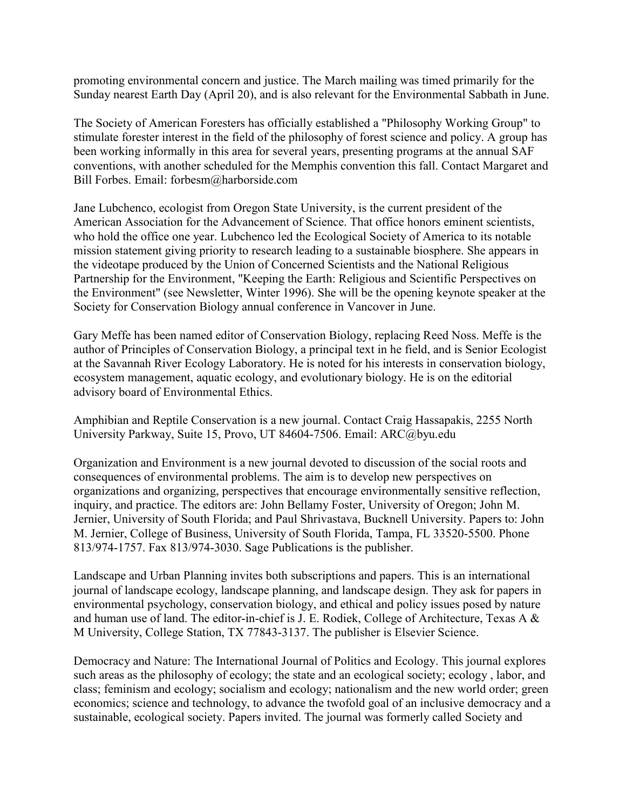promoting environmental concern and justice. The March mailing was timed primarily for the Sunday nearest Earth Day (April 20), and is also relevant for the Environmental Sabbath in June.

The Society of American Foresters has officially established a "Philosophy Working Group" to stimulate forester interest in the field of the philosophy of forest science and policy. A group has been working informally in this area for several years, presenting programs at the annual SAF conventions, with another scheduled for the Memphis convention this fall. Contact Margaret and Bill Forbes. Email: forbesm@harborside.com

Jane Lubchenco, ecologist from Oregon State University, is the current president of the American Association for the Advancement of Science. That office honors eminent scientists, who hold the office one year. Lubchenco led the Ecological Society of America to its notable mission statement giving priority to research leading to a sustainable biosphere. She appears in the videotape produced by the Union of Concerned Scientists and the National Religious Partnership for the Environment, "Keeping the Earth: Religious and Scientific Perspectives on the Environment" (see Newsletter, Winter 1996). She will be the opening keynote speaker at the Society for Conservation Biology annual conference in Vancover in June.

Gary Meffe has been named editor of Conservation Biology, replacing Reed Noss. Meffe is the author of Principles of Conservation Biology, a principal text in he field, and is Senior Ecologist at the Savannah River Ecology Laboratory. He is noted for his interests in conservation biology, ecosystem management, aquatic ecology, and evolutionary biology. He is on the editorial advisory board of Environmental Ethics.

Amphibian and Reptile Conservation is a new journal. Contact Craig Hassapakis, 2255 North University Parkway, Suite 15, Provo, UT 84604-7506. Email: ARC@byu.edu

Organization and Environment is a new journal devoted to discussion of the social roots and consequences of environmental problems. The aim is to develop new perspectives on organizations and organizing, perspectives that encourage environmentally sensitive reflection, inquiry, and practice. The editors are: John Bellamy Foster, University of Oregon; John M. Jernier, University of South Florida; and Paul Shrivastava, Bucknell University. Papers to: John M. Jernier, College of Business, University of South Florida, Tampa, FL 33520-5500. Phone 813/974-1757. Fax 813/974-3030. Sage Publications is the publisher.

Landscape and Urban Planning invites both subscriptions and papers. This is an international journal of landscape ecology, landscape planning, and landscape design. They ask for papers in environmental psychology, conservation biology, and ethical and policy issues posed by nature and human use of land. The editor-in-chief is J. E. Rodiek, College of Architecture, Texas A & M University, College Station, TX 77843-3137. The publisher is Elsevier Science.

Democracy and Nature: The International Journal of Politics and Ecology. This journal explores such areas as the philosophy of ecology; the state and an ecological society; ecology , labor, and class; feminism and ecology; socialism and ecology; nationalism and the new world order; green economics; science and technology, to advance the twofold goal of an inclusive democracy and a sustainable, ecological society. Papers invited. The journal was formerly called Society and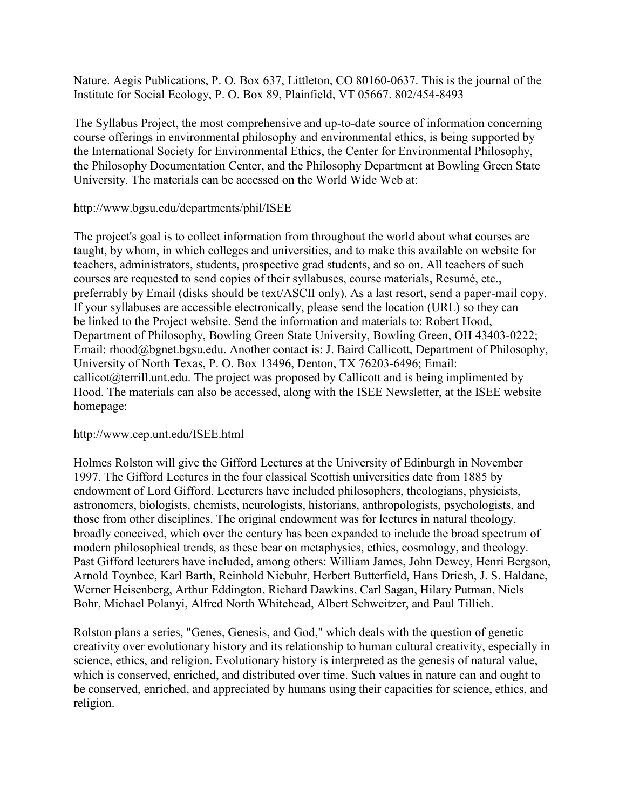Nature. Aegis Publications, P. O. Box 637, Littleton, CO 80160-0637. This is the journal of the Institute for Social Ecology, P. O. Box 89, Plainfield, VT 05667. 802/454-8493

The Syllabus Project, the most comprehensive and up-to-date source of information concerning course offerings in environmental philosophy and environmental ethics, is being supported by the International Society for Environmental Ethics, the Center for Environmental Philosophy, the Philosophy Documentation Center, and the Philosophy Department at Bowling Green State University. The materials can be accessed on the World Wide Web at:

#### http://www.bgsu.edu/departments/phil/ISEE

The project's goal is to collect information from throughout the world about what courses are taught, by whom, in which colleges and universities, and to make this available on website for teachers, administrators, students, prospective grad students, and so on. All teachers of such courses are requested to send copies of their syllabuses, course materials, Resumé, etc., preferrably by Email (disks should be text/ASCII only). As a last resort, send a paper-mail copy. If your syllabuses are accessible electronically, please send the location (URL) so they can be linked to the Project website. Send the information and materials to: Robert Hood, Department of Philosophy, Bowling Green State University, Bowling Green, OH 43403-0222; Email: rhood@bgnet.bgsu.edu. Another contact is: J. Baird Callicott, Department of Philosophy, University of North Texas, P. O. Box 13496, Denton, TX 76203-6496; Email: callicot@terrill.unt.edu. The project was proposed by Callicott and is being implimented by Hood. The materials can also be accessed, along with the ISEE Newsletter, at the ISEE website homepage:

#### http://www.cep.unt.edu/ISEE.html

Holmes Rolston will give the Gifford Lectures at the University of Edinburgh in November 1997. The Gifford Lectures in the four classical Scottish universities date from 1885 by endowment of Lord Gifford. Lecturers have included philosophers, theologians, physicists, astronomers, biologists, chemists, neurologists, historians, anthropologists, psychologists, and those from other disciplines. The original endowment was for lectures in natural theology, broadly conceived, which over the century has been expanded to include the broad spectrum of modern philosophical trends, as these bear on metaphysics, ethics, cosmology, and theology. Past Gifford lecturers have included, among others: William James, John Dewey, Henri Bergson, Arnold Toynbee, Karl Barth, Reinhold Niebuhr, Herbert Butterfield, Hans Driesh, J. S. Haldane, Werner Heisenberg, Arthur Eddington, Richard Dawkins, Carl Sagan, Hilary Putman, Niels Bohr, Michael Polanyi, Alfred North Whitehead, Albert Schweitzer, and Paul Tillich.

Rolston plans a series, "Genes, Genesis, and God," which deals with the question of genetic creativity over evolutionary history and its relationship to human cultural creativity, especially in science, ethics, and religion. Evolutionary history is interpreted as the genesis of natural value, which is conserved, enriched, and distributed over time. Such values in nature can and ought to be conserved, enriched, and appreciated by humans using their capacities for science, ethics, and religion.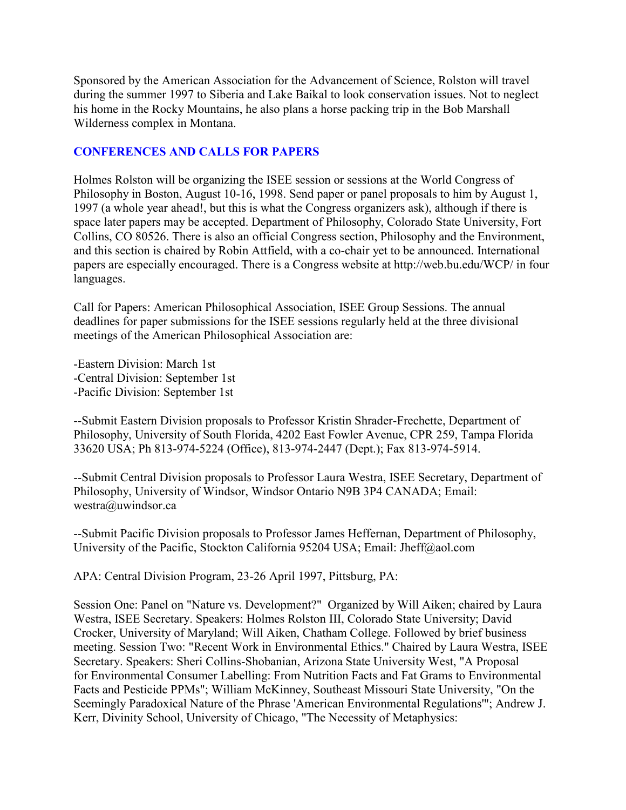Sponsored by the American Association for the Advancement of Science, Rolston will travel during the summer 1997 to Siberia and Lake Baikal to look conservation issues. Not to neglect his home in the Rocky Mountains, he also plans a horse packing trip in the Bob Marshall Wilderness complex in Montana.

#### **CONFERENCES AND CALLS FOR PAPERS**

Holmes Rolston will be organizing the ISEE session or sessions at the World Congress of Philosophy in Boston, August 10-16, 1998. Send paper or panel proposals to him by August 1, 1997 (a whole year ahead!, but this is what the Congress organizers ask), although if there is space later papers may be accepted. Department of Philosophy, Colorado State University, Fort Collins, CO 80526. There is also an official Congress section, Philosophy and the Environment, and this section is chaired by Robin Attfield, with a co-chair yet to be announced. International papers are especially encouraged. There is a Congress website at http://web.bu.edu/WCP/ in four languages.

Call for Papers: American Philosophical Association, ISEE Group Sessions. The annual deadlines for paper submissions for the ISEE sessions regularly held at the three divisional meetings of the American Philosophical Association are:

-Eastern Division: March 1st -Central Division: September 1st -Pacific Division: September 1st

--Submit Eastern Division proposals to Professor Kristin Shrader-Frechette, Department of Philosophy, University of South Florida, 4202 East Fowler Avenue, CPR 259, Tampa Florida 33620 USA; Ph 813-974-5224 (Office), 813-974-2447 (Dept.); Fax 813-974-5914.

--Submit Central Division proposals to Professor Laura Westra, ISEE Secretary, Department of Philosophy, University of Windsor, Windsor Ontario N9B 3P4 CANADA; Email: westra@uwindsor.ca

--Submit Pacific Division proposals to Professor James Heffernan, Department of Philosophy, University of the Pacific, Stockton California 95204 USA; Email: Jheff@aol.com

APA: Central Division Program, 23-26 April 1997, Pittsburg, PA:

Session One: Panel on "Nature vs. Development?" Organized by Will Aiken; chaired by Laura Westra, ISEE Secretary. Speakers: Holmes Rolston III, Colorado State University; David Crocker, University of Maryland; Will Aiken, Chatham College. Followed by brief business meeting. Session Two: "Recent Work in Environmental Ethics." Chaired by Laura Westra, ISEE Secretary. Speakers: Sheri Collins-Shobanian, Arizona State University West, "A Proposal for Environmental Consumer Labelling: From Nutrition Facts and Fat Grams to Environmental Facts and Pesticide PPMs"; William McKinney, Southeast Missouri State University, "On the Seemingly Paradoxical Nature of the Phrase 'American Environmental Regulations'"; Andrew J. Kerr, Divinity School, University of Chicago, "The Necessity of Metaphysics: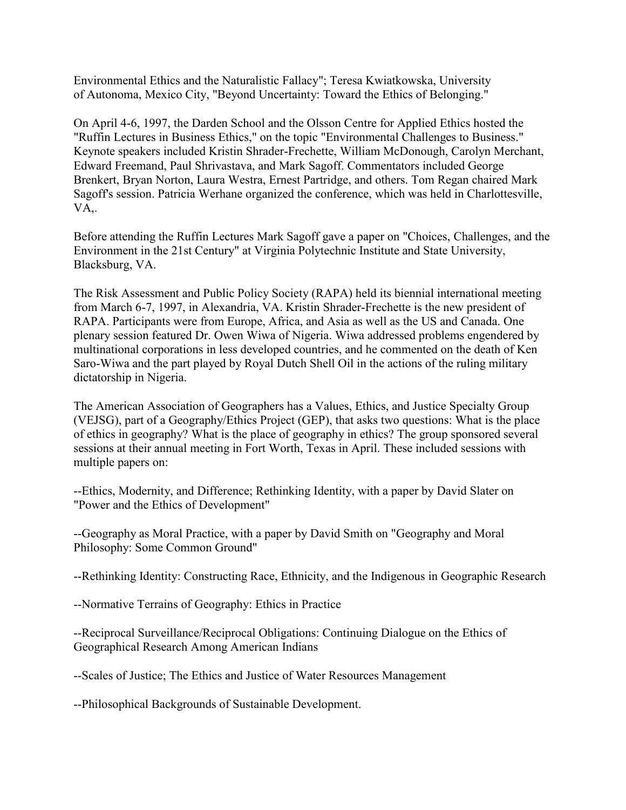Environmental Ethics and the Naturalistic Fallacy"; Teresa Kwiatkowska, University of Autonoma, Mexico City, "Beyond Uncertainty: Toward the Ethics of Belonging."

On April 4-6, 1997, the Darden School and the Olsson Centre for Applied Ethics hosted the "Ruffin Lectures in Business Ethics," on the topic "Environmental Challenges to Business." Keynote speakers included Kristin Shrader-Frechette, William McDonough, Carolyn Merchant, Edward Freemand, Paul Shrivastava, and Mark Sagoff. Commentators included George Brenkert, Bryan Norton, Laura Westra, Ernest Partridge, and others. Tom Regan chaired Mark Sagoff's session. Patricia Werhane organized the conference, which was held in Charlottesville, VA,.

Before attending the Ruffin Lectures Mark Sagoff gave a paper on "Choices, Challenges, and the Environment in the 21st Century" at Virginia Polytechnic Institute and State University, Blacksburg, VA.

The Risk Assessment and Public Policy Society (RAPA) held its biennial international meeting from March 6-7, 1997, in Alexandria, VA. Kristin Shrader-Frechette is the new president of RAPA. Participants were from Europe, Africa, and Asia as well as the US and Canada. One plenary session featured Dr. Owen Wiwa of Nigeria. Wiwa addressed problems engendered by multinational corporations in less developed countries, and he commented on the death of Ken Saro-Wiwa and the part played by Royal Dutch Shell Oil in the actions of the ruling military dictatorship in Nigeria.

The American Association of Geographers has a Values, Ethics, and Justice Specialty Group (VEJSG), part of a Geography/Ethics Project (GEP), that asks two questions: What is the place of ethics in geography? What is the place of geography in ethics? The group sponsored several sessions at their annual meeting in Fort Worth, Texas in April. These included sessions with multiple papers on:

--Ethics, Modernity, and Difference; Rethinking Identity, with a paper by David Slater on "Power and the Ethics of Development"

--Geography as Moral Practice, with a paper by David Smith on "Geography and Moral Philosophy: Some Common Ground"

--Rethinking Identity: Constructing Race, Ethnicity, and the Indigenous in Geographic Research

--Normative Terrains of Geography: Ethics in Practice

--Reciprocal Surveillance/Reciprocal Obligations: Continuing Dialogue on the Ethics of Geographical Research Among American Indians

--Scales of Justice; The Ethics and Justice of Water Resources Management

--Philosophical Backgrounds of Sustainable Development.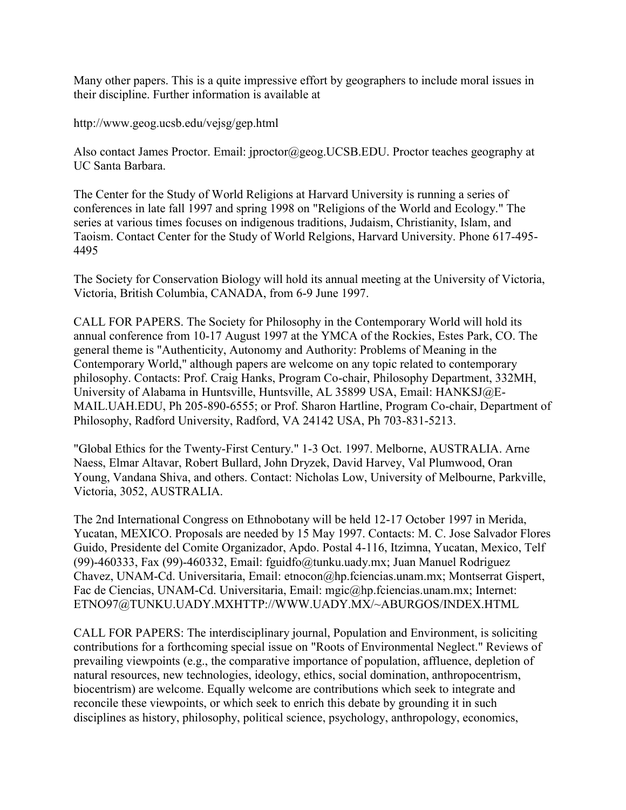Many other papers. This is a quite impressive effort by geographers to include moral issues in their discipline. Further information is available at

http://www.geog.ucsb.edu/vejsg/gep.html

Also contact James Proctor. Email: jproctor@geog.UCSB.EDU. Proctor teaches geography at UC Santa Barbara.

The Center for the Study of World Religions at Harvard University is running a series of conferences in late fall 1997 and spring 1998 on "Religions of the World and Ecology." The series at various times focuses on indigenous traditions, Judaism, Christianity, Islam, and Taoism. Contact Center for the Study of World Relgions, Harvard University. Phone 617-495- 4495

The Society for Conservation Biology will hold its annual meeting at the University of Victoria, Victoria, British Columbia, CANADA, from 6-9 June 1997.

CALL FOR PAPERS. The Society for Philosophy in the Contemporary World will hold its annual conference from 10-17 August 1997 at the YMCA of the Rockies, Estes Park, CO. The general theme is "Authenticity, Autonomy and Authority: Problems of Meaning in the Contemporary World," although papers are welcome on any topic related to contemporary philosophy. Contacts: Prof. Craig Hanks, Program Co-chair, Philosophy Department, 332MH, University of Alabama in Huntsville, Huntsville, AL 35899 USA, Email: HANKSJ@E-MAIL.UAH.EDU, Ph 205-890-6555; or Prof. Sharon Hartline, Program Co-chair, Department of Philosophy, Radford University, Radford, VA 24142 USA, Ph 703-831-5213.

"Global Ethics for the Twenty-First Century." 1-3 Oct. 1997. Melborne, AUSTRALIA. Arne Naess, Elmar Altavar, Robert Bullard, John Dryzek, David Harvey, Val Plumwood, Oran Young, Vandana Shiva, and others. Contact: Nicholas Low, University of Melbourne, Parkville, Victoria, 3052, AUSTRALIA.

The 2nd International Congress on Ethnobotany will be held 12-17 October 1997 in Merida, Yucatan, MEXICO. Proposals are needed by 15 May 1997. Contacts: M. C. Jose Salvador Flores Guido, Presidente del Comite Organizador, Apdo. Postal 4-116, Itzimna, Yucatan, Mexico, Telf (99)-460333, Fax (99)-460332, Email: fguidfo@tunku.uady.mx; Juan Manuel Rodriguez Chavez, UNAM-Cd. Universitaria, Email: etnocon@hp.fciencias.unam.mx; Montserrat Gispert, Fac de Ciencias, UNAM-Cd. Universitaria, Email: mgic@hp.fciencias.unam.mx; Internet: ETNO97@TUNKU.UADY.MXHTTP://WWW.UADY.MX/~ABURGOS/INDEX.HTML

CALL FOR PAPERS: The interdisciplinary journal, Population and Environment, is soliciting contributions for a forthcoming special issue on "Roots of Environmental Neglect." Reviews of prevailing viewpoints (e.g., the comparative importance of population, affluence, depletion of natural resources, new technologies, ideology, ethics, social domination, anthropocentrism, biocentrism) are welcome. Equally welcome are contributions which seek to integrate and reconcile these viewpoints, or which seek to enrich this debate by grounding it in such disciplines as history, philosophy, political science, psychology, anthropology, economics,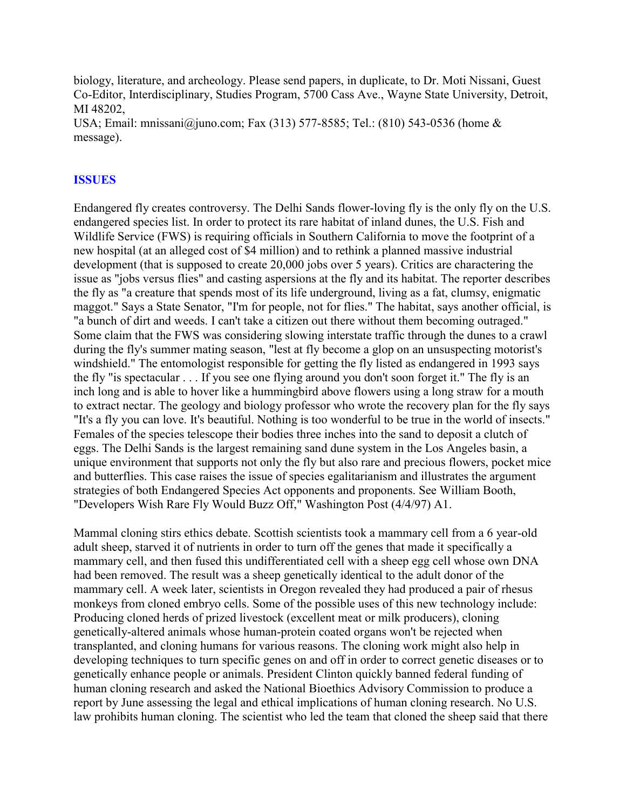biology, literature, and archeology. Please send papers, in duplicate, to Dr. Moti Nissani, Guest Co-Editor, Interdisciplinary, Studies Program, 5700 Cass Ave., Wayne State University, Detroit, MI 48202,

USA; Email: mnissani@juno.com; Fax (313) 577-8585; Tel.: (810) 543-0536 (home & message).

## **ISSUES**

Endangered fly creates controversy. The Delhi Sands flower-loving fly is the only fly on the U.S. endangered species list. In order to protect its rare habitat of inland dunes, the U.S. Fish and Wildlife Service (FWS) is requiring officials in Southern California to move the footprint of a new hospital (at an alleged cost of \$4 million) and to rethink a planned massive industrial development (that is supposed to create 20,000 jobs over 5 years). Critics are charactering the issue as "jobs versus flies" and casting aspersions at the fly and its habitat. The reporter describes the fly as "a creature that spends most of its life underground, living as a fat, clumsy, enigmatic maggot." Says a State Senator, "I'm for people, not for flies." The habitat, says another official, is "a bunch of dirt and weeds. I can't take a citizen out there without them becoming outraged." Some claim that the FWS was considering slowing interstate traffic through the dunes to a crawl during the fly's summer mating season, "lest at fly become a glop on an unsuspecting motorist's windshield." The entomologist responsible for getting the fly listed as endangered in 1993 says the fly "is spectacular . . . If you see one flying around you don't soon forget it." The fly is an inch long and is able to hover like a hummingbird above flowers using a long straw for a mouth to extract nectar. The geology and biology professor who wrote the recovery plan for the fly says "It's a fly you can love. It's beautiful. Nothing is too wonderful to be true in the world of insects." Females of the species telescope their bodies three inches into the sand to deposit a clutch of eggs. The Delhi Sands is the largest remaining sand dune system in the Los Angeles basin, a unique environment that supports not only the fly but also rare and precious flowers, pocket mice and butterflies. This case raises the issue of species egalitarianism and illustrates the argument strategies of both Endangered Species Act opponents and proponents. See William Booth, "Developers Wish Rare Fly Would Buzz Off," Washington Post (4/4/97) A1.

Mammal cloning stirs ethics debate. Scottish scientists took a mammary cell from a 6 year-old adult sheep, starved it of nutrients in order to turn off the genes that made it specifically a mammary cell, and then fused this undifferentiated cell with a sheep egg cell whose own DNA had been removed. The result was a sheep genetically identical to the adult donor of the mammary cell. A week later, scientists in Oregon revealed they had produced a pair of rhesus monkeys from cloned embryo cells. Some of the possible uses of this new technology include: Producing cloned herds of prized livestock (excellent meat or milk producers), cloning genetically-altered animals whose human-protein coated organs won't be rejected when transplanted, and cloning humans for various reasons. The cloning work might also help in developing techniques to turn specific genes on and off in order to correct genetic diseases or to genetically enhance people or animals. President Clinton quickly banned federal funding of human cloning research and asked the National Bioethics Advisory Commission to produce a report by June assessing the legal and ethical implications of human cloning research. No U.S. law prohibits human cloning. The scientist who led the team that cloned the sheep said that there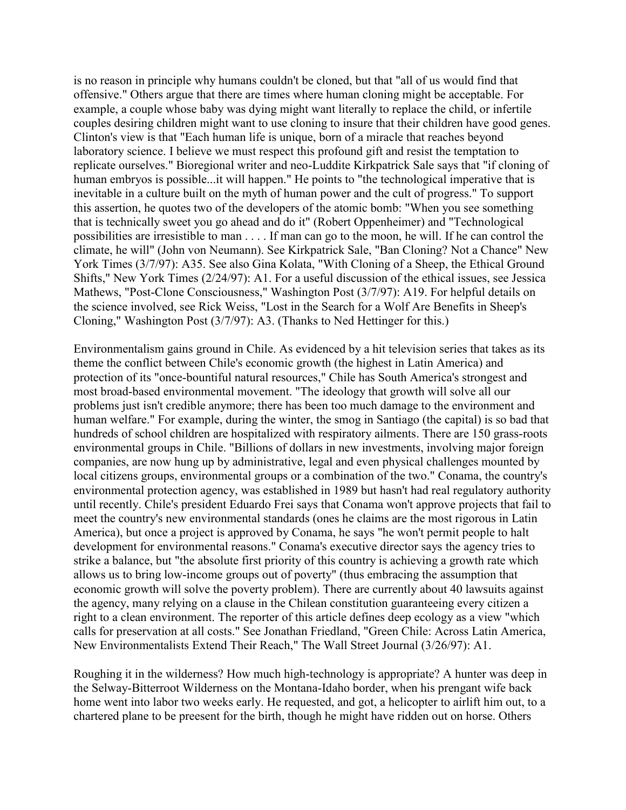is no reason in principle why humans couldn't be cloned, but that "all of us would find that offensive." Others argue that there are times where human cloning might be acceptable. For example, a couple whose baby was dying might want literally to replace the child, or infertile couples desiring children might want to use cloning to insure that their children have good genes. Clinton's view is that "Each human life is unique, born of a miracle that reaches beyond laboratory science. I believe we must respect this profound gift and resist the temptation to replicate ourselves." Bioregional writer and neo-Luddite Kirkpatrick Sale says that "if cloning of human embryos is possible...it will happen." He points to "the technological imperative that is inevitable in a culture built on the myth of human power and the cult of progress." To support this assertion, he quotes two of the developers of the atomic bomb: "When you see something that is technically sweet you go ahead and do it" (Robert Oppenheimer) and "Technological possibilities are irresistible to man . . . . If man can go to the moon, he will. If he can control the climate, he will" (John von Neumann). See Kirkpatrick Sale, "Ban Cloning? Not a Chance" New York Times (3/7/97): A35. See also Gina Kolata, "With Cloning of a Sheep, the Ethical Ground Shifts," New York Times (2/24/97): A1. For a useful discussion of the ethical issues, see Jessica Mathews, "Post-Clone Consciousness," Washington Post (3/7/97): A19. For helpful details on the science involved, see Rick Weiss, "Lost in the Search for a Wolf Are Benefits in Sheep's Cloning," Washington Post (3/7/97): A3. (Thanks to Ned Hettinger for this.)

Environmentalism gains ground in Chile. As evidenced by a hit television series that takes as its theme the conflict between Chile's economic growth (the highest in Latin America) and protection of its "once-bountiful natural resources," Chile has South America's strongest and most broad-based environmental movement. "The ideology that growth will solve all our problems just isn't credible anymore; there has been too much damage to the environment and human welfare." For example, during the winter, the smog in Santiago (the capital) is so bad that hundreds of school children are hospitalized with respiratory ailments. There are 150 grass-roots environmental groups in Chile. "Billions of dollars in new investments, involving major foreign companies, are now hung up by administrative, legal and even physical challenges mounted by local citizens groups, environmental groups or a combination of the two." Conama, the country's environmental protection agency, was established in 1989 but hasn't had real regulatory authority until recently. Chile's president Eduardo Frei says that Conama won't approve projects that fail to meet the country's new environmental standards (ones he claims are the most rigorous in Latin America), but once a project is approved by Conama, he says "he won't permit people to halt development for environmental reasons." Conama's executive director says the agency tries to strike a balance, but "the absolute first priority of this country is achieving a growth rate which allows us to bring low-income groups out of poverty" (thus embracing the assumption that economic growth will solve the poverty problem). There are currently about 40 lawsuits against the agency, many relying on a clause in the Chilean constitution guaranteeing every citizen a right to a clean environment. The reporter of this article defines deep ecology as a view "which calls for preservation at all costs." See Jonathan Friedland, "Green Chile: Across Latin America, New Environmentalists Extend Their Reach," The Wall Street Journal (3/26/97): A1.

Roughing it in the wilderness? How much high-technology is appropriate? A hunter was deep in the Selway-Bitterroot Wilderness on the Montana-Idaho border, when his prengant wife back home went into labor two weeks early. He requested, and got, a helicopter to airlift him out, to a chartered plane to be preesent for the birth, though he might have ridden out on horse. Others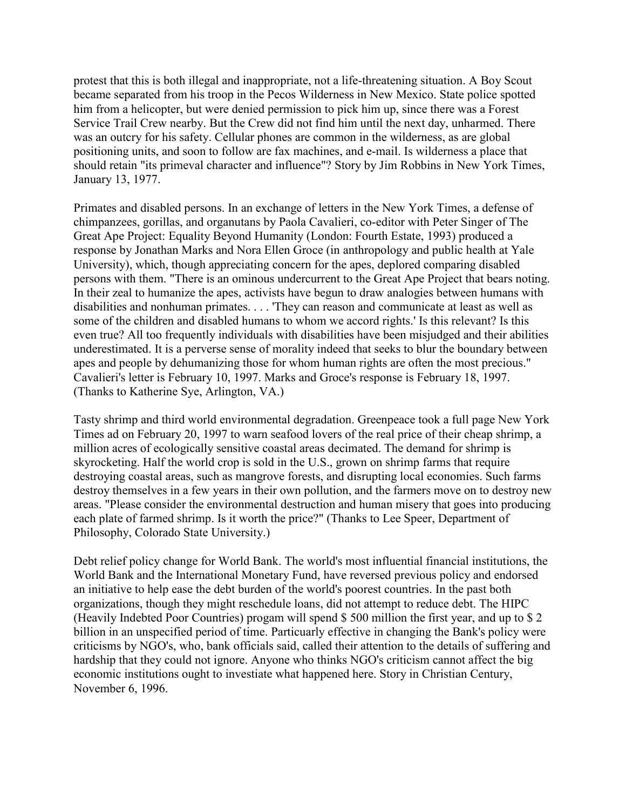protest that this is both illegal and inappropriate, not a life-threatening situation. A Boy Scout became separated from his troop in the Pecos Wilderness in New Mexico. State police spotted him from a helicopter, but were denied permission to pick him up, since there was a Forest Service Trail Crew nearby. But the Crew did not find him until the next day, unharmed. There was an outcry for his safety. Cellular phones are common in the wilderness, as are global positioning units, and soon to follow are fax machines, and e-mail. Is wilderness a place that should retain "its primeval character and influence"? Story by Jim Robbins in New York Times, January 13, 1977.

Primates and disabled persons. In an exchange of letters in the New York Times, a defense of chimpanzees, gorillas, and organutans by Paola Cavalieri, co-editor with Peter Singer of The Great Ape Project: Equality Beyond Humanity (London: Fourth Estate, 1993) produced a response by Jonathan Marks and Nora Ellen Groce (in anthropology and public health at Yale University), which, though appreciating concern for the apes, deplored comparing disabled persons with them. "There is an ominous undercurrent to the Great Ape Project that bears noting. In their zeal to humanize the apes, activists have begun to draw analogies between humans with disabilities and nonhuman primates. . . . 'They can reason and communicate at least as well as some of the children and disabled humans to whom we accord rights.' Is this relevant? Is this even true? All too frequently individuals with disabilities have been misjudged and their abilities underestimated. It is a perverse sense of morality indeed that seeks to blur the boundary between apes and people by dehumanizing those for whom human rights are often the most precious." Cavalieri's letter is February 10, 1997. Marks and Groce's response is February 18, 1997. (Thanks to Katherine Sye, Arlington, VA.)

Tasty shrimp and third world environmental degradation. Greenpeace took a full page New York Times ad on February 20, 1997 to warn seafood lovers of the real price of their cheap shrimp, a million acres of ecologically sensitive coastal areas decimated. The demand for shrimp is skyrocketing. Half the world crop is sold in the U.S., grown on shrimp farms that require destroying coastal areas, such as mangrove forests, and disrupting local economies. Such farms destroy themselves in a few years in their own pollution, and the farmers move on to destroy new areas. "Please consider the environmental destruction and human misery that goes into producing each plate of farmed shrimp. Is it worth the price?" (Thanks to Lee Speer, Department of Philosophy, Colorado State University.)

Debt relief policy change for World Bank. The world's most influential financial institutions, the World Bank and the International Monetary Fund, have reversed previous policy and endorsed an initiative to help ease the debt burden of the world's poorest countries. In the past both organizations, though they might reschedule loans, did not attempt to reduce debt. The HIPC (Heavily Indebted Poor Countries) progam will spend \$ 500 million the first year, and up to \$ 2 billion in an unspecified period of time. Particuarly effective in changing the Bank's policy were criticisms by NGO's, who, bank officials said, called their attention to the details of suffering and hardship that they could not ignore. Anyone who thinks NGO's criticism cannot affect the big economic institutions ought to investiate what happened here. Story in Christian Century, November 6, 1996.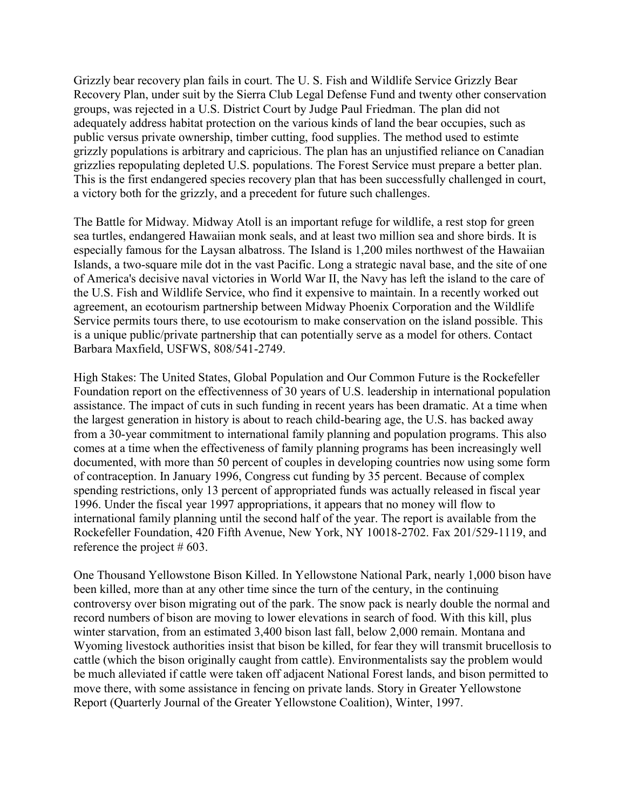Grizzly bear recovery plan fails in court. The U. S. Fish and Wildlife Service Grizzly Bear Recovery Plan, under suit by the Sierra Club Legal Defense Fund and twenty other conservation groups, was rejected in a U.S. District Court by Judge Paul Friedman. The plan did not adequately address habitat protection on the various kinds of land the bear occupies, such as public versus private ownership, timber cutting, food supplies. The method used to estimte grizzly populations is arbitrary and capricious. The plan has an unjustified reliance on Canadian grizzlies repopulating depleted U.S. populations. The Forest Service must prepare a better plan. This is the first endangered species recovery plan that has been successfully challenged in court, a victory both for the grizzly, and a precedent for future such challenges.

The Battle for Midway. Midway Atoll is an important refuge for wildlife, a rest stop for green sea turtles, endangered Hawaiian monk seals, and at least two million sea and shore birds. It is especially famous for the Laysan albatross. The Island is 1,200 miles northwest of the Hawaiian Islands, a two-square mile dot in the vast Pacific. Long a strategic naval base, and the site of one of America's decisive naval victories in World War II, the Navy has left the island to the care of the U.S. Fish and Wildlife Service, who find it expensive to maintain. In a recently worked out agreement, an ecotourism partnership between Midway Phoenix Corporation and the Wildlife Service permits tours there, to use ecotourism to make conservation on the island possible. This is a unique public/private partnership that can potentially serve as a model for others. Contact Barbara Maxfield, USFWS, 808/541-2749.

High Stakes: The United States, Global Population and Our Common Future is the Rockefeller Foundation report on the effectivenness of 30 years of U.S. leadership in international population assistance. The impact of cuts in such funding in recent years has been dramatic. At a time when the largest generation in history is about to reach child-bearing age, the U.S. has backed away from a 30-year commitment to international family planning and population programs. This also comes at a time when the effectiveness of family planning programs has been increasingly well documented, with more than 50 percent of couples in developing countries now using some form of contraception. In January 1996, Congress cut funding by 35 percent. Because of complex spending restrictions, only 13 percent of appropriated funds was actually released in fiscal year 1996. Under the fiscal year 1997 appropriations, it appears that no money will flow to international family planning until the second half of the year. The report is available from the Rockefeller Foundation, 420 Fifth Avenue, New York, NY 10018-2702. Fax 201/529-1119, and reference the project  $# 603$ .

One Thousand Yellowstone Bison Killed. In Yellowstone National Park, nearly 1,000 bison have been killed, more than at any other time since the turn of the century, in the continuing controversy over bison migrating out of the park. The snow pack is nearly double the normal and record numbers of bison are moving to lower elevations in search of food. With this kill, plus winter starvation, from an estimated 3,400 bison last fall, below 2,000 remain. Montana and Wyoming livestock authorities insist that bison be killed, for fear they will transmit brucellosis to cattle (which the bison originally caught from cattle). Environmentalists say the problem would be much alleviated if cattle were taken off adjacent National Forest lands, and bison permitted to move there, with some assistance in fencing on private lands. Story in Greater Yellowstone Report (Quarterly Journal of the Greater Yellowstone Coalition), Winter, 1997.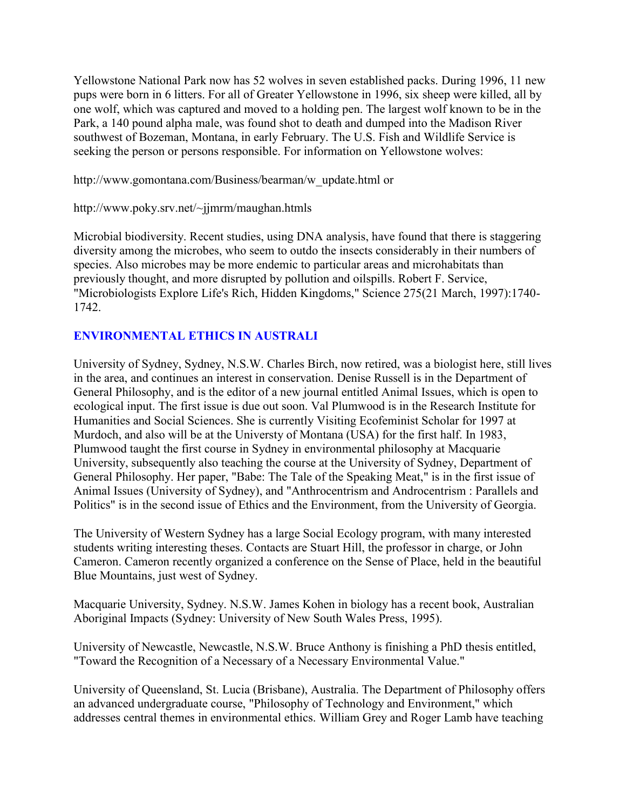Yellowstone National Park now has 52 wolves in seven established packs. During 1996, 11 new pups were born in 6 litters. For all of Greater Yellowstone in 1996, six sheep were killed, all by one wolf, which was captured and moved to a holding pen. The largest wolf known to be in the Park, a 140 pound alpha male, was found shot to death and dumped into the Madison River southwest of Bozeman, Montana, in early February. The U.S. Fish and Wildlife Service is seeking the person or persons responsible. For information on Yellowstone wolves:

http://www.gomontana.com/Business/bearman/w\_update.html or

http://www.poky.srv.net/~jjmrm/maughan.htmls

Microbial biodiversity. Recent studies, using DNA analysis, have found that there is staggering diversity among the microbes, who seem to outdo the insects considerably in their numbers of species. Also microbes may be more endemic to particular areas and microhabitats than previously thought, and more disrupted by pollution and oilspills. Robert F. Service, "Microbiologists Explore Life's Rich, Hidden Kingdoms," Science 275(21 March, 1997):1740- 1742.

# **ENVIRONMENTAL ETHICS IN AUSTRALI**

University of Sydney, Sydney, N.S.W. Charles Birch, now retired, was a biologist here, still lives in the area, and continues an interest in conservation. Denise Russell is in the Department of General Philosophy, and is the editor of a new journal entitled Animal Issues, which is open to ecological input. The first issue is due out soon. Val Plumwood is in the Research Institute for Humanities and Social Sciences. She is currently Visiting Ecofeminist Scholar for 1997 at Murdoch, and also will be at the Universty of Montana (USA) for the first half. In 1983, Plumwood taught the first course in Sydney in environmental philosophy at Macquarie University, subsequently also teaching the course at the University of Sydney, Department of General Philosophy. Her paper, "Babe: The Tale of the Speaking Meat," is in the first issue of Animal Issues (University of Sydney), and "Anthrocentrism and Androcentrism : Parallels and Politics" is in the second issue of Ethics and the Environment, from the University of Georgia.

The University of Western Sydney has a large Social Ecology program, with many interested students writing interesting theses. Contacts are Stuart Hill, the professor in charge, or John Cameron. Cameron recently organized a conference on the Sense of Place, held in the beautiful Blue Mountains, just west of Sydney.

Macquarie University, Sydney. N.S.W. James Kohen in biology has a recent book, Australian Aboriginal Impacts (Sydney: University of New South Wales Press, 1995).

University of Newcastle, Newcastle, N.S.W. Bruce Anthony is finishing a PhD thesis entitled, "Toward the Recognition of a Necessary of a Necessary Environmental Value."

University of Queensland, St. Lucia (Brisbane), Australia. The Department of Philosophy offers an advanced undergraduate course, "Philosophy of Technology and Environment," which addresses central themes in environmental ethics. William Grey and Roger Lamb have teaching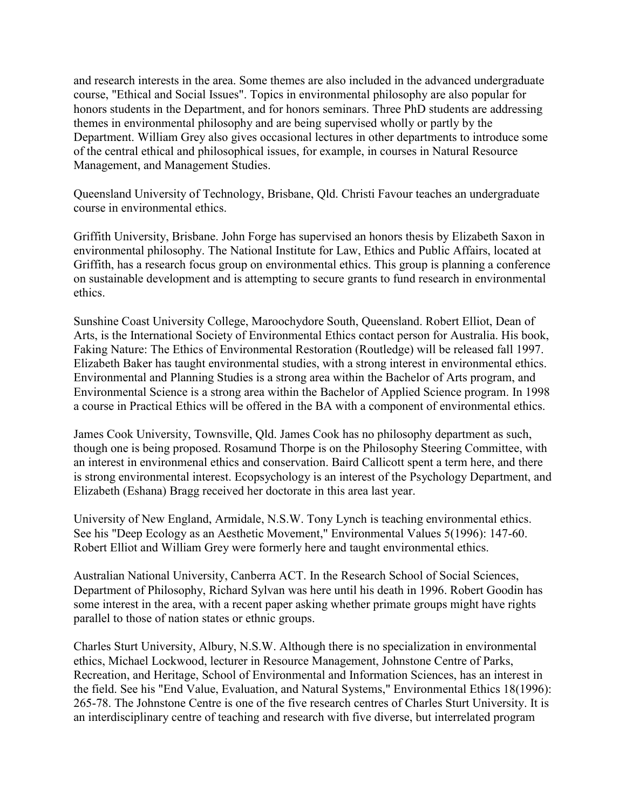and research interests in the area. Some themes are also included in the advanced undergraduate course, "Ethical and Social Issues". Topics in environmental philosophy are also popular for honors students in the Department, and for honors seminars. Three PhD students are addressing themes in environmental philosophy and are being supervised wholly or partly by the Department. William Grey also gives occasional lectures in other departments to introduce some of the central ethical and philosophical issues, for example, in courses in Natural Resource Management, and Management Studies.

Queensland University of Technology, Brisbane, Qld. Christi Favour teaches an undergraduate course in environmental ethics.

Griffith University, Brisbane. John Forge has supervised an honors thesis by Elizabeth Saxon in environmental philosophy. The National Institute for Law, Ethics and Public Affairs, located at Griffith, has a research focus group on environmental ethics. This group is planning a conference on sustainable development and is attempting to secure grants to fund research in environmental ethics.

Sunshine Coast University College, Maroochydore South, Queensland. Robert Elliot, Dean of Arts, is the International Society of Environmental Ethics contact person for Australia. His book, Faking Nature: The Ethics of Environmental Restoration (Routledge) will be released fall 1997. Elizabeth Baker has taught environmental studies, with a strong interest in environmental ethics. Environmental and Planning Studies is a strong area within the Bachelor of Arts program, and Environmental Science is a strong area within the Bachelor of Applied Science program. In 1998 a course in Practical Ethics will be offered in the BA with a component of environmental ethics.

James Cook University, Townsville, Qld. James Cook has no philosophy department as such, though one is being proposed. Rosamund Thorpe is on the Philosophy Steering Committee, with an interest in environmenal ethics and conservation. Baird Callicott spent a term here, and there is strong environmental interest. Ecopsychology is an interest of the Psychology Department, and Elizabeth (Eshana) Bragg received her doctorate in this area last year.

University of New England, Armidale, N.S.W. Tony Lynch is teaching environmental ethics. See his "Deep Ecology as an Aesthetic Movement," Environmental Values 5(1996): 147-60. Robert Elliot and William Grey were formerly here and taught environmental ethics.

Australian National University, Canberra ACT. In the Research School of Social Sciences, Department of Philosophy, Richard Sylvan was here until his death in 1996. Robert Goodin has some interest in the area, with a recent paper asking whether primate groups might have rights parallel to those of nation states or ethnic groups.

Charles Sturt University, Albury, N.S.W. Although there is no specialization in environmental ethics, Michael Lockwood, lecturer in Resource Management, Johnstone Centre of Parks, Recreation, and Heritage, School of Environmental and Information Sciences, has an interest in the field. See his "End Value, Evaluation, and Natural Systems," Environmental Ethics 18(1996): 265-78. The Johnstone Centre is one of the five research centres of Charles Sturt University. It is an interdisciplinary centre of teaching and research with five diverse, but interrelated program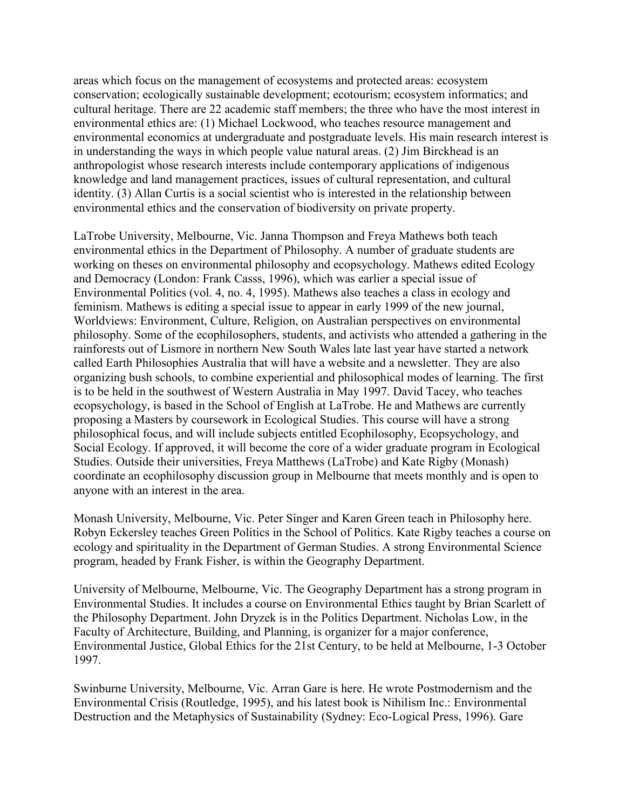areas which focus on the management of ecosystems and protected areas: ecosystem conservation; ecologically sustainable development; ecotourism; ecosystem informatics; and cultural heritage. There are 22 academic staff members; the three who have the most interest in environmental ethics are: (1) Michael Lockwood, who teaches resource management and environmental economics at undergraduate and postgraduate levels. His main research interest is in understanding the ways in which people value natural areas. (2) Jim Birckhead is an anthropologist whose research interests include contemporary applications of indigenous knowledge and land management practices, issues of cultural representation, and cultural identity. (3) Allan Curtis is a social scientist who is interested in the relationship between environmental ethics and the conservation of biodiversity on private property.

LaTrobe University, Melbourne, Vic. Janna Thompson and Freya Mathews both teach environmental ethics in the Department of Philosophy. A number of graduate students are working on theses on environmental philosophy and ecopsychology. Mathews edited Ecology and Democracy (London: Frank Casss, 1996), which was earlier a special issue of Environmental Politics (vol. 4, no. 4, 1995). Mathews also teaches a class in ecology and feminism. Mathews is editing a special issue to appear in early 1999 of the new journal, Worldviews: Environment, Culture, Religion, on Australian perspectives on environmental philosophy. Some of the ecophilosophers, students, and activists who attended a gathering in the rainforests out of Lismore in northern New South Wales late last year have started a network called Earth Philosophies Australia that will have a website and a newsletter. They are also organizing bush schools, to combine experiential and philosophical modes of learning. The first is to be held in the southwest of Western Australia in May 1997. David Tacey, who teaches ecopsychology, is based in the School of English at LaTrobe. He and Mathews are currently proposing a Masters by coursework in Ecological Studies. This course will have a strong philosophical focus, and will include subjects entitled Ecophilosophy, Ecopsychology, and Social Ecology. If approved, it will become the core of a wider graduate program in Ecological Studies. Outside their universities, Freya Matthews (LaTrobe) and Kate Rigby (Monash) coordinate an ecophilosophy discussion group in Melbourne that meets monthly and is open to anyone with an interest in the area.

Monash University, Melbourne, Vic. Peter Singer and Karen Green teach in Philosophy here. Robyn Eckersley teaches Green Politics in the School of Politics. Kate Rigby teaches a course on ecology and spirituality in the Department of German Studies. A strong Environmental Science program, headed by Frank Fisher, is within the Geography Department.

University of Melbourne, Melbourne, Vic. The Geography Department has a strong program in Environmental Studies. It includes a course on Environmental Ethics taught by Brian Scarlett of the Philosophy Department. John Dryzek is in the Politics Department. Nicholas Low, in the Faculty of Architecture, Building, and Planning, is organizer for a major conference, Environmental Justice, Global Ethics for the 21st Century, to be held at Melbourne, 1-3 October 1997.

Swinburne University, Melbourne, Vic. Arran Gare is here. He wrote Postmodernism and the Environmental Crisis (Routledge, 1995), and his latest book is Nihilism Inc.: Environmental Destruction and the Metaphysics of Sustainability (Sydney: Eco-Logical Press, 1996). Gare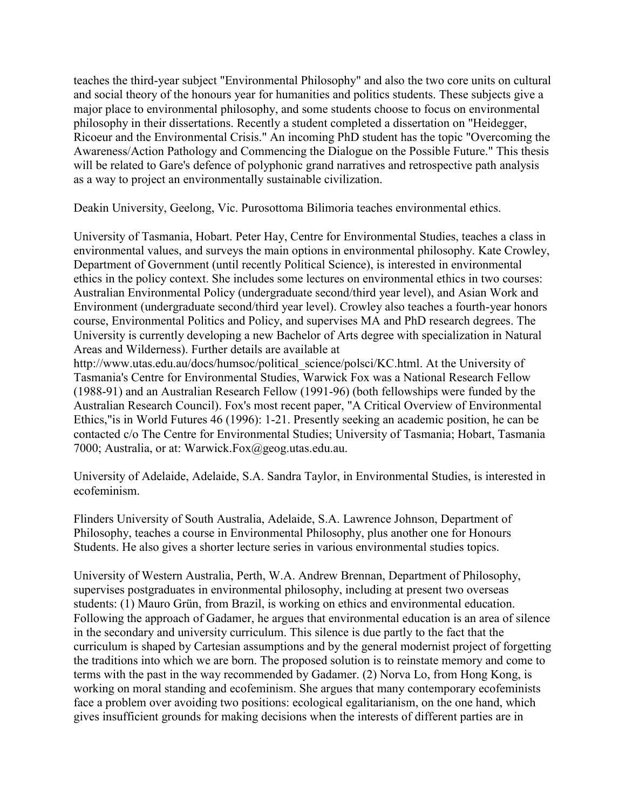teaches the third-year subject "Environmental Philosophy" and also the two core units on cultural and social theory of the honours year for humanities and politics students. These subjects give a major place to environmental philosophy, and some students choose to focus on environmental philosophy in their dissertations. Recently a student completed a dissertation on "Heidegger, Ricoeur and the Environmental Crisis." An incoming PhD student has the topic "Overcoming the Awareness/Action Pathology and Commencing the Dialogue on the Possible Future." This thesis will be related to Gare's defence of polyphonic grand narratives and retrospective path analysis as a way to project an environmentally sustainable civilization.

Deakin University, Geelong, Vic. Purosottoma Bilimoria teaches environmental ethics.

University of Tasmania, Hobart. Peter Hay, Centre for Environmental Studies, teaches a class in environmental values, and surveys the main options in environmental philosophy. Kate Crowley, Department of Government (until recently Political Science), is interested in environmental ethics in the policy context. She includes some lectures on environmental ethics in two courses: Australian Environmental Policy (undergraduate second/third year level), and Asian Work and Environment (undergraduate second/third year level). Crowley also teaches a fourth-year honors course, Environmental Politics and Policy, and supervises MA and PhD research degrees. The University is currently developing a new Bachelor of Arts degree with specialization in Natural Areas and Wilderness). Further details are available at

http://www.utas.edu.au/docs/humsoc/political\_science/polsci/KC.html. At the University of Tasmania's Centre for Environmental Studies, Warwick Fox was a National Research Fellow (1988-91) and an Australian Research Fellow (1991-96) (both fellowships were funded by the Australian Research Council). Fox's most recent paper, "A Critical Overview of Environmental Ethics,"is in World Futures 46 (1996): 1-21. Presently seeking an academic position, he can be contacted c/o The Centre for Environmental Studies; University of Tasmania; Hobart, Tasmania 7000; Australia, or at: Warwick.Fox@geog.utas.edu.au.

University of Adelaide, Adelaide, S.A. Sandra Taylor, in Environmental Studies, is interested in ecofeminism.

Flinders University of South Australia, Adelaide, S.A. Lawrence Johnson, Department of Philosophy, teaches a course in Environmental Philosophy, plus another one for Honours Students. He also gives a shorter lecture series in various environmental studies topics.

University of Western Australia, Perth, W.A. Andrew Brennan, Department of Philosophy, supervises postgraduates in environmental philosophy, including at present two overseas students: (1) Mauro Grün, from Brazil, is working on ethics and environmental education. Following the approach of Gadamer, he argues that environmental education is an area of silence in the secondary and university curriculum. This silence is due partly to the fact that the curriculum is shaped by Cartesian assumptions and by the general modernist project of forgetting the traditions into which we are born. The proposed solution is to reinstate memory and come to terms with the past in the way recommended by Gadamer. (2) Norva Lo, from Hong Kong, is working on moral standing and ecofeminism. She argues that many contemporary ecofeminists face a problem over avoiding two positions: ecological egalitarianism, on the one hand, which gives insufficient grounds for making decisions when the interests of different parties are in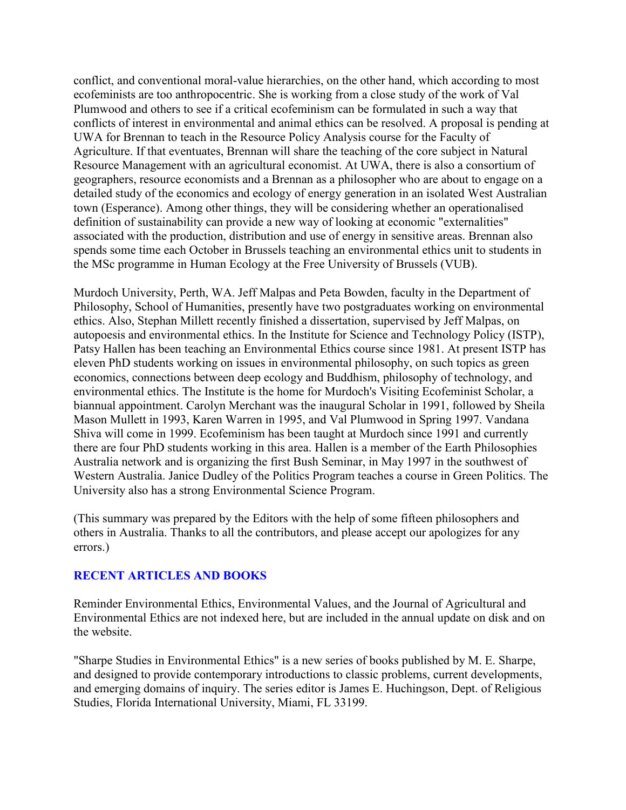conflict, and conventional moral-value hierarchies, on the other hand, which according to most ecofeminists are too anthropocentric. She is working from a close study of the work of Val Plumwood and others to see if a critical ecofeminism can be formulated in such a way that conflicts of interest in environmental and animal ethics can be resolved. A proposal is pending at UWA for Brennan to teach in the Resource Policy Analysis course for the Faculty of Agriculture. If that eventuates, Brennan will share the teaching of the core subject in Natural Resource Management with an agricultural economist. At UWA, there is also a consortium of geographers, resource economists and a Brennan as a philosopher who are about to engage on a detailed study of the economics and ecology of energy generation in an isolated West Australian town (Esperance). Among other things, they will be considering whether an operationalised definition of sustainability can provide a new way of looking at economic "externalities" associated with the production, distribution and use of energy in sensitive areas. Brennan also spends some time each October in Brussels teaching an environmental ethics unit to students in the MSc programme in Human Ecology at the Free University of Brussels (VUB).

Murdoch University, Perth, WA. Jeff Malpas and Peta Bowden, faculty in the Department of Philosophy, School of Humanities, presently have two postgraduates working on environmental ethics. Also, Stephan Millett recently finished a dissertation, supervised by Jeff Malpas, on autopoesis and environmental ethics. In the Institute for Science and Technology Policy (ISTP), Patsy Hallen has been teaching an Environmental Ethics course since 1981. At present ISTP has eleven PhD students working on issues in environmental philosophy, on such topics as green economics, connections between deep ecology and Buddhism, philosophy of technology, and environmental ethics. The Institute is the home for Murdoch's Visiting Ecofeminist Scholar, a biannual appointment. Carolyn Merchant was the inaugural Scholar in 1991, followed by Sheila Mason Mullett in 1993, Karen Warren in 1995, and Val Plumwood in Spring 1997. Vandana Shiva will come in 1999. Ecofeminism has been taught at Murdoch since 1991 and currently there are four PhD students working in this area. Hallen is a member of the Earth Philosophies Australia network and is organizing the first Bush Seminar, in May 1997 in the southwest of Western Australia. Janice Dudley of the Politics Program teaches a course in Green Politics. The University also has a strong Environmental Science Program.

(This summary was prepared by the Editors with the help of some fifteen philosophers and others in Australia. Thanks to all the contributors, and please accept our apologizes for any errors.)

### **RECENT ARTICLES AND BOOKS**

Reminder Environmental Ethics, Environmental Values, and the Journal of Agricultural and Environmental Ethics are not indexed here, but are included in the annual update on disk and on the website.

"Sharpe Studies in Environmental Ethics" is a new series of books published by M. E. Sharpe, and designed to provide contemporary introductions to classic problems, current developments, and emerging domains of inquiry. The series editor is James E. Huchingson, Dept. of Religious Studies, Florida International University, Miami, FL 33199.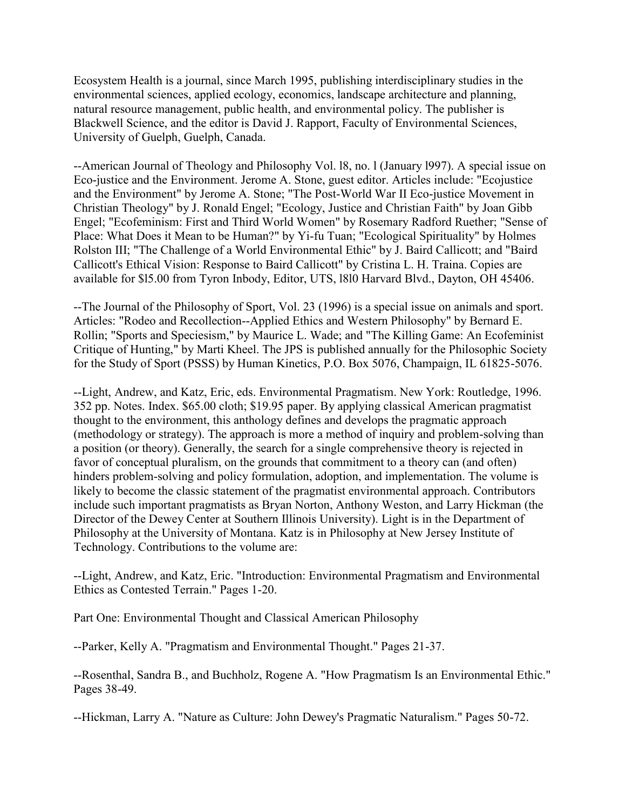Ecosystem Health is a journal, since March 1995, publishing interdisciplinary studies in the environmental sciences, applied ecology, economics, landscape architecture and planning, natural resource management, public health, and environmental policy. The publisher is Blackwell Science, and the editor is David J. Rapport, Faculty of Environmental Sciences, University of Guelph, Guelph, Canada.

--American Journal of Theology and Philosophy Vol. l8, no. l (January l997). A special issue on Eco-justice and the Environment. Jerome A. Stone, guest editor. Articles include: "Ecojustice and the Environment" by Jerome A. Stone; "The Post-World War II Eco-justice Movement in Christian Theology" by J. Ronald Engel; "Ecology, Justice and Christian Faith" by Joan Gibb Engel; "Ecofeminism: First and Third World Women" by Rosemary Radford Ruether; "Sense of Place: What Does it Mean to be Human?" by Yi-fu Tuan; "Ecological Spirituality" by Holmes Rolston III; "The Challenge of a World Environmental Ethic" by J. Baird Callicott; and "Baird Callicott's Ethical Vision: Response to Baird Callicott" by Cristina L. H. Traina. Copies are available for \$l5.00 from Tyron Inbody, Editor, UTS, l8l0 Harvard Blvd., Dayton, OH 45406.

--The Journal of the Philosophy of Sport, Vol. 23 (1996) is a special issue on animals and sport. Articles: "Rodeo and Recollection--Applied Ethics and Western Philosophy" by Bernard E. Rollin; "Sports and Speciesism," by Maurice L. Wade; and "The Killing Game: An Ecofeminist Critique of Hunting," by Marti Kheel. The JPS is published annually for the Philosophic Society for the Study of Sport (PSSS) by Human Kinetics, P.O. Box 5076, Champaign, IL 61825-5076.

--Light, Andrew, and Katz, Eric, eds. Environmental Pragmatism. New York: Routledge, 1996. 352 pp. Notes. Index. \$65.00 cloth; \$19.95 paper. By applying classical American pragmatist thought to the environment, this anthology defines and develops the pragmatic approach (methodology or strategy). The approach is more a method of inquiry and problem-solving than a position (or theory). Generally, the search for a single comprehensive theory is rejected in favor of conceptual pluralism, on the grounds that commitment to a theory can (and often) hinders problem-solving and policy formulation, adoption, and implementation. The volume is likely to become the classic statement of the pragmatist environmental approach. Contributors include such important pragmatists as Bryan Norton, Anthony Weston, and Larry Hickman (the Director of the Dewey Center at Southern Illinois University). Light is in the Department of Philosophy at the University of Montana. Katz is in Philosophy at New Jersey Institute of Technology. Contributions to the volume are:

--Light, Andrew, and Katz, Eric. "Introduction: Environmental Pragmatism and Environmental Ethics as Contested Terrain." Pages 1-20.

Part One: Environmental Thought and Classical American Philosophy

--Parker, Kelly A. "Pragmatism and Environmental Thought." Pages 21-37.

--Rosenthal, Sandra B., and Buchholz, Rogene A. "How Pragmatism Is an Environmental Ethic." Pages 38-49.

--Hickman, Larry A. "Nature as Culture: John Dewey's Pragmatic Naturalism." Pages 50-72.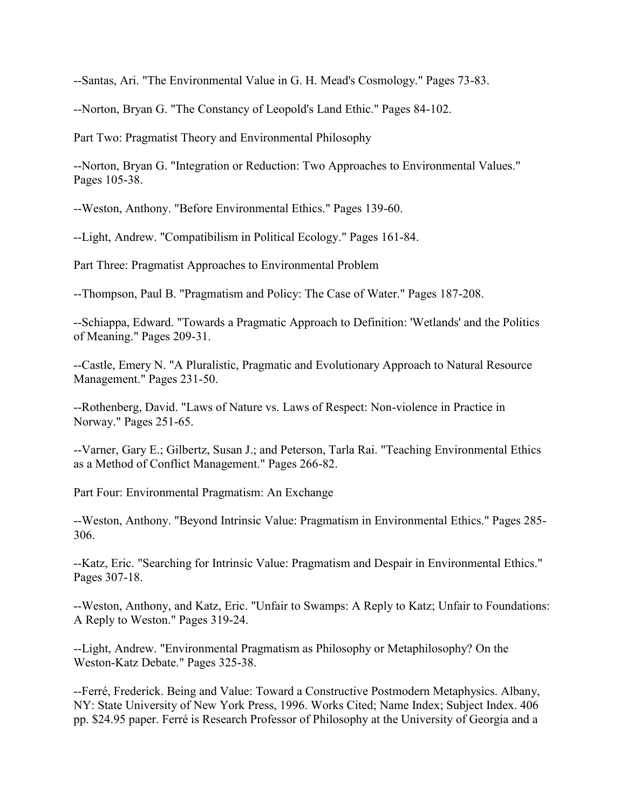--Santas, Ari. "The Environmental Value in G. H. Mead's Cosmology." Pages 73-83.

--Norton, Bryan G. "The Constancy of Leopold's Land Ethic." Pages 84-102.

Part Two: Pragmatist Theory and Environmental Philosophy

--Norton, Bryan G. "Integration or Reduction: Two Approaches to Environmental Values." Pages 105-38.

--Weston, Anthony. "Before Environmental Ethics." Pages 139-60.

--Light, Andrew. "Compatibilism in Political Ecology." Pages 161-84.

Part Three: Pragmatist Approaches to Environmental Problem

--Thompson, Paul B. "Pragmatism and Policy: The Case of Water." Pages 187-208.

--Schiappa, Edward. "Towards a Pragmatic Approach to Definition: 'Wetlands' and the Politics of Meaning." Pages 209-31.

--Castle, Emery N. "A Pluralistic, Pragmatic and Evolutionary Approach to Natural Resource Management." Pages 231-50.

--Rothenberg, David. "Laws of Nature vs. Laws of Respect: Non-violence in Practice in Norway." Pages 251-65.

--Varner, Gary E.; Gilbertz, Susan J.; and Peterson, Tarla Rai. "Teaching Environmental Ethics as a Method of Conflict Management." Pages 266-82.

Part Four: Environmental Pragmatism: An Exchange

--Weston, Anthony. "Beyond Intrinsic Value: Pragmatism in Environmental Ethics." Pages 285- 306.

--Katz, Eric. "Searching for Intrinsic Value: Pragmatism and Despair in Environmental Ethics." Pages 307-18.

--Weston, Anthony, and Katz, Eric. "Unfair to Swamps: A Reply to Katz; Unfair to Foundations: A Reply to Weston." Pages 319-24.

--Light, Andrew. "Environmental Pragmatism as Philosophy or Metaphilosophy? On the Weston-Katz Debate." Pages 325-38.

--Ferré, Frederick. Being and Value: Toward a Constructive Postmodern Metaphysics. Albany, NY: State University of New York Press, 1996. Works Cited; Name Index; Subject Index. 406 pp. \$24.95 paper. Ferré is Research Professor of Philosophy at the University of Georgia and a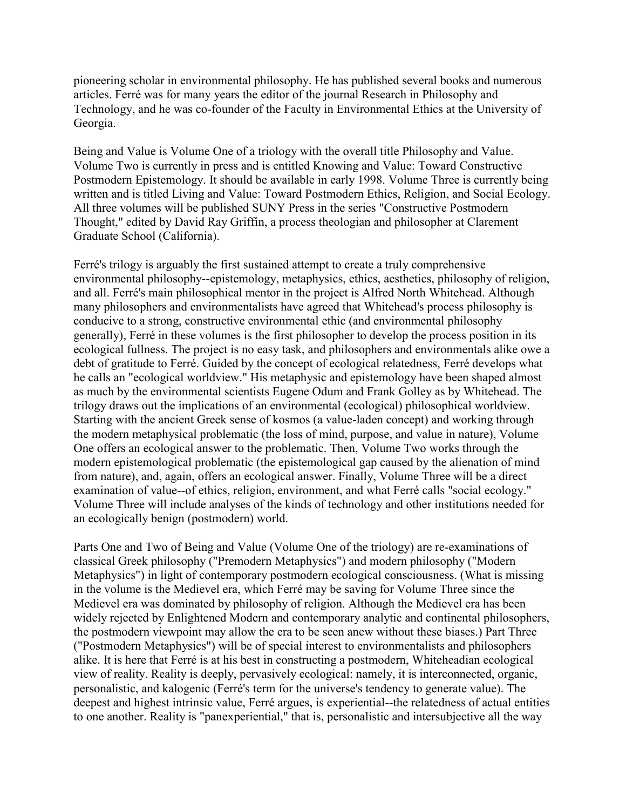pioneering scholar in environmental philosophy. He has published several books and numerous articles. Ferré was for many years the editor of the journal Research in Philosophy and Technology, and he was co-founder of the Faculty in Environmental Ethics at the University of Georgia.

Being and Value is Volume One of a triology with the overall title Philosophy and Value. Volume Two is currently in press and is entitled Knowing and Value: Toward Constructive Postmodern Epistemology. It should be available in early 1998. Volume Three is currently being written and is titled Living and Value: Toward Postmodern Ethics, Religion, and Social Ecology. All three volumes will be published SUNY Press in the series "Constructive Postmodern Thought," edited by David Ray Griffin, a process theologian and philosopher at Clarement Graduate School (California).

Ferré's trilogy is arguably the first sustained attempt to create a truly comprehensive environmental philosophy--epistemology, metaphysics, ethics, aesthetics, philosophy of religion, and all. Ferré's main philosophical mentor in the project is Alfred North Whitehead. Although many philosophers and environmentalists have agreed that Whitehead's process philosophy is conducive to a strong, constructive environmental ethic (and environmental philosophy generally), Ferré in these volumes is the first philosopher to develop the process position in its ecological fullness. The project is no easy task, and philosophers and environmentals alike owe a debt of gratitude to Ferré. Guided by the concept of ecological relatedness, Ferré develops what he calls an "ecological worldview." His metaphysic and epistemology have been shaped almost as much by the environmental scientists Eugene Odum and Frank Golley as by Whitehead. The trilogy draws out the implications of an environmental (ecological) philosophical worldview. Starting with the ancient Greek sense of kosmos (a value-laden concept) and working through the modern metaphysical problematic (the loss of mind, purpose, and value in nature), Volume One offers an ecological answer to the problematic. Then, Volume Two works through the modern epistemological problematic (the epistemological gap caused by the alienation of mind from nature), and, again, offers an ecological answer. Finally, Volume Three will be a direct examination of value--of ethics, religion, environment, and what Ferré calls "social ecology." Volume Three will include analyses of the kinds of technology and other institutions needed for an ecologically benign (postmodern) world.

Parts One and Two of Being and Value (Volume One of the triology) are re-examinations of classical Greek philosophy ("Premodern Metaphysics") and modern philosophy ("Modern Metaphysics") in light of contemporary postmodern ecological consciousness. (What is missing in the volume is the Medievel era, which Ferré may be saving for Volume Three since the Medievel era was dominated by philosophy of religion. Although the Medievel era has been widely rejected by Enlightened Modern and contemporary analytic and continental philosophers, the postmodern viewpoint may allow the era to be seen anew without these biases.) Part Three ("Postmodern Metaphysics") will be of special interest to environmentalists and philosophers alike. It is here that Ferré is at his best in constructing a postmodern, Whiteheadian ecological view of reality. Reality is deeply, pervasively ecological: namely, it is interconnected, organic, personalistic, and kalogenic (Ferré's term for the universe's tendency to generate value). The deepest and highest intrinsic value, Ferré argues, is experiential--the relatedness of actual entities to one another. Reality is "panexperiential," that is, personalistic and intersubjective all the way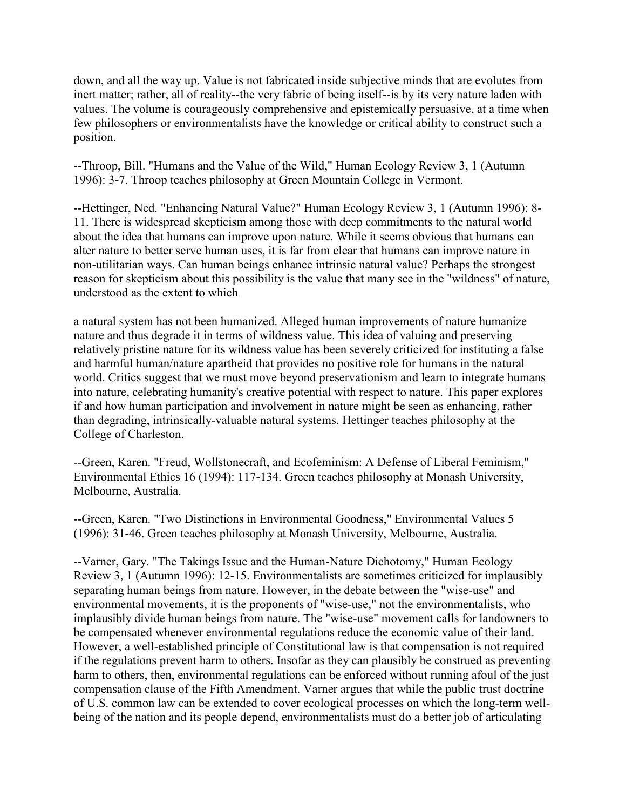down, and all the way up. Value is not fabricated inside subjective minds that are evolutes from inert matter; rather, all of reality--the very fabric of being itself--is by its very nature laden with values. The volume is courageously comprehensive and epistemically persuasive, at a time when few philosophers or environmentalists have the knowledge or critical ability to construct such a position.

--Throop, Bill. "Humans and the Value of the Wild," Human Ecology Review 3, 1 (Autumn 1996): 3-7. Throop teaches philosophy at Green Mountain College in Vermont.

--Hettinger, Ned. "Enhancing Natural Value?" Human Ecology Review 3, 1 (Autumn 1996): 8- 11. There is widespread skepticism among those with deep commitments to the natural world about the idea that humans can improve upon nature. While it seems obvious that humans can alter nature to better serve human uses, it is far from clear that humans can improve nature in non-utilitarian ways. Can human beings enhance intrinsic natural value? Perhaps the strongest reason for skepticism about this possibility is the value that many see in the "wildness" of nature, understood as the extent to which

a natural system has not been humanized. Alleged human improvements of nature humanize nature and thus degrade it in terms of wildness value. This idea of valuing and preserving relatively pristine nature for its wildness value has been severely criticized for instituting a false and harmful human/nature apartheid that provides no positive role for humans in the natural world. Critics suggest that we must move beyond preservationism and learn to integrate humans into nature, celebrating humanity's creative potential with respect to nature. This paper explores if and how human participation and involvement in nature might be seen as enhancing, rather than degrading, intrinsically-valuable natural systems. Hettinger teaches philosophy at the College of Charleston.

--Green, Karen. "Freud, Wollstonecraft, and Ecofeminism: A Defense of Liberal Feminism," Environmental Ethics 16 (1994): 117-134. Green teaches philosophy at Monash University, Melbourne, Australia.

--Green, Karen. "Two Distinctions in Environmental Goodness," Environmental Values 5 (1996): 31-46. Green teaches philosophy at Monash University, Melbourne, Australia.

--Varner, Gary. "The Takings Issue and the Human-Nature Dichotomy," Human Ecology Review 3, 1 (Autumn 1996): 12-15. Environmentalists are sometimes criticized for implausibly separating human beings from nature. However, in the debate between the "wise-use" and environmental movements, it is the proponents of "wise-use," not the environmentalists, who implausibly divide human beings from nature. The "wise-use" movement calls for landowners to be compensated whenever environmental regulations reduce the economic value of their land. However, a well-established principle of Constitutional law is that compensation is not required if the regulations prevent harm to others. Insofar as they can plausibly be construed as preventing harm to others, then, environmental regulations can be enforced without running afoul of the just compensation clause of the Fifth Amendment. Varner argues that while the public trust doctrine of U.S. common law can be extended to cover ecological processes on which the long-term wellbeing of the nation and its people depend, environmentalists must do a better job of articulating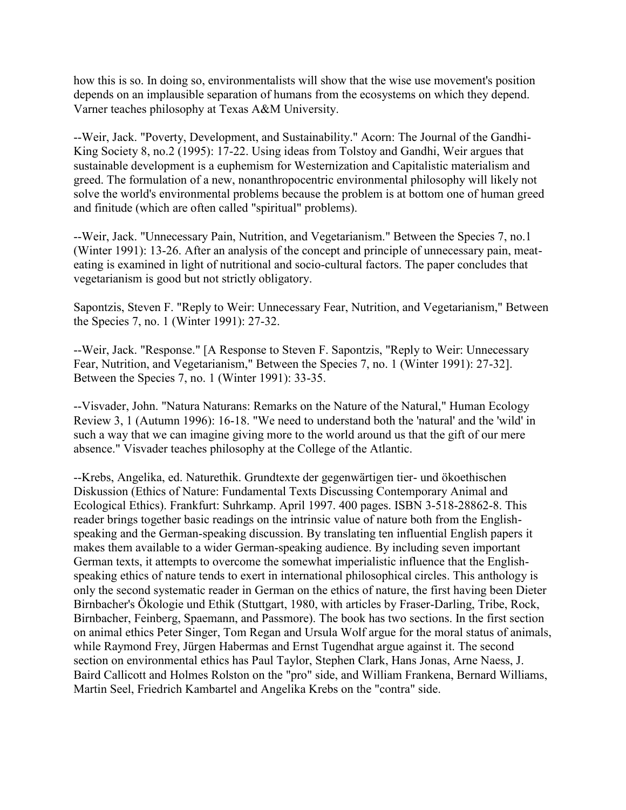how this is so. In doing so, environmentalists will show that the wise use movement's position depends on an implausible separation of humans from the ecosystems on which they depend. Varner teaches philosophy at Texas A&M University.

--Weir, Jack. "Poverty, Development, and Sustainability." Acorn: The Journal of the Gandhi-King Society 8, no.2 (1995): 17-22. Using ideas from Tolstoy and Gandhi, Weir argues that sustainable development is a euphemism for Westernization and Capitalistic materialism and greed. The formulation of a new, nonanthropocentric environmental philosophy will likely not solve the world's environmental problems because the problem is at bottom one of human greed and finitude (which are often called "spiritual" problems).

--Weir, Jack. "Unnecessary Pain, Nutrition, and Vegetarianism." Between the Species 7, no.1 (Winter 1991): 13-26. After an analysis of the concept and principle of unnecessary pain, meateating is examined in light of nutritional and socio-cultural factors. The paper concludes that vegetarianism is good but not strictly obligatory.

Sapontzis, Steven F. "Reply to Weir: Unnecessary Fear, Nutrition, and Vegetarianism," Between the Species 7, no. 1 (Winter 1991): 27-32.

--Weir, Jack. "Response." [A Response to Steven F. Sapontzis, "Reply to Weir: Unnecessary Fear, Nutrition, and Vegetarianism," Between the Species 7, no. 1 (Winter 1991): 27-32]. Between the Species 7, no. 1 (Winter 1991): 33-35.

--Visvader, John. "Natura Naturans: Remarks on the Nature of the Natural," Human Ecology Review 3, 1 (Autumn 1996): 16-18. "We need to understand both the 'natural' and the 'wild' in such a way that we can imagine giving more to the world around us that the gift of our mere absence." Visvader teaches philosophy at the College of the Atlantic.

--Krebs, Angelika, ed. Naturethik. Grundtexte der gegenwärtigen tier- und ökoethischen Diskussion (Ethics of Nature: Fundamental Texts Discussing Contemporary Animal and Ecological Ethics). Frankfurt: Suhrkamp. April 1997. 400 pages. ISBN 3-518-28862-8. This reader brings together basic readings on the intrinsic value of nature both from the Englishspeaking and the German-speaking discussion. By translating ten influential English papers it makes them available to a wider German-speaking audience. By including seven important German texts, it attempts to overcome the somewhat imperialistic influence that the Englishspeaking ethics of nature tends to exert in international philosophical circles. This anthology is only the second systematic reader in German on the ethics of nature, the first having been Dieter Birnbacher's Ökologie und Ethik (Stuttgart, 1980, with articles by Fraser-Darling, Tribe, Rock, Birnbacher, Feinberg, Spaemann, and Passmore). The book has two sections. In the first section on animal ethics Peter Singer, Tom Regan and Ursula Wolf argue for the moral status of animals, while Raymond Frey, Jürgen Habermas and Ernst Tugendhat argue against it. The second section on environmental ethics has Paul Taylor, Stephen Clark, Hans Jonas, Arne Naess, J. Baird Callicott and Holmes Rolston on the "pro" side, and William Frankena, Bernard Williams, Martin Seel, Friedrich Kambartel and Angelika Krebs on the "contra" side.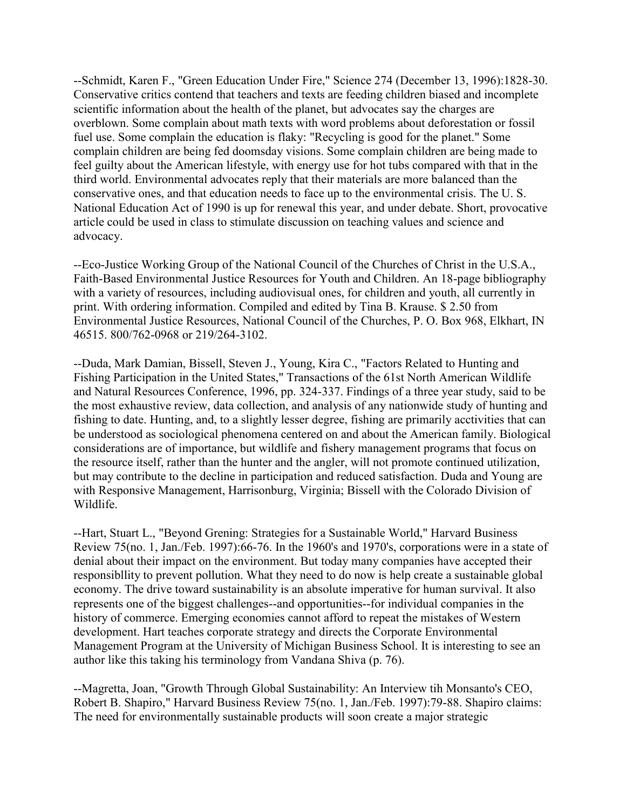--Schmidt, Karen F., "Green Education Under Fire," Science 274 (December 13, 1996):1828-30. Conservative critics contend that teachers and texts are feeding children biased and incomplete scientific information about the health of the planet, but advocates say the charges are overblown. Some complain about math texts with word problems about deforestation or fossil fuel use. Some complain the education is flaky: "Recycling is good for the planet." Some complain children are being fed doomsday visions. Some complain children are being made to feel guilty about the American lifestyle, with energy use for hot tubs compared with that in the third world. Environmental advocates reply that their materials are more balanced than the conservative ones, and that education needs to face up to the environmental crisis. The U. S. National Education Act of 1990 is up for renewal this year, and under debate. Short, provocative article could be used in class to stimulate discussion on teaching values and science and advocacy.

--Eco-Justice Working Group of the National Council of the Churches of Christ in the U.S.A., Faith-Based Environmental Justice Resources for Youth and Children. An 18-page bibliography with a variety of resources, including audiovisual ones, for children and youth, all currently in print. With ordering information. Compiled and edited by Tina B. Krause. \$ 2.50 from Environmental Justice Resources, National Council of the Churches, P. O. Box 968, Elkhart, IN 46515. 800/762-0968 or 219/264-3102.

--Duda, Mark Damian, Bissell, Steven J., Young, Kira C., "Factors Related to Hunting and Fishing Participation in the United States," Transactions of the 61st North American Wildlife and Natural Resources Conference, 1996, pp. 324-337. Findings of a three year study, said to be the most exhaustive review, data collection, and analysis of any nationwide study of hunting and fishing to date. Hunting, and, to a slightly lesser degree, fishing are primarily acctivities that can be understood as sociological phenomena centered on and about the American family. Biological considerations are of importance, but wildlife and fishery management programs that focus on the resource itself, rather than the hunter and the angler, will not promote continued utilization, but may contribute to the decline in participation and reduced satisfaction. Duda and Young are with Responsive Management, Harrisonburg, Virginia; Bissell with the Colorado Division of Wildlife.

--Hart, Stuart L., "Beyond Grening: Strategies for a Sustainable World," Harvard Business Review 75(no. 1, Jan./Feb. 1997):66-76. In the 1960's and 1970's, corporations were in a state of denial about their impact on the environment. But today many companies have accepted their responsibllity to prevent pollution. What they need to do now is help create a sustainable global economy. The drive toward sustainability is an absolute imperative for human survival. It also represents one of the biggest challenges--and opportunities--for individual companies in the history of commerce. Emerging economies cannot afford to repeat the mistakes of Western development. Hart teaches corporate strategy and directs the Corporate Environmental Management Program at the University of Michigan Business School. It is interesting to see an author like this taking his terminology from Vandana Shiva (p. 76).

--Magretta, Joan, "Growth Through Global Sustainability: An Interview tih Monsanto's CEO, Robert B. Shapiro," Harvard Business Review 75(no. 1, Jan./Feb. 1997):79-88. Shapiro claims: The need for environmentally sustainable products will soon create a major strategic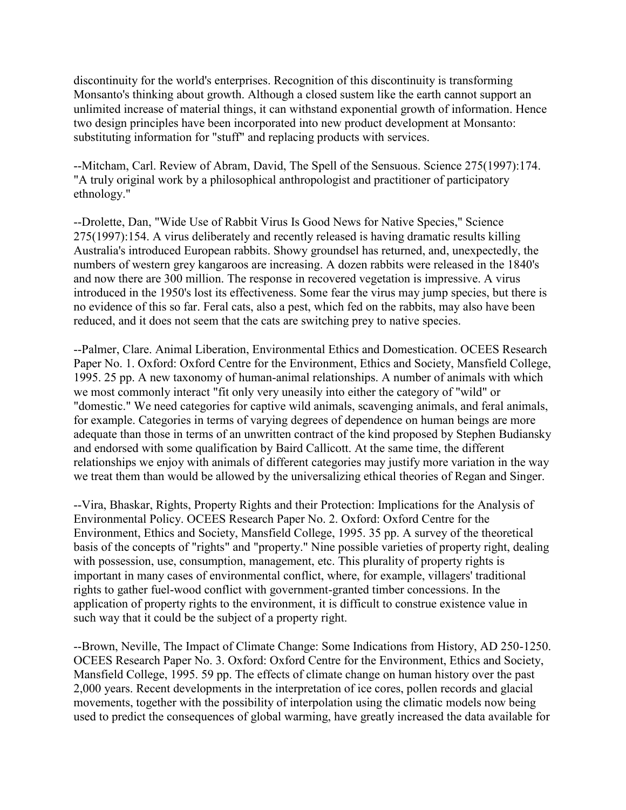discontinuity for the world's enterprises. Recognition of this discontinuity is transforming Monsanto's thinking about growth. Although a closed sustem like the earth cannot support an unlimited increase of material things, it can withstand exponential growth of information. Hence two design principles have been incorporated into new product development at Monsanto: substituting information for "stuff" and replacing products with services.

--Mitcham, Carl. Review of Abram, David, The Spell of the Sensuous. Science 275(1997):174. "A truly original work by a philosophical anthropologist and practitioner of participatory ethnology."

--Drolette, Dan, "Wide Use of Rabbit Virus Is Good News for Native Species," Science 275(1997):154. A virus deliberately and recently released is having dramatic results killing Australia's introduced European rabbits. Showy groundsel has returned, and, unexpectedly, the numbers of western grey kangaroos are increasing. A dozen rabbits were released in the 1840's and now there are 300 million. The response in recovered vegetation is impressive. A virus introduced in the 1950's lost its effectiveness. Some fear the virus may jump species, but there is no evidence of this so far. Feral cats, also a pest, which fed on the rabbits, may also have been reduced, and it does not seem that the cats are switching prey to native species.

--Palmer, Clare. Animal Liberation, Environmental Ethics and Domestication. OCEES Research Paper No. 1. Oxford: Oxford Centre for the Environment, Ethics and Society, Mansfield College, 1995. 25 pp. A new taxonomy of human-animal relationships. A number of animals with which we most commonly interact "fit only very uneasily into either the category of "wild" or "domestic." We need categories for captive wild animals, scavenging animals, and feral animals, for example. Categories in terms of varying degrees of dependence on human beings are more adequate than those in terms of an unwritten contract of the kind proposed by Stephen Budiansky and endorsed with some qualification by Baird Callicott. At the same time, the different relationships we enjoy with animals of different categories may justify more variation in the way we treat them than would be allowed by the universalizing ethical theories of Regan and Singer.

--Vira, Bhaskar, Rights, Property Rights and their Protection: Implications for the Analysis of Environmental Policy. OCEES Research Paper No. 2. Oxford: Oxford Centre for the Environment, Ethics and Society, Mansfield College, 1995. 35 pp. A survey of the theoretical basis of the concepts of "rights" and "property." Nine possible varieties of property right, dealing with possession, use, consumption, management, etc. This plurality of property rights is important in many cases of environmental conflict, where, for example, villagers' traditional rights to gather fuel-wood conflict with government-granted timber concessions. In the application of property rights to the environment, it is difficult to construe existence value in such way that it could be the subject of a property right.

--Brown, Neville, The Impact of Climate Change: Some Indications from History, AD 250-1250. OCEES Research Paper No. 3. Oxford: Oxford Centre for the Environment, Ethics and Society, Mansfield College, 1995. 59 pp. The effects of climate change on human history over the past 2,000 years. Recent developments in the interpretation of ice cores, pollen records and glacial movements, together with the possibility of interpolation using the climatic models now being used to predict the consequences of global warming, have greatly increased the data available for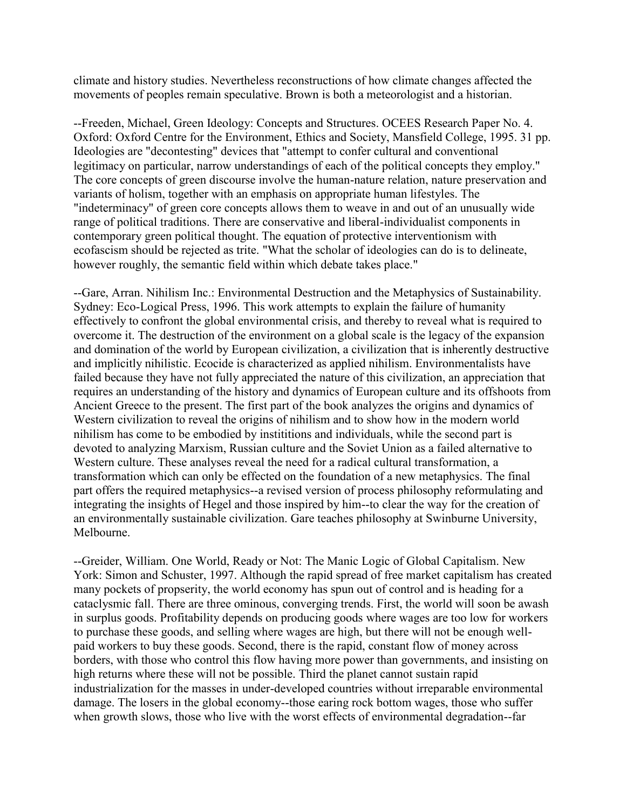climate and history studies. Nevertheless reconstructions of how climate changes affected the movements of peoples remain speculative. Brown is both a meteorologist and a historian.

--Freeden, Michael, Green Ideology: Concepts and Structures. OCEES Research Paper No. 4. Oxford: Oxford Centre for the Environment, Ethics and Society, Mansfield College, 1995. 31 pp. Ideologies are "decontesting" devices that "attempt to confer cultural and conventional legitimacy on particular, narrow understandings of each of the political concepts they employ." The core concepts of green discourse involve the human-nature relation, nature preservation and variants of holism, together with an emphasis on appropriate human lifestyles. The "indeterminacy" of green core concepts allows them to weave in and out of an unusually wide range of political traditions. There are conservative and liberal-individualist components in contemporary green political thought. The equation of protective interventionism with ecofascism should be rejected as trite. "What the scholar of ideologies can do is to delineate, however roughly, the semantic field within which debate takes place."

--Gare, Arran. Nihilism Inc.: Environmental Destruction and the Metaphysics of Sustainability. Sydney: Eco-Logical Press, 1996. This work attempts to explain the failure of humanity effectively to confront the global environmental crisis, and thereby to reveal what is required to overcome it. The destruction of the environment on a global scale is the legacy of the expansion and domination of the world by European civilization, a civilization that is inherently destructive and implicitly nihilistic. Ecocide is characterized as applied nihilism. Environmentalists have failed because they have not fully appreciated the nature of this civilization, an appreciation that requires an understanding of the history and dynamics of European culture and its offshoots from Ancient Greece to the present. The first part of the book analyzes the origins and dynamics of Western civilization to reveal the origins of nihilism and to show how in the modern world nihilism has come to be embodied by instititions and individuals, while the second part is devoted to analyzing Marxism, Russian culture and the Soviet Union as a failed alternative to Western culture. These analyses reveal the need for a radical cultural transformation, a transformation which can only be effected on the foundation of a new metaphysics. The final part offers the required metaphysics--a revised version of process philosophy reformulating and integrating the insights of Hegel and those inspired by him--to clear the way for the creation of an environmentally sustainable civilization. Gare teaches philosophy at Swinburne University, Melbourne.

--Greider, William. One World, Ready or Not: The Manic Logic of Global Capitalism. New York: Simon and Schuster, 1997. Although the rapid spread of free market capitalism has created many pockets of propserity, the world economy has spun out of control and is heading for a cataclysmic fall. There are three ominous, converging trends. First, the world will soon be awash in surplus goods. Profitability depends on producing goods where wages are too low for workers to purchase these goods, and selling where wages are high, but there will not be enough wellpaid workers to buy these goods. Second, there is the rapid, constant flow of money across borders, with those who control this flow having more power than governments, and insisting on high returns where these will not be possible. Third the planet cannot sustain rapid industrialization for the masses in under-developed countries without irreparable environmental damage. The losers in the global economy--those earing rock bottom wages, those who suffer when growth slows, those who live with the worst effects of environmental degradation--far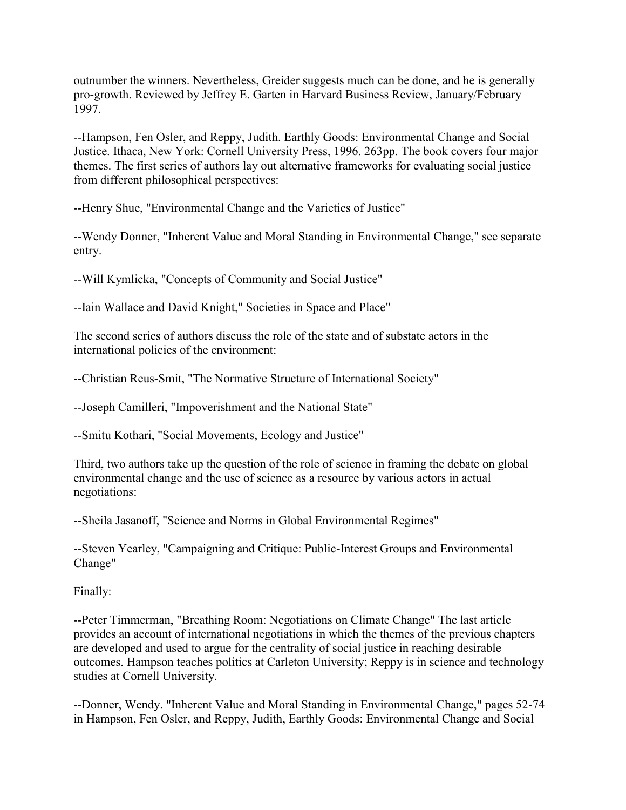outnumber the winners. Nevertheless, Greider suggests much can be done, and he is generally pro-growth. Reviewed by Jeffrey E. Garten in Harvard Business Review, January/February 1997.

--Hampson, Fen Osler, and Reppy, Judith. Earthly Goods: Environmental Change and Social Justice. Ithaca, New York: Cornell University Press, 1996. 263pp. The book covers four major themes. The first series of authors lay out alternative frameworks for evaluating social justice from different philosophical perspectives:

--Henry Shue, "Environmental Change and the Varieties of Justice"

--Wendy Donner, "Inherent Value and Moral Standing in Environmental Change," see separate entry.

--Will Kymlicka, "Concepts of Community and Social Justice"

--Iain Wallace and David Knight," Societies in Space and Place"

The second series of authors discuss the role of the state and of substate actors in the international policies of the environment:

--Christian Reus-Smit, "The Normative Structure of International Society"

--Joseph Camilleri, "Impoverishment and the National State"

--Smitu Kothari, "Social Movements, Ecology and Justice"

Third, two authors take up the question of the role of science in framing the debate on global environmental change and the use of science as a resource by various actors in actual negotiations:

--Sheila Jasanoff, "Science and Norms in Global Environmental Regimes"

--Steven Yearley, "Campaigning and Critique: Public-Interest Groups and Environmental Change"

Finally:

--Peter Timmerman, "Breathing Room: Negotiations on Climate Change" The last article provides an account of international negotiations in which the themes of the previous chapters are developed and used to argue for the centrality of social justice in reaching desirable outcomes. Hampson teaches politics at Carleton University; Reppy is in science and technology studies at Cornell University.

--Donner, Wendy. "Inherent Value and Moral Standing in Environmental Change," pages 52-74 in Hampson, Fen Osler, and Reppy, Judith, Earthly Goods: Environmental Change and Social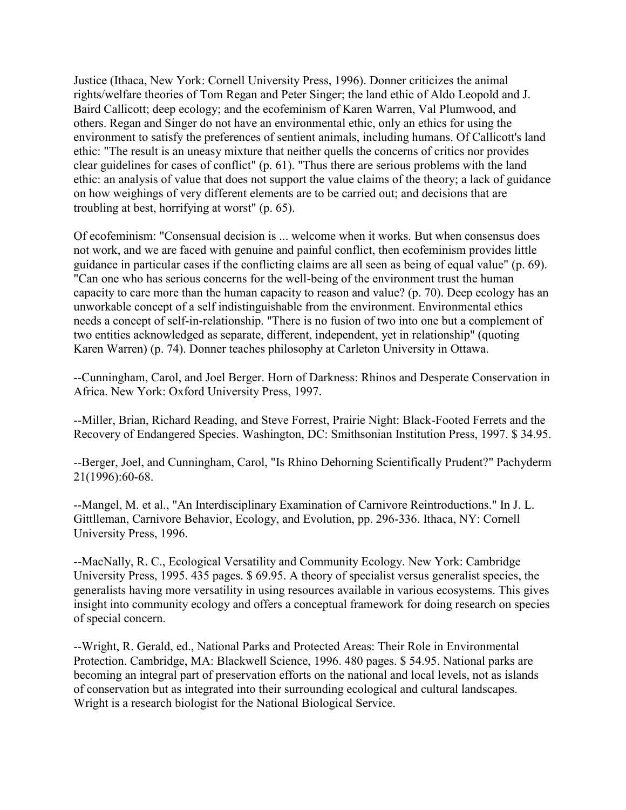Justice (Ithaca, New York: Cornell University Press, 1996). Donner criticizes the animal rights/welfare theories of Tom Regan and Peter Singer; the land ethic of Aldo Leopold and J. Baird Callicott; deep ecology; and the ecofeminism of Karen Warren, Val Plumwood, and others. Regan and Singer do not have an environmental ethic, only an ethics for using the environment to satisfy the preferences of sentient animals, including humans. Of Callicott's land ethic: "The result is an uneasy mixture that neither quells the concerns of critics nor provides clear guidelines for cases of conflict" (p. 61). "Thus there are serious problems with the land ethic: an analysis of value that does not support the value claims of the theory; a lack of guidance on how weighings of very different elements are to be carried out; and decisions that are troubling at best, horrifying at worst" (p. 65).

Of ecofeminism: "Consensual decision is ... welcome when it works. But when consensus does not work, and we are faced with genuine and painful conflict, then ecofeminism provides little guidance in particular cases if the conflicting claims are all seen as being of equal value" (p. 69). "Can one who has serious concerns for the well-being of the environment trust the human capacity to care more than the human capacity to reason and value? (p. 70). Deep ecology has an unworkable concept of a self indistinguishable from the environment. Environmental ethics needs a concept of self-in-relationship. "There is no fusion of two into one but a complement of two entities acknowledged as separate, different, independent, yet in relationship" (quoting Karen Warren) (p. 74). Donner teaches philosophy at Carleton University in Ottawa.

--Cunningham, Carol, and Joel Berger. Horn of Darkness: Rhinos and Desperate Conservation in Africa. New York: Oxford University Press, 1997.

--Miller, Brian, Richard Reading, and Steve Forrest, Prairie Night: Black-Footed Ferrets and the Recovery of Endangered Species. Washington, DC: Smithsonian Institution Press, 1997. \$ 34.95.

--Berger, Joel, and Cunningham, Carol, "Is Rhino Dehorning Scientifically Prudent?" Pachyderm 21(1996):60-68.

--Mangel, M. et al., "An Interdisciplinary Examination of Carnivore Reintroductions." In J. L. Gittlleman, Carnivore Behavior, Ecology, and Evolution, pp. 296-336. Ithaca, NY: Cornell University Press, 1996.

--MacNally, R. C., Ecological Versatility and Community Ecology. New York: Cambridge University Press, 1995. 435 pages. \$ 69.95. A theory of specialist versus generalist species, the generalists having more versatility in using resources available in various ecosystems. This gives insight into community ecology and offers a conceptual framework for doing research on species of special concern.

--Wright, R. Gerald, ed., National Parks and Protected Areas: Their Role in Environmental Protection. Cambridge, MA: Blackwell Science, 1996. 480 pages. \$ 54.95. National parks are becoming an integral part of preservation efforts on the national and local levels, not as islands of conservation but as integrated into their surrounding ecological and cultural landscapes. Wright is a research biologist for the National Biological Service.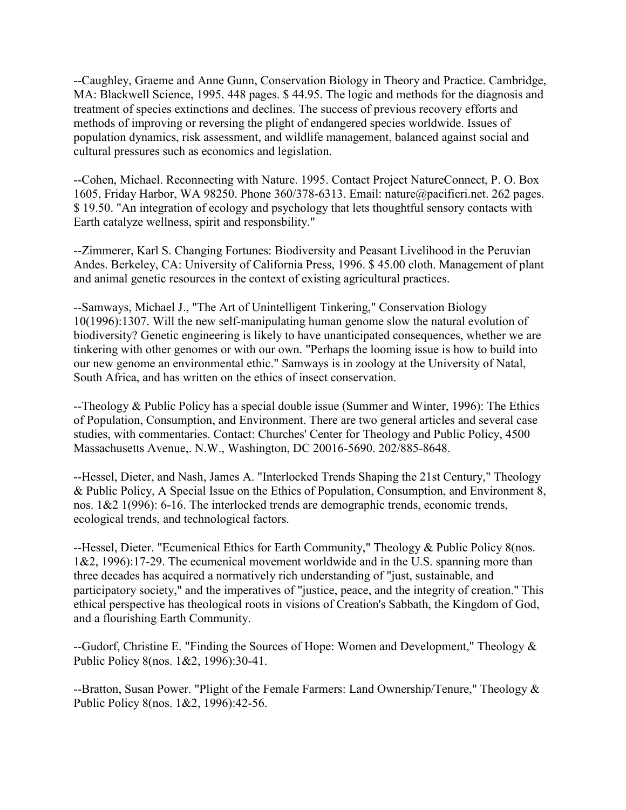--Caughley, Graeme and Anne Gunn, Conservation Biology in Theory and Practice. Cambridge, MA: Blackwell Science, 1995. 448 pages. \$ 44.95. The logic and methods for the diagnosis and treatment of species extinctions and declines. The success of previous recovery efforts and methods of improving or reversing the plight of endangered species worldwide. Issues of population dynamics, risk assessment, and wildlife management, balanced against social and cultural pressures such as economics and legislation.

--Cohen, Michael. Reconnecting with Nature. 1995. Contact Project NatureConnect, P. O. Box 1605, Friday Harbor, WA 98250. Phone 360/378-6313. Email: nature@pacificri.net. 262 pages. \$ 19.50. "An integration of ecology and psychology that lets thoughtful sensory contacts with Earth catalyze wellness, spirit and responsbility."

--Zimmerer, Karl S. Changing Fortunes: Biodiversity and Peasant Livelihood in the Peruvian Andes. Berkeley, CA: University of California Press, 1996. \$ 45.00 cloth. Management of plant and animal genetic resources in the context of existing agricultural practices.

--Samways, Michael J., "The Art of Unintelligent Tinkering," Conservation Biology 10(1996):1307. Will the new self-manipulating human genome slow the natural evolution of biodiversity? Genetic engineering is likely to have unanticipated consequences, whether we are tinkering with other genomes or with our own. "Perhaps the looming issue is how to build into our new genome an environmental ethic." Samways is in zoology at the University of Natal, South Africa, and has written on the ethics of insect conservation.

--Theology & Public Policy has a special double issue (Summer and Winter, 1996): The Ethics of Population, Consumption, and Environment. There are two general articles and several case studies, with commentaries. Contact: Churches' Center for Theology and Public Policy, 4500 Massachusetts Avenue,. N.W., Washington, DC 20016-5690. 202/885-8648.

--Hessel, Dieter, and Nash, James A. "Interlocked Trends Shaping the 21st Century," Theology & Public Policy, A Special Issue on the Ethics of Population, Consumption, and Environment 8, nos. 1&2 1(996): 6-16. The interlocked trends are demographic trends, economic trends, ecological trends, and technological factors.

--Hessel, Dieter. "Ecumenical Ethics for Earth Community," Theology & Public Policy 8(nos. 1&2, 1996):17-29. The ecumenical movement worldwide and in the U.S. spanning more than three decades has acquired a normatively rich understanding of "just, sustainable, and participatory society," and the imperatives of "justice, peace, and the integrity of creation." This ethical perspective has theological roots in visions of Creation's Sabbath, the Kingdom of God, and a flourishing Earth Community.

--Gudorf, Christine E. "Finding the Sources of Hope: Women and Development," Theology & Public Policy 8(nos. 1&2, 1996):30-41.

--Bratton, Susan Power. "Plight of the Female Farmers: Land Ownership/Tenure," Theology & Public Policy 8(nos. 1&2, 1996):42-56.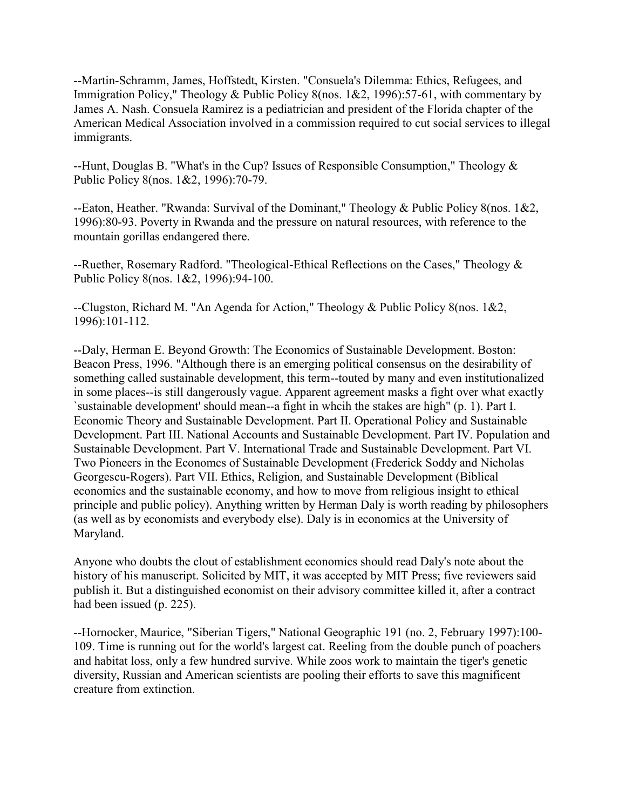--Martin-Schramm, James, Hoffstedt, Kirsten. "Consuela's Dilemma: Ethics, Refugees, and Immigration Policy," Theology & Public Policy 8(nos. 1&2, 1996):57-61, with commentary by James A. Nash. Consuela Ramirez is a pediatrician and president of the Florida chapter of the American Medical Association involved in a commission required to cut social services to illegal immigrants.

--Hunt, Douglas B. "What's in the Cup? Issues of Responsible Consumption," Theology & Public Policy 8(nos. 1&2, 1996):70-79.

--Eaton, Heather. "Rwanda: Survival of the Dominant," Theology & Public Policy 8(nos. 1&2, 1996):80-93. Poverty in Rwanda and the pressure on natural resources, with reference to the mountain gorillas endangered there.

--Ruether, Rosemary Radford. "Theological-Ethical Reflections on the Cases," Theology & Public Policy 8(nos. 1&2, 1996):94-100.

--Clugston, Richard M. "An Agenda for Action," Theology & Public Policy 8(nos. 1&2, 1996):101-112.

--Daly, Herman E. Beyond Growth: The Economics of Sustainable Development. Boston: Beacon Press, 1996. "Although there is an emerging political consensus on the desirability of something called sustainable development, this term--touted by many and even institutionalized in some places--is still dangerously vague. Apparent agreement masks a fight over what exactly `sustainable development' should mean--a fight in whcih the stakes are high" (p. 1). Part I. Economic Theory and Sustainable Development. Part II. Operational Policy and Sustainable Development. Part III. National Accounts and Sustainable Development. Part IV. Population and Sustainable Development. Part V. International Trade and Sustainable Development. Part VI. Two Pioneers in the Economcs of Sustainable Development (Frederick Soddy and Nicholas Georgescu-Rogers). Part VII. Ethics, Religion, and Sustainable Development (Biblical economics and the sustainable economy, and how to move from religious insight to ethical principle and public policy). Anything written by Herman Daly is worth reading by philosophers (as well as by economists and everybody else). Daly is in economics at the University of Maryland.

Anyone who doubts the clout of establishment economics should read Daly's note about the history of his manuscript. Solicited by MIT, it was accepted by MIT Press; five reviewers said publish it. But a distinguished economist on their advisory committee killed it, after a contract had been issued (p. 225).

--Hornocker, Maurice, "Siberian Tigers," National Geographic 191 (no. 2, February 1997):100- 109. Time is running out for the world's largest cat. Reeling from the double punch of poachers and habitat loss, only a few hundred survive. While zoos work to maintain the tiger's genetic diversity, Russian and American scientists are pooling their efforts to save this magnificent creature from extinction.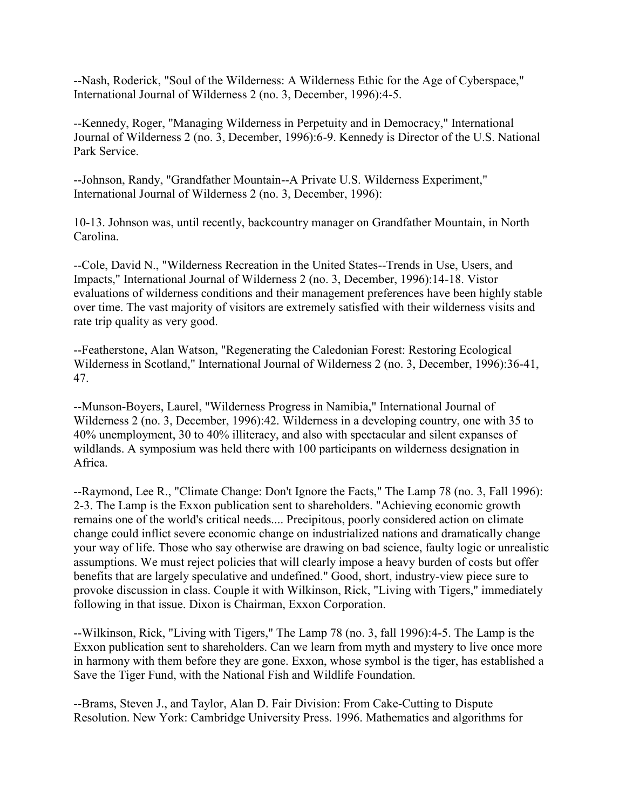--Nash, Roderick, "Soul of the Wilderness: A Wilderness Ethic for the Age of Cyberspace," International Journal of Wilderness 2 (no. 3, December, 1996):4-5.

--Kennedy, Roger, "Managing Wilderness in Perpetuity and in Democracy," International Journal of Wilderness 2 (no. 3, December, 1996):6-9. Kennedy is Director of the U.S. National Park Service.

--Johnson, Randy, "Grandfather Mountain--A Private U.S. Wilderness Experiment," International Journal of Wilderness 2 (no. 3, December, 1996):

10-13. Johnson was, until recently, backcountry manager on Grandfather Mountain, in North Carolina.

--Cole, David N., "Wilderness Recreation in the United States--Trends in Use, Users, and Impacts," International Journal of Wilderness 2 (no. 3, December, 1996):14-18. Vistor evaluations of wilderness conditions and their management preferences have been highly stable over time. The vast majority of visitors are extremely satisfied with their wilderness visits and rate trip quality as very good.

--Featherstone, Alan Watson, "Regenerating the Caledonian Forest: Restoring Ecological Wilderness in Scotland," International Journal of Wilderness 2 (no. 3, December, 1996):36-41, 47.

--Munson-Boyers, Laurel, "Wilderness Progress in Namibia," International Journal of Wilderness 2 (no. 3, December, 1996):42. Wilderness in a developing country, one with 35 to 40% unemployment, 30 to 40% illiteracy, and also with spectacular and silent expanses of wildlands. A symposium was held there with 100 participants on wilderness designation in Africa.

--Raymond, Lee R., "Climate Change: Don't Ignore the Facts," The Lamp 78 (no. 3, Fall 1996): 2-3. The Lamp is the Exxon publication sent to shareholders. "Achieving economic growth remains one of the world's critical needs.... Precipitous, poorly considered action on climate change could inflict severe economic change on industrialized nations and dramatically change your way of life. Those who say otherwise are drawing on bad science, faulty logic or unrealistic assumptions. We must reject policies that will clearly impose a heavy burden of costs but offer benefits that are largely speculative and undefined." Good, short, industry-view piece sure to provoke discussion in class. Couple it with Wilkinson, Rick, "Living with Tigers," immediately following in that issue. Dixon is Chairman, Exxon Corporation.

--Wilkinson, Rick, "Living with Tigers," The Lamp 78 (no. 3, fall 1996):4-5. The Lamp is the Exxon publication sent to shareholders. Can we learn from myth and mystery to live once more in harmony with them before they are gone. Exxon, whose symbol is the tiger, has established a Save the Tiger Fund, with the National Fish and Wildlife Foundation.

--Brams, Steven J., and Taylor, Alan D. Fair Division: From Cake-Cutting to Dispute Resolution. New York: Cambridge University Press. 1996. Mathematics and algorithms for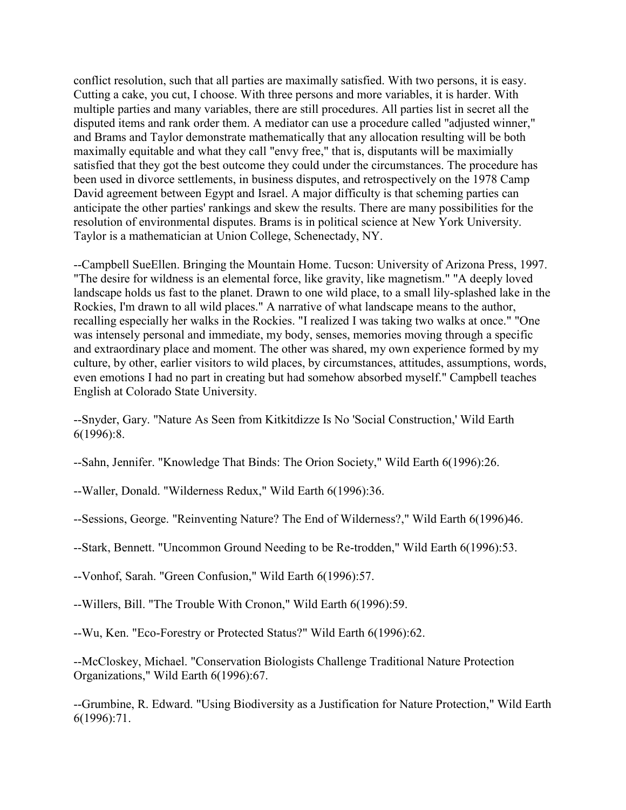conflict resolution, such that all parties are maximally satisfied. With two persons, it is easy. Cutting a cake, you cut, I choose. With three persons and more variables, it is harder. With multiple parties and many variables, there are still procedures. All parties list in secret all the disputed items and rank order them. A mediator can use a procedure called "adjusted winner," and Brams and Taylor demonstrate mathematically that any allocation resulting will be both maximally equitable and what they call "envy free," that is, disputants will be maximially satisfied that they got the best outcome they could under the circumstances. The procedure has been used in divorce settlements, in business disputes, and retrospectively on the 1978 Camp David agreement between Egypt and Israel. A major difficulty is that scheming parties can anticipate the other parties' rankings and skew the results. There are many possibilities for the resolution of environmental disputes. Brams is in political science at New York University. Taylor is a mathematician at Union College, Schenectady, NY.

--Campbell SueEllen. Bringing the Mountain Home. Tucson: University of Arizona Press, 1997. "The desire for wildness is an elemental force, like gravity, like magnetism." "A deeply loved landscape holds us fast to the planet. Drawn to one wild place, to a small lily-splashed lake in the Rockies, I'm drawn to all wild places." A narrative of what landscape means to the author, recalling especially her walks in the Rockies. "I realized I was taking two walks at once." "One was intensely personal and immediate, my body, senses, memories moving through a specific and extraordinary place and moment. The other was shared, my own experience formed by my culture, by other, earlier visitors to wild places, by circumstances, attitudes, assumptions, words, even emotions I had no part in creating but had somehow absorbed myself." Campbell teaches English at Colorado State University.

--Snyder, Gary. "Nature As Seen from Kitkitdizze Is No 'Social Construction,' Wild Earth 6(1996):8.

--Sahn, Jennifer. "Knowledge That Binds: The Orion Society," Wild Earth 6(1996):26.

--Waller, Donald. "Wilderness Redux," Wild Earth 6(1996):36.

--Sessions, George. "Reinventing Nature? The End of Wilderness?," Wild Earth 6(1996)46.

--Stark, Bennett. "Uncommon Ground Needing to be Re-trodden," Wild Earth 6(1996):53.

--Vonhof, Sarah. "Green Confusion," Wild Earth 6(1996):57.

--Willers, Bill. "The Trouble With Cronon," Wild Earth 6(1996):59.

--Wu, Ken. "Eco-Forestry or Protected Status?" Wild Earth 6(1996):62.

--McCloskey, Michael. "Conservation Biologists Challenge Traditional Nature Protection Organizations," Wild Earth 6(1996):67.

--Grumbine, R. Edward. "Using Biodiversity as a Justification for Nature Protection," Wild Earth 6(1996):71.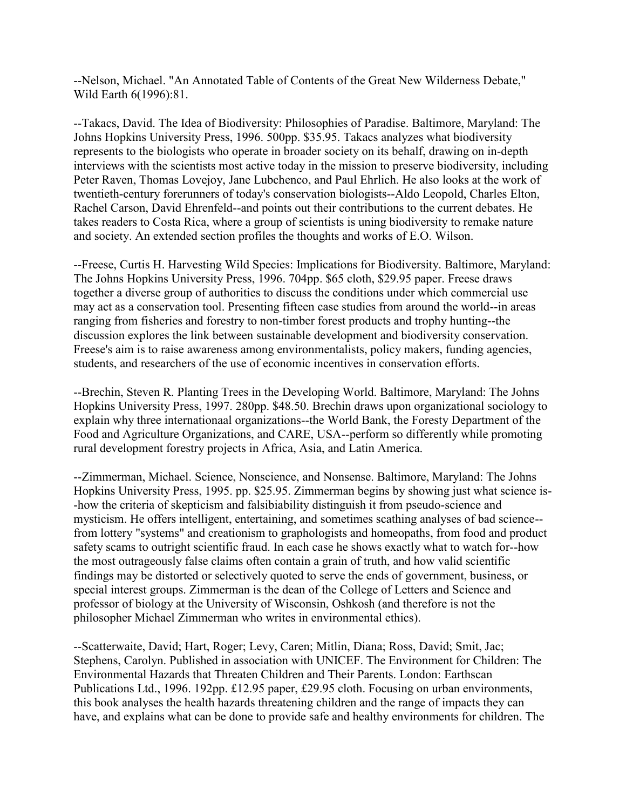--Nelson, Michael. "An Annotated Table of Contents of the Great New Wilderness Debate," Wild Earth 6(1996):81.

--Takacs, David. The Idea of Biodiversity: Philosophies of Paradise. Baltimore, Maryland: The Johns Hopkins University Press, 1996. 500pp. \$35.95. Takacs analyzes what biodiversity represents to the biologists who operate in broader society on its behalf, drawing on in-depth interviews with the scientists most active today in the mission to preserve biodiversity, including Peter Raven, Thomas Lovejoy, Jane Lubchenco, and Paul Ehrlich. He also looks at the work of twentieth-century forerunners of today's conservation biologists--Aldo Leopold, Charles Elton, Rachel Carson, David Ehrenfeld--and points out their contributions to the current debates. He takes readers to Costa Rica, where a group of scientists is uning biodiversity to remake nature and society. An extended section profiles the thoughts and works of E.O. Wilson.

--Freese, Curtis H. Harvesting Wild Species: Implications for Biodiversity. Baltimore, Maryland: The Johns Hopkins University Press, 1996. 704pp. \$65 cloth, \$29.95 paper. Freese draws together a diverse group of authorities to discuss the conditions under which commercial use may act as a conservation tool. Presenting fifteen case studies from around the world--in areas ranging from fisheries and forestry to non-timber forest products and trophy hunting--the discussion explores the link between sustainable development and biodiversity conservation. Freese's aim is to raise awareness among environmentalists, policy makers, funding agencies, students, and researchers of the use of economic incentives in conservation efforts.

--Brechin, Steven R. Planting Trees in the Developing World. Baltimore, Maryland: The Johns Hopkins University Press, 1997. 280pp. \$48.50. Brechin draws upon organizational sociology to explain why three internationaal organizations--the World Bank, the Foresty Department of the Food and Agriculture Organizations, and CARE, USA--perform so differently while promoting rural development forestry projects in Africa, Asia, and Latin America.

--Zimmerman, Michael. Science, Nonscience, and Nonsense. Baltimore, Maryland: The Johns Hopkins University Press, 1995. pp. \$25.95. Zimmerman begins by showing just what science is- -how the criteria of skepticism and falsibiability distinguish it from pseudo-science and mysticism. He offers intelligent, entertaining, and sometimes scathing analyses of bad science- from lottery "systems" and creationism to graphologists and homeopaths, from food and product safety scams to outright scientific fraud. In each case he shows exactly what to watch for--how the most outrageously false claims often contain a grain of truth, and how valid scientific findings may be distorted or selectively quoted to serve the ends of government, business, or special interest groups. Zimmerman is the dean of the College of Letters and Science and professor of biology at the University of Wisconsin, Oshkosh (and therefore is not the philosopher Michael Zimmerman who writes in environmental ethics).

--Scatterwaite, David; Hart, Roger; Levy, Caren; Mitlin, Diana; Ross, David; Smit, Jac; Stephens, Carolyn. Published in association with UNICEF. The Environment for Children: The Environmental Hazards that Threaten Children and Their Parents. London: Earthscan Publications Ltd., 1996. 192pp. £12.95 paper, £29.95 cloth. Focusing on urban environments, this book analyses the health hazards threatening children and the range of impacts they can have, and explains what can be done to provide safe and healthy environments for children. The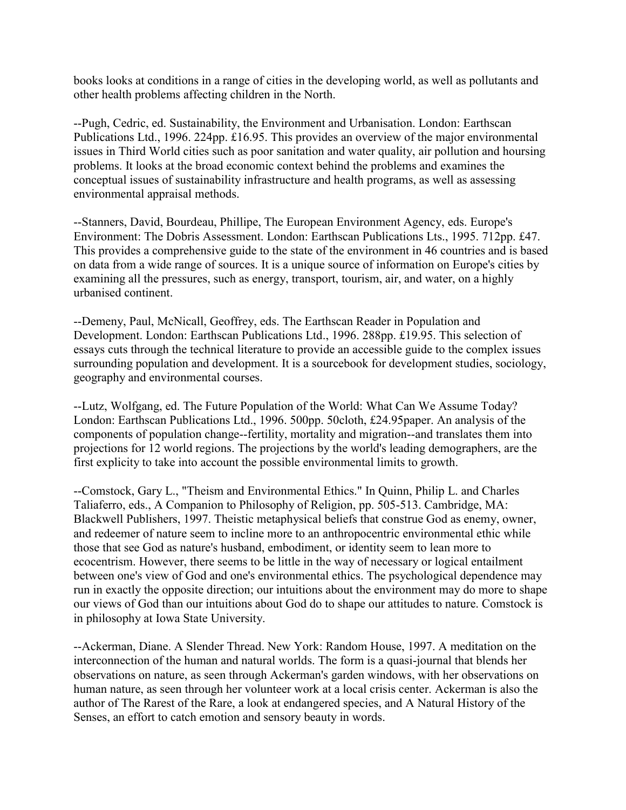books looks at conditions in a range of cities in the developing world, as well as pollutants and other health problems affecting children in the North.

--Pugh, Cedric, ed. Sustainability, the Environment and Urbanisation. London: Earthscan Publications Ltd., 1996. 224pp. £16.95. This provides an overview of the major environmental issues in Third World cities such as poor sanitation and water quality, air pollution and hoursing problems. It looks at the broad economic context behind the problems and examines the conceptual issues of sustainability infrastructure and health programs, as well as assessing environmental appraisal methods.

--Stanners, David, Bourdeau, Phillipe, The European Environment Agency, eds. Europe's Environment: The Dobris Assessment. London: Earthscan Publications Lts., 1995. 712pp. £47. This provides a comprehensive guide to the state of the environment in 46 countries and is based on data from a wide range of sources. It is a unique source of information on Europe's cities by examining all the pressures, such as energy, transport, tourism, air, and water, on a highly urbanised continent.

--Demeny, Paul, McNicall, Geoffrey, eds. The Earthscan Reader in Population and Development. London: Earthscan Publications Ltd., 1996. 288pp. £19.95. This selection of essays cuts through the technical literature to provide an accessible guide to the complex issues surrounding population and development. It is a sourcebook for development studies, sociology, geography and environmental courses.

--Lutz, Wolfgang, ed. The Future Population of the World: What Can We Assume Today? London: Earthscan Publications Ltd., 1996. 500pp. 50cloth, £24.95paper. An analysis of the components of population change--fertility, mortality and migration--and translates them into projections for 12 world regions. The projections by the world's leading demographers, are the first explicity to take into account the possible environmental limits to growth.

--Comstock, Gary L., "Theism and Environmental Ethics." In Quinn, Philip L. and Charles Taliaferro, eds., A Companion to Philosophy of Religion, pp. 505-513. Cambridge, MA: Blackwell Publishers, 1997. Theistic metaphysical beliefs that construe God as enemy, owner, and redeemer of nature seem to incline more to an anthropocentric environmental ethic while those that see God as nature's husband, embodiment, or identity seem to lean more to ecocentrism. However, there seems to be little in the way of necessary or logical entailment between one's view of God and one's environmental ethics. The psychological dependence may run in exactly the opposite direction; our intuitions about the environment may do more to shape our views of God than our intuitions about God do to shape our attitudes to nature. Comstock is in philosophy at Iowa State University.

--Ackerman, Diane. A Slender Thread. New York: Random House, 1997. A meditation on the interconnection of the human and natural worlds. The form is a quasi-journal that blends her observations on nature, as seen through Ackerman's garden windows, with her observations on human nature, as seen through her volunteer work at a local crisis center. Ackerman is also the author of The Rarest of the Rare, a look at endangered species, and A Natural History of the Senses, an effort to catch emotion and sensory beauty in words.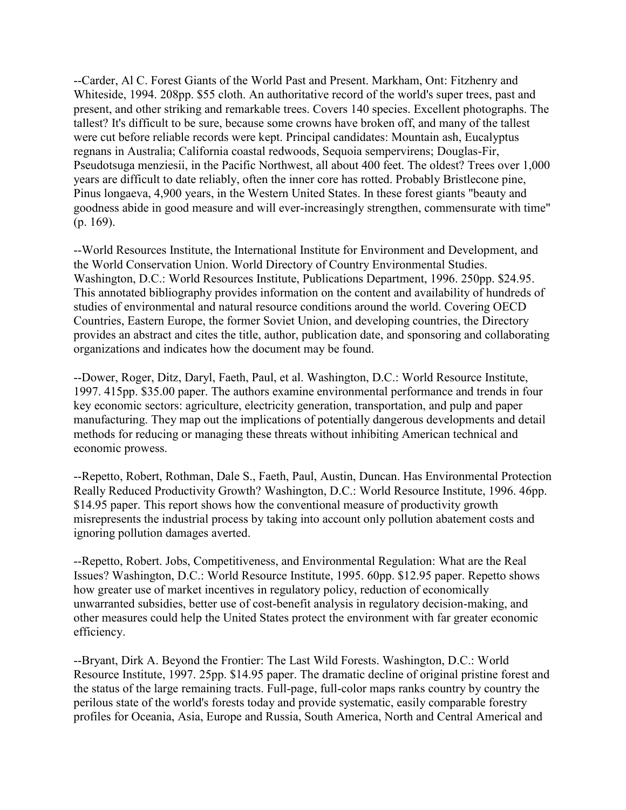--Carder, Al C. Forest Giants of the World Past and Present. Markham, Ont: Fitzhenry and Whiteside, 1994. 208pp. \$55 cloth. An authoritative record of the world's super trees, past and present, and other striking and remarkable trees. Covers 140 species. Excellent photographs. The tallest? It's difficult to be sure, because some crowns have broken off, and many of the tallest were cut before reliable records were kept. Principal candidates: Mountain ash, Eucalyptus regnans in Australia; California coastal redwoods, Sequoia sempervirens; Douglas-Fir, Pseudotsuga menziesii, in the Pacific Northwest, all about 400 feet. The oldest? Trees over 1,000 years are difficult to date reliably, often the inner core has rotted. Probably Bristlecone pine, Pinus longaeva, 4,900 years, in the Western United States. In these forest giants "beauty and goodness abide in good measure and will ever-increasingly strengthen, commensurate with time" (p. 169).

--World Resources Institute, the International Institute for Environment and Development, and the World Conservation Union. World Directory of Country Environmental Studies. Washington, D.C.: World Resources Institute, Publications Department, 1996. 250pp. \$24.95. This annotated bibliography provides information on the content and availability of hundreds of studies of environmental and natural resource conditions around the world. Covering OECD Countries, Eastern Europe, the former Soviet Union, and developing countries, the Directory provides an abstract and cites the title, author, publication date, and sponsoring and collaborating organizations and indicates how the document may be found.

--Dower, Roger, Ditz, Daryl, Faeth, Paul, et al. Washington, D.C.: World Resource Institute, 1997. 415pp. \$35.00 paper. The authors examine environmental performance and trends in four key economic sectors: agriculture, electricity generation, transportation, and pulp and paper manufacturing. They map out the implications of potentially dangerous developments and detail methods for reducing or managing these threats without inhibiting American technical and economic prowess.

--Repetto, Robert, Rothman, Dale S., Faeth, Paul, Austin, Duncan. Has Environmental Protection Really Reduced Productivity Growth? Washington, D.C.: World Resource Institute, 1996. 46pp. \$14.95 paper. This report shows how the conventional measure of productivity growth misrepresents the industrial process by taking into account only pollution abatement costs and ignoring pollution damages averted.

--Repetto, Robert. Jobs, Competitiveness, and Environmental Regulation: What are the Real Issues? Washington, D.C.: World Resource Institute, 1995. 60pp. \$12.95 paper. Repetto shows how greater use of market incentives in regulatory policy, reduction of economically unwarranted subsidies, better use of cost-benefit analysis in regulatory decision-making, and other measures could help the United States protect the environment with far greater economic efficiency.

--Bryant, Dirk A. Beyond the Frontier: The Last Wild Forests. Washington, D.C.: World Resource Institute, 1997. 25pp. \$14.95 paper. The dramatic decline of original pristine forest and the status of the large remaining tracts. Full-page, full-color maps ranks country by country the perilous state of the world's forests today and provide systematic, easily comparable forestry profiles for Oceania, Asia, Europe and Russia, South America, North and Central Americal and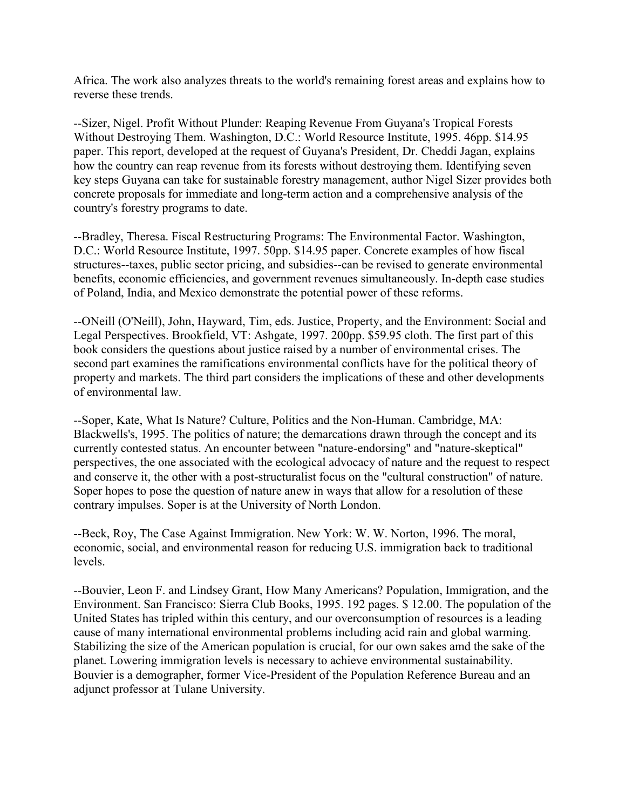Africa. The work also analyzes threats to the world's remaining forest areas and explains how to reverse these trends.

--Sizer, Nigel. Profit Without Plunder: Reaping Revenue From Guyana's Tropical Forests Without Destroying Them. Washington, D.C.: World Resource Institute, 1995. 46pp. \$14.95 paper. This report, developed at the request of Guyana's President, Dr. Cheddi Jagan, explains how the country can reap revenue from its forests without destroying them. Identifying seven key steps Guyana can take for sustainable forestry management, author Nigel Sizer provides both concrete proposals for immediate and long-term action and a comprehensive analysis of the country's forestry programs to date.

--Bradley, Theresa. Fiscal Restructuring Programs: The Environmental Factor. Washington, D.C.: World Resource Institute, 1997. 50pp. \$14.95 paper. Concrete examples of how fiscal structures--taxes, public sector pricing, and subsidies--can be revised to generate environmental benefits, economic efficiencies, and government revenues simultaneously. In-depth case studies of Poland, India, and Mexico demonstrate the potential power of these reforms.

--ONeill (O'Neill), John, Hayward, Tim, eds. Justice, Property, and the Environment: Social and Legal Perspectives. Brookfield, VT: Ashgate, 1997. 200pp. \$59.95 cloth. The first part of this book considers the questions about justice raised by a number of environmental crises. The second part examines the ramifications environmental conflicts have for the political theory of property and markets. The third part considers the implications of these and other developments of environmental law.

--Soper, Kate, What Is Nature? Culture, Politics and the Non-Human. Cambridge, MA: Blackwells's, 1995. The politics of nature; the demarcations drawn through the concept and its currently contested status. An encounter between "nature-endorsing" and "nature-skeptical" perspectives, the one associated with the ecological advocacy of nature and the request to respect and conserve it, the other with a post-structuralist focus on the "cultural construction" of nature. Soper hopes to pose the question of nature anew in ways that allow for a resolution of these contrary impulses. Soper is at the University of North London.

--Beck, Roy, The Case Against Immigration. New York: W. W. Norton, 1996. The moral, economic, social, and environmental reason for reducing U.S. immigration back to traditional levels.

--Bouvier, Leon F. and Lindsey Grant, How Many Americans? Population, Immigration, and the Environment. San Francisco: Sierra Club Books, 1995. 192 pages. \$ 12.00. The population of the United States has tripled within this century, and our overconsumption of resources is a leading cause of many international environmental problems including acid rain and global warming. Stabilizing the size of the American population is crucial, for our own sakes amd the sake of the planet. Lowering immigration levels is necessary to achieve environmental sustainability. Bouvier is a demographer, former Vice-President of the Population Reference Bureau and an adjunct professor at Tulane University.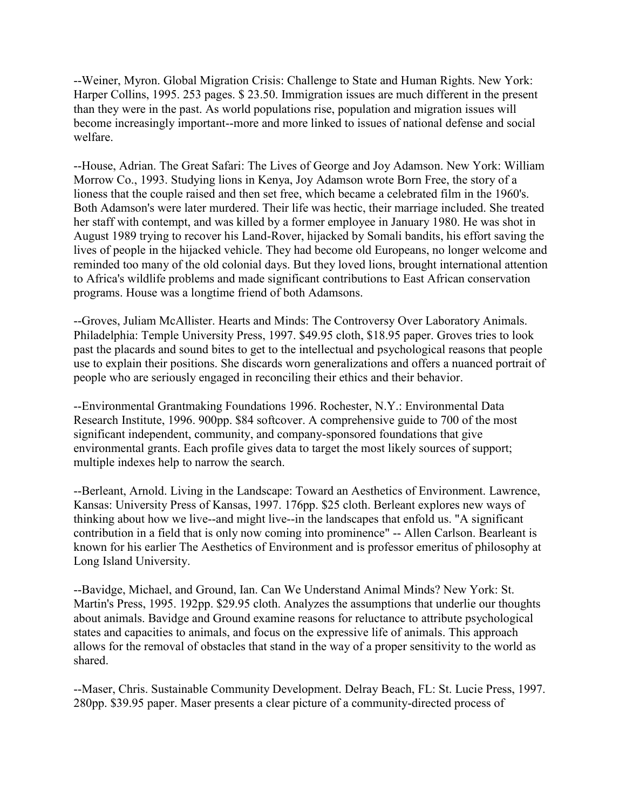--Weiner, Myron. Global Migration Crisis: Challenge to State and Human Rights. New York: Harper Collins, 1995. 253 pages. \$ 23.50. Immigration issues are much different in the present than they were in the past. As world populations rise, population and migration issues will become increasingly important--more and more linked to issues of national defense and social welfare.

--House, Adrian. The Great Safari: The Lives of George and Joy Adamson. New York: William Morrow Co., 1993. Studying lions in Kenya, Joy Adamson wrote Born Free, the story of a lioness that the couple raised and then set free, which became a celebrated film in the 1960's. Both Adamson's were later murdered. Their life was hectic, their marriage included. She treated her staff with contempt, and was killed by a former employee in January 1980. He was shot in August 1989 trying to recover his Land-Rover, hijacked by Somali bandits, his effort saving the lives of people in the hijacked vehicle. They had become old Europeans, no longer welcome and reminded too many of the old colonial days. But they loved lions, brought international attention to Africa's wildlife problems and made significant contributions to East African conservation programs. House was a longtime friend of both Adamsons.

--Groves, Juliam McAllister. Hearts and Minds: The Controversy Over Laboratory Animals. Philadelphia: Temple University Press, 1997. \$49.95 cloth, \$18.95 paper. Groves tries to look past the placards and sound bites to get to the intellectual and psychological reasons that people use to explain their positions. She discards worn generalizations and offers a nuanced portrait of people who are seriously engaged in reconciling their ethics and their behavior.

--Environmental Grantmaking Foundations 1996. Rochester, N.Y.: Environmental Data Research Institute, 1996. 900pp. \$84 softcover. A comprehensive guide to 700 of the most significant independent, community, and company-sponsored foundations that give environmental grants. Each profile gives data to target the most likely sources of support; multiple indexes help to narrow the search.

--Berleant, Arnold. Living in the Landscape: Toward an Aesthetics of Environment. Lawrence, Kansas: University Press of Kansas, 1997. 176pp. \$25 cloth. Berleant explores new ways of thinking about how we live--and might live--in the landscapes that enfold us. "A significant contribution in a field that is only now coming into prominence" -- Allen Carlson. Bearleant is known for his earlier The Aesthetics of Environment and is professor emeritus of philosophy at Long Island University.

--Bavidge, Michael, and Ground, Ian. Can We Understand Animal Minds? New York: St. Martin's Press, 1995. 192pp. \$29.95 cloth. Analyzes the assumptions that underlie our thoughts about animals. Bavidge and Ground examine reasons for reluctance to attribute psychological states and capacities to animals, and focus on the expressive life of animals. This approach allows for the removal of obstacles that stand in the way of a proper sensitivity to the world as shared.

--Maser, Chris. Sustainable Community Development. Delray Beach, FL: St. Lucie Press, 1997. 280pp. \$39.95 paper. Maser presents a clear picture of a community-directed process of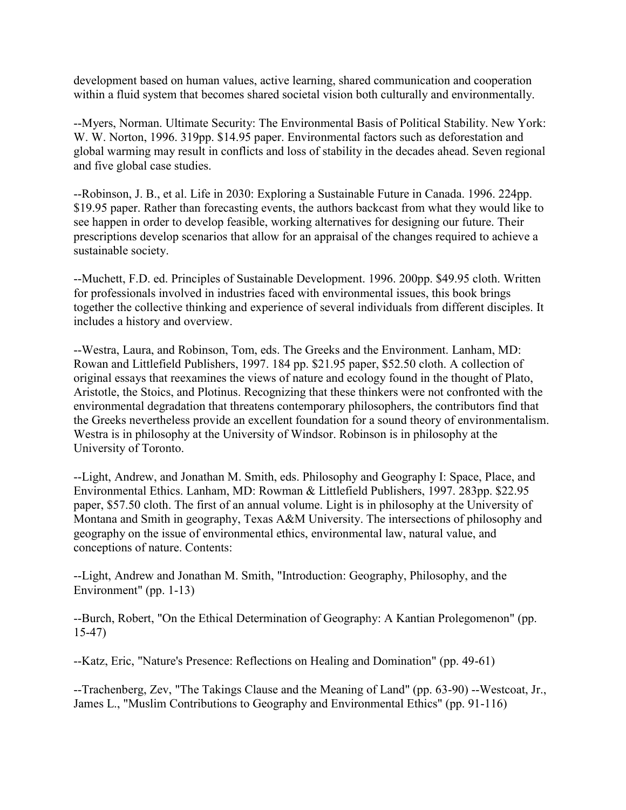development based on human values, active learning, shared communication and cooperation within a fluid system that becomes shared societal vision both culturally and environmentally.

--Myers, Norman. Ultimate Security: The Environmental Basis of Political Stability. New York: W. W. Norton, 1996. 319pp. \$14.95 paper. Environmental factors such as deforestation and global warming may result in conflicts and loss of stability in the decades ahead. Seven regional and five global case studies.

--Robinson, J. B., et al. Life in 2030: Exploring a Sustainable Future in Canada. 1996. 224pp. \$19.95 paper. Rather than forecasting events, the authors backcast from what they would like to see happen in order to develop feasible, working alternatives for designing our future. Their prescriptions develop scenarios that allow for an appraisal of the changes required to achieve a sustainable society.

--Muchett, F.D. ed. Principles of Sustainable Development. 1996. 200pp. \$49.95 cloth. Written for professionals involved in industries faced with environmental issues, this book brings together the collective thinking and experience of several individuals from different disciples. It includes a history and overview.

--Westra, Laura, and Robinson, Tom, eds. The Greeks and the Environment. Lanham, MD: Rowan and Littlefield Publishers, 1997. 184 pp. \$21.95 paper, \$52.50 cloth. A collection of original essays that reexamines the views of nature and ecology found in the thought of Plato, Aristotle, the Stoics, and Plotinus. Recognizing that these thinkers were not confronted with the environmental degradation that threatens contemporary philosophers, the contributors find that the Greeks nevertheless provide an excellent foundation for a sound theory of environmentalism. Westra is in philosophy at the University of Windsor. Robinson is in philosophy at the University of Toronto.

--Light, Andrew, and Jonathan M. Smith, eds. Philosophy and Geography I: Space, Place, and Environmental Ethics. Lanham, MD: Rowman & Littlefield Publishers, 1997. 283pp. \$22.95 paper, \$57.50 cloth. The first of an annual volume. Light is in philosophy at the University of Montana and Smith in geography, Texas A&M University. The intersections of philosophy and geography on the issue of environmental ethics, environmental law, natural value, and conceptions of nature. Contents:

--Light, Andrew and Jonathan M. Smith, "Introduction: Geography, Philosophy, and the Environment" (pp. 1-13)

--Burch, Robert, "On the Ethical Determination of Geography: A Kantian Prolegomenon" (pp. 15-47)

--Katz, Eric, "Nature's Presence: Reflections on Healing and Domination" (pp. 49-61)

--Trachenberg, Zev, "The Takings Clause and the Meaning of Land" (pp. 63-90) --Westcoat, Jr., James L., "Muslim Contributions to Geography and Environmental Ethics" (pp. 91-116)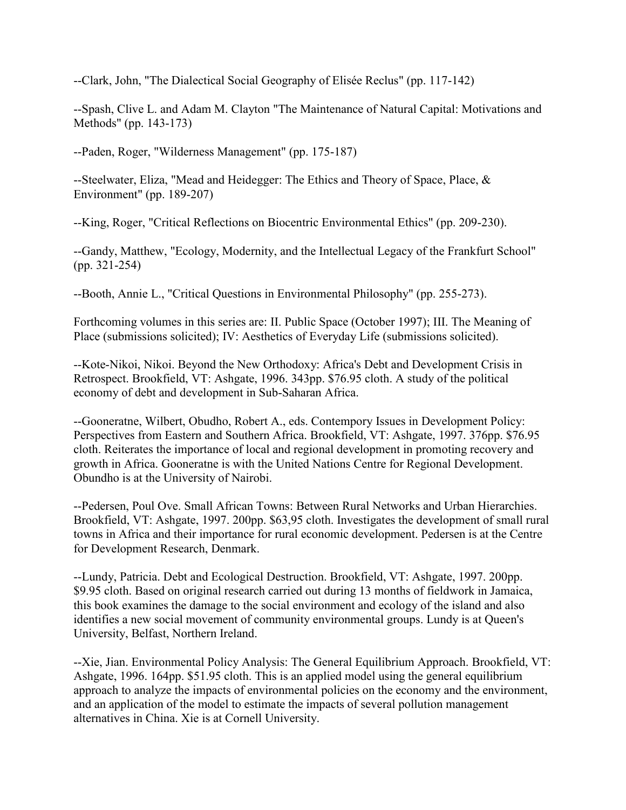--Clark, John, "The Dialectical Social Geography of Elisée Reclus" (pp. 117-142)

--Spash, Clive L. and Adam M. Clayton "The Maintenance of Natural Capital: Motivations and Methods" (pp. 143-173)

--Paden, Roger, "Wilderness Management" (pp. 175-187)

--Steelwater, Eliza, "Mead and Heidegger: The Ethics and Theory of Space, Place, & Environment" (pp. 189-207)

--King, Roger, "Critical Reflections on Biocentric Environmental Ethics" (pp. 209-230).

--Gandy, Matthew, "Ecology, Modernity, and the Intellectual Legacy of the Frankfurt School" (pp. 321-254)

--Booth, Annie L., "Critical Questions in Environmental Philosophy" (pp. 255-273).

Forthcoming volumes in this series are: II. Public Space (October 1997); III. The Meaning of Place (submissions solicited); IV: Aesthetics of Everyday Life (submissions solicited).

--Kote-Nikoi, Nikoi. Beyond the New Orthodoxy: Africa's Debt and Development Crisis in Retrospect. Brookfield, VT: Ashgate, 1996. 343pp. \$76.95 cloth. A study of the political economy of debt and development in Sub-Saharan Africa.

--Gooneratne, Wilbert, Obudho, Robert A., eds. Contempory Issues in Development Policy: Perspectives from Eastern and Southern Africa. Brookfield, VT: Ashgate, 1997. 376pp. \$76.95 cloth. Reiterates the importance of local and regional development in promoting recovery and growth in Africa. Gooneratne is with the United Nations Centre for Regional Development. Obundho is at the University of Nairobi.

--Pedersen, Poul Ove. Small African Towns: Between Rural Networks and Urban Hierarchies. Brookfield, VT: Ashgate, 1997. 200pp. \$63,95 cloth. Investigates the development of small rural towns in Africa and their importance for rural economic development. Pedersen is at the Centre for Development Research, Denmark.

--Lundy, Patricia. Debt and Ecological Destruction. Brookfield, VT: Ashgate, 1997. 200pp. \$9.95 cloth. Based on original research carried out during 13 months of fieldwork in Jamaica, this book examines the damage to the social environment and ecology of the island and also identifies a new social movement of community environmental groups. Lundy is at Queen's University, Belfast, Northern Ireland.

--Xie, Jian. Environmental Policy Analysis: The General Equilibrium Approach. Brookfield, VT: Ashgate, 1996. 164pp. \$51.95 cloth. This is an applied model using the general equilibrium approach to analyze the impacts of environmental policies on the economy and the environment, and an application of the model to estimate the impacts of several pollution management alternatives in China. Xie is at Cornell University.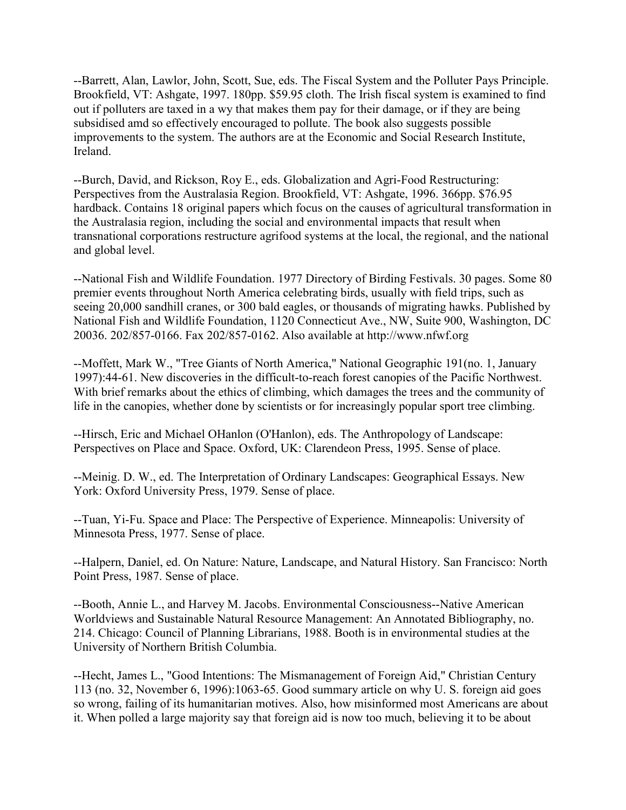--Barrett, Alan, Lawlor, John, Scott, Sue, eds. The Fiscal System and the Polluter Pays Principle. Brookfield, VT: Ashgate, 1997. 180pp. \$59.95 cloth. The Irish fiscal system is examined to find out if polluters are taxed in a wy that makes them pay for their damage, or if they are being subsidised amd so effectively encouraged to pollute. The book also suggests possible improvements to the system. The authors are at the Economic and Social Research Institute, Ireland.

--Burch, David, and Rickson, Roy E., eds. Globalization and Agri-Food Restructuring: Perspectives from the Australasia Region. Brookfield, VT: Ashgate, 1996. 366pp. \$76.95 hardback. Contains 18 original papers which focus on the causes of agricultural transformation in the Australasia region, including the social and environmental impacts that result when transnational corporations restructure agrifood systems at the local, the regional, and the national and global level.

--National Fish and Wildlife Foundation. 1977 Directory of Birding Festivals. 30 pages. Some 80 premier events throughout North America celebrating birds, usually with field trips, such as seeing 20,000 sandhill cranes, or 300 bald eagles, or thousands of migrating hawks. Published by National Fish and Wildlife Foundation, 1120 Connecticut Ave., NW, Suite 900, Washington, DC 20036. 202/857-0166. Fax 202/857-0162. Also available at http://www.nfwf.org

--Moffett, Mark W., "Tree Giants of North America," National Geographic 191(no. 1, January 1997):44-61. New discoveries in the difficult-to-reach forest canopies of the Pacific Northwest. With brief remarks about the ethics of climbing, which damages the trees and the community of life in the canopies, whether done by scientists or for increasingly popular sport tree climbing.

--Hirsch, Eric and Michael OHanlon (O'Hanlon), eds. The Anthropology of Landscape: Perspectives on Place and Space. Oxford, UK: Clarendeon Press, 1995. Sense of place.

--Meinig. D. W., ed. The Interpretation of Ordinary Landscapes: Geographical Essays. New York: Oxford University Press, 1979. Sense of place.

--Tuan, Yi-Fu. Space and Place: The Perspective of Experience. Minneapolis: University of Minnesota Press, 1977. Sense of place.

--Halpern, Daniel, ed. On Nature: Nature, Landscape, and Natural History. San Francisco: North Point Press, 1987. Sense of place.

--Booth, Annie L., and Harvey M. Jacobs. Environmental Consciousness--Native American Worldviews and Sustainable Natural Resource Management: An Annotated Bibliography, no. 214. Chicago: Council of Planning Librarians, 1988. Booth is in environmental studies at the University of Northern British Columbia.

--Hecht, James L., "Good Intentions: The Mismanagement of Foreign Aid," Christian Century 113 (no. 32, November 6, 1996):1063-65. Good summary article on why U. S. foreign aid goes so wrong, failing of its humanitarian motives. Also, how misinformed most Americans are about it. When polled a large majority say that foreign aid is now too much, believing it to be about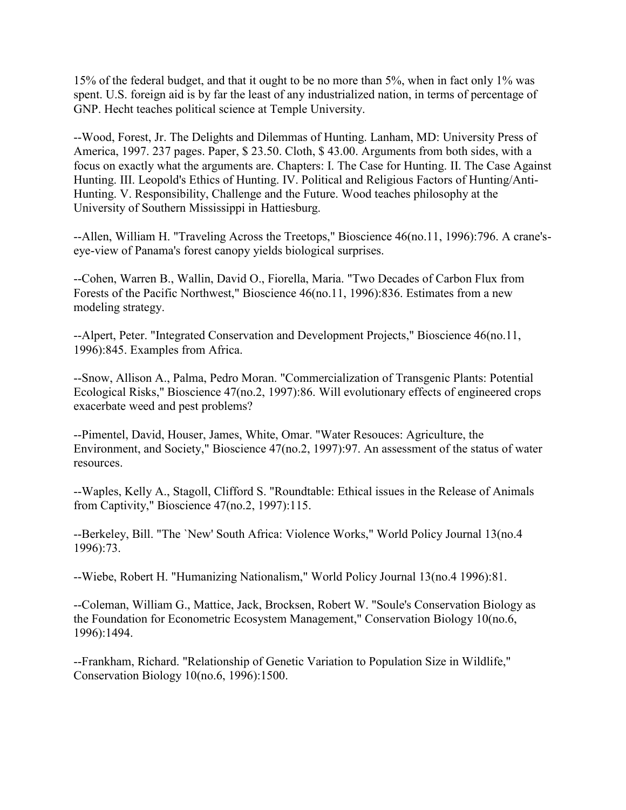15% of the federal budget, and that it ought to be no more than 5%, when in fact only 1% was spent. U.S. foreign aid is by far the least of any industrialized nation, in terms of percentage of GNP. Hecht teaches political science at Temple University.

--Wood, Forest, Jr. The Delights and Dilemmas of Hunting. Lanham, MD: University Press of America, 1997. 237 pages. Paper, \$ 23.50. Cloth, \$ 43.00. Arguments from both sides, with a focus on exactly what the arguments are. Chapters: I. The Case for Hunting. II. The Case Against Hunting. III. Leopold's Ethics of Hunting. IV. Political and Religious Factors of Hunting/Anti-Hunting. V. Responsibility, Challenge and the Future. Wood teaches philosophy at the University of Southern Mississippi in Hattiesburg.

--Allen, William H. "Traveling Across the Treetops," Bioscience 46(no.11, 1996):796. A crane'seye-view of Panama's forest canopy yields biological surprises.

--Cohen, Warren B., Wallin, David O., Fiorella, Maria. "Two Decades of Carbon Flux from Forests of the Pacific Northwest," Bioscience 46(no.11, 1996):836. Estimates from a new modeling strategy.

--Alpert, Peter. "Integrated Conservation and Development Projects," Bioscience 46(no.11, 1996):845. Examples from Africa.

--Snow, Allison A., Palma, Pedro Moran. "Commercialization of Transgenic Plants: Potential Ecological Risks," Bioscience 47(no.2, 1997):86. Will evolutionary effects of engineered crops exacerbate weed and pest problems?

--Pimentel, David, Houser, James, White, Omar. "Water Resouces: Agriculture, the Environment, and Society," Bioscience 47(no.2, 1997):97. An assessment of the status of water resources.

--Waples, Kelly A., Stagoll, Clifford S. "Roundtable: Ethical issues in the Release of Animals from Captivity," Bioscience 47(no.2, 1997):115.

--Berkeley, Bill. "The `New' South Africa: Violence Works," World Policy Journal 13(no.4 1996):73.

--Wiebe, Robert H. "Humanizing Nationalism," World Policy Journal 13(no.4 1996):81.

--Coleman, William G., Mattice, Jack, Brocksen, Robert W. "Soule's Conservation Biology as the Foundation for Econometric Ecosystem Management," Conservation Biology 10(no.6, 1996):1494.

--Frankham, Richard. "Relationship of Genetic Variation to Population Size in Wildlife," Conservation Biology 10(no.6, 1996):1500.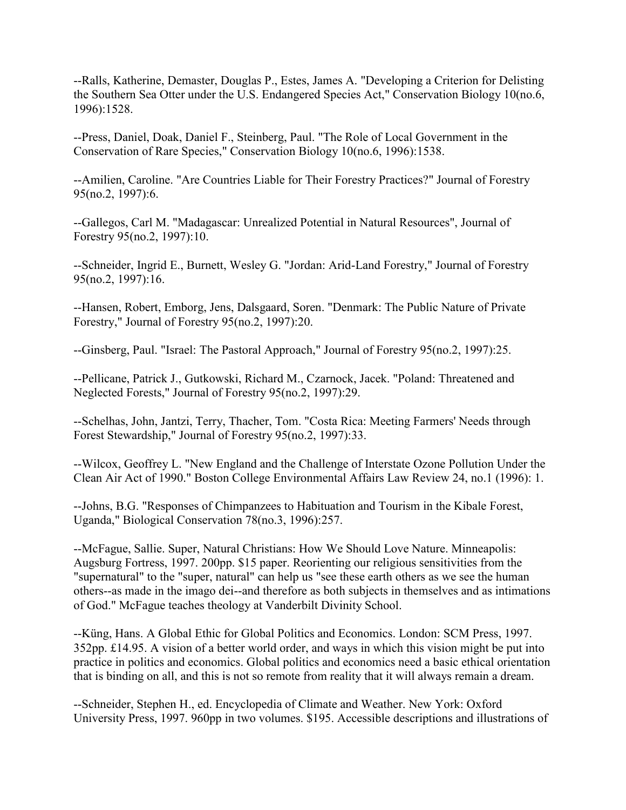--Ralls, Katherine, Demaster, Douglas P., Estes, James A. "Developing a Criterion for Delisting the Southern Sea Otter under the U.S. Endangered Species Act," Conservation Biology 10(no.6, 1996):1528.

--Press, Daniel, Doak, Daniel F., Steinberg, Paul. "The Role of Local Government in the Conservation of Rare Species," Conservation Biology 10(no.6, 1996):1538.

--Amilien, Caroline. "Are Countries Liable for Their Forestry Practices?" Journal of Forestry 95(no.2, 1997):6.

--Gallegos, Carl M. "Madagascar: Unrealized Potential in Natural Resources", Journal of Forestry 95(no.2, 1997):10.

--Schneider, Ingrid E., Burnett, Wesley G. "Jordan: Arid-Land Forestry," Journal of Forestry 95(no.2, 1997):16.

--Hansen, Robert, Emborg, Jens, Dalsgaard, Soren. "Denmark: The Public Nature of Private Forestry," Journal of Forestry 95(no.2, 1997):20.

--Ginsberg, Paul. "Israel: The Pastoral Approach," Journal of Forestry 95(no.2, 1997):25.

--Pellicane, Patrick J., Gutkowski, Richard M., Czarnock, Jacek. "Poland: Threatened and Neglected Forests," Journal of Forestry 95(no.2, 1997):29.

--Schelhas, John, Jantzi, Terry, Thacher, Tom. "Costa Rica: Meeting Farmers' Needs through Forest Stewardship," Journal of Forestry 95(no.2, 1997):33.

--Wilcox, Geoffrey L. "New England and the Challenge of Interstate Ozone Pollution Under the Clean Air Act of 1990." Boston College Environmental Affairs Law Review 24, no.1 (1996): 1.

--Johns, B.G. "Responses of Chimpanzees to Habituation and Tourism in the Kibale Forest, Uganda," Biological Conservation 78(no.3, 1996):257.

--McFague, Sallie. Super, Natural Christians: How We Should Love Nature. Minneapolis: Augsburg Fortress, 1997. 200pp. \$15 paper. Reorienting our religious sensitivities from the "supernatural" to the "super, natural" can help us "see these earth others as we see the human others--as made in the imago dei--and therefore as both subjects in themselves and as intimations of God." McFague teaches theology at Vanderbilt Divinity School.

--Küng, Hans. A Global Ethic for Global Politics and Economics. London: SCM Press, 1997. 352pp. £14.95. A vision of a better world order, and ways in which this vision might be put into practice in politics and economics. Global politics and economics need a basic ethical orientation that is binding on all, and this is not so remote from reality that it will always remain a dream.

--Schneider, Stephen H., ed. Encyclopedia of Climate and Weather. New York: Oxford University Press, 1997. 960pp in two volumes. \$195. Accessible descriptions and illustrations of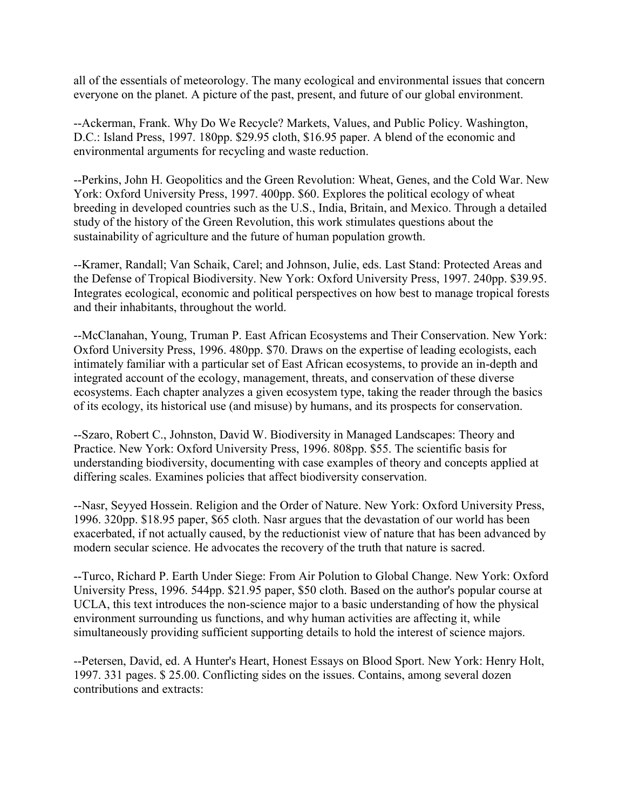all of the essentials of meteorology. The many ecological and environmental issues that concern everyone on the planet. A picture of the past, present, and future of our global environment.

--Ackerman, Frank. Why Do We Recycle? Markets, Values, and Public Policy. Washington, D.C.: Island Press, 1997. 180pp. \$29.95 cloth, \$16.95 paper. A blend of the economic and environmental arguments for recycling and waste reduction.

--Perkins, John H. Geopolitics and the Green Revolution: Wheat, Genes, and the Cold War. New York: Oxford University Press, 1997. 400pp. \$60. Explores the political ecology of wheat breeding in developed countries such as the U.S., India, Britain, and Mexico. Through a detailed study of the history of the Green Revolution, this work stimulates questions about the sustainability of agriculture and the future of human population growth.

--Kramer, Randall; Van Schaik, Carel; and Johnson, Julie, eds. Last Stand: Protected Areas and the Defense of Tropical Biodiversity. New York: Oxford University Press, 1997. 240pp. \$39.95. Integrates ecological, economic and political perspectives on how best to manage tropical forests and their inhabitants, throughout the world.

--McClanahan, Young, Truman P. East African Ecosystems and Their Conservation. New York: Oxford University Press, 1996. 480pp. \$70. Draws on the expertise of leading ecologists, each intimately familiar with a particular set of East African ecosystems, to provide an in-depth and integrated account of the ecology, management, threats, and conservation of these diverse ecosystems. Each chapter analyzes a given ecosystem type, taking the reader through the basics of its ecology, its historical use (and misuse) by humans, and its prospects for conservation.

--Szaro, Robert C., Johnston, David W. Biodiversity in Managed Landscapes: Theory and Practice. New York: Oxford University Press, 1996. 808pp. \$55. The scientific basis for understanding biodiversity, documenting with case examples of theory and concepts applied at differing scales. Examines policies that affect biodiversity conservation.

--Nasr, Seyyed Hossein. Religion and the Order of Nature. New York: Oxford University Press, 1996. 320pp. \$18.95 paper, \$65 cloth. Nasr argues that the devastation of our world has been exacerbated, if not actually caused, by the reductionist view of nature that has been advanced by modern secular science. He advocates the recovery of the truth that nature is sacred.

--Turco, Richard P. Earth Under Siege: From Air Polution to Global Change. New York: Oxford University Press, 1996. 544pp. \$21.95 paper, \$50 cloth. Based on the author's popular course at UCLA, this text introduces the non-science major to a basic understanding of how the physical environment surrounding us functions, and why human activities are affecting it, while simultaneously providing sufficient supporting details to hold the interest of science majors.

--Petersen, David, ed. A Hunter's Heart, Honest Essays on Blood Sport. New York: Henry Holt, 1997. 331 pages. \$ 25.00. Conflicting sides on the issues. Contains, among several dozen contributions and extracts: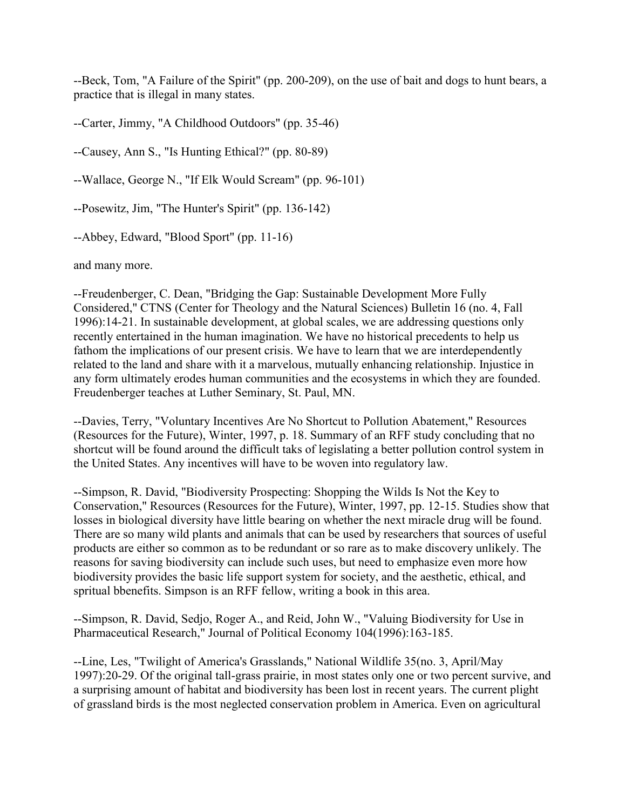--Beck, Tom, "A Failure of the Spirit" (pp. 200-209), on the use of bait and dogs to hunt bears, a practice that is illegal in many states.

--Carter, Jimmy, "A Childhood Outdoors" (pp. 35-46)

--Causey, Ann S., "Is Hunting Ethical?" (pp. 80-89)

--Wallace, George N., "If Elk Would Scream" (pp. 96-101)

--Posewitz, Jim, "The Hunter's Spirit" (pp. 136-142)

--Abbey, Edward, "Blood Sport" (pp. 11-16)

and many more.

--Freudenberger, C. Dean, "Bridging the Gap: Sustainable Development More Fully Considered," CTNS (Center for Theology and the Natural Sciences) Bulletin 16 (no. 4, Fall 1996):14-21. In sustainable development, at global scales, we are addressing questions only recently entertained in the human imagination. We have no historical precedents to help us fathom the implications of our present crisis. We have to learn that we are interdependently related to the land and share with it a marvelous, mutually enhancing relationship. Injustice in any form ultimately erodes human communities and the ecosystems in which they are founded. Freudenberger teaches at Luther Seminary, St. Paul, MN.

--Davies, Terry, "Voluntary Incentives Are No Shortcut to Pollution Abatement," Resources (Resources for the Future), Winter, 1997, p. 18. Summary of an RFF study concluding that no shortcut will be found around the difficult taks of legislating a better pollution control system in the United States. Any incentives will have to be woven into regulatory law.

--Simpson, R. David, "Biodiversity Prospecting: Shopping the Wilds Is Not the Key to Conservation," Resources (Resources for the Future), Winter, 1997, pp. 12-15. Studies show that losses in biological diversity have little bearing on whether the next miracle drug will be found. There are so many wild plants and animals that can be used by researchers that sources of useful products are either so common as to be redundant or so rare as to make discovery unlikely. The reasons for saving biodiversity can include such uses, but need to emphasize even more how biodiversity provides the basic life support system for society, and the aesthetic, ethical, and spritual bbenefits. Simpson is an RFF fellow, writing a book in this area.

--Simpson, R. David, Sedjo, Roger A., and Reid, John W., "Valuing Biodiversity for Use in Pharmaceutical Research," Journal of Political Economy 104(1996):163-185.

--Line, Les, "Twilight of America's Grasslands," National Wildlife 35(no. 3, April/May 1997):20-29. Of the original tall-grass prairie, in most states only one or two percent survive, and a surprising amount of habitat and biodiversity has been lost in recent years. The current plight of grassland birds is the most neglected conservation problem in America. Even on agricultural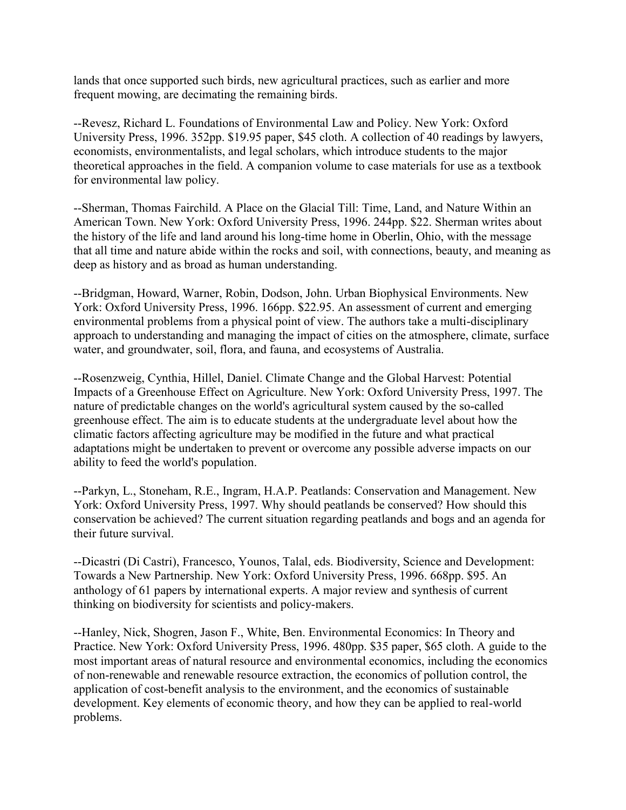lands that once supported such birds, new agricultural practices, such as earlier and more frequent mowing, are decimating the remaining birds.

--Revesz, Richard L. Foundations of Environmental Law and Policy. New York: Oxford University Press, 1996. 352pp. \$19.95 paper, \$45 cloth. A collection of 40 readings by lawyers, economists, environmentalists, and legal scholars, which introduce students to the major theoretical approaches in the field. A companion volume to case materials for use as a textbook for environmental law policy.

--Sherman, Thomas Fairchild. A Place on the Glacial Till: Time, Land, and Nature Within an American Town. New York: Oxford University Press, 1996. 244pp. \$22. Sherman writes about the history of the life and land around his long-time home in Oberlin, Ohio, with the message that all time and nature abide within the rocks and soil, with connections, beauty, and meaning as deep as history and as broad as human understanding.

--Bridgman, Howard, Warner, Robin, Dodson, John. Urban Biophysical Environments. New York: Oxford University Press, 1996. 166pp. \$22.95. An assessment of current and emerging environmental problems from a physical point of view. The authors take a multi-disciplinary approach to understanding and managing the impact of cities on the atmosphere, climate, surface water, and groundwater, soil, flora, and fauna, and ecosystems of Australia.

--Rosenzweig, Cynthia, Hillel, Daniel. Climate Change and the Global Harvest: Potential Impacts of a Greenhouse Effect on Agriculture. New York: Oxford University Press, 1997. The nature of predictable changes on the world's agricultural system caused by the so-called greenhouse effect. The aim is to educate students at the undergraduate level about how the climatic factors affecting agriculture may be modified in the future and what practical adaptations might be undertaken to prevent or overcome any possible adverse impacts on our ability to feed the world's population.

--Parkyn, L., Stoneham, R.E., Ingram, H.A.P. Peatlands: Conservation and Management. New York: Oxford University Press, 1997. Why should peatlands be conserved? How should this conservation be achieved? The current situation regarding peatlands and bogs and an agenda for their future survival.

--Dicastri (Di Castri), Francesco, Younos, Talal, eds. Biodiversity, Science and Development: Towards a New Partnership. New York: Oxford University Press, 1996. 668pp. \$95. An anthology of 61 papers by international experts. A major review and synthesis of current thinking on biodiversity for scientists and policy-makers.

--Hanley, Nick, Shogren, Jason F., White, Ben. Environmental Economics: In Theory and Practice. New York: Oxford University Press, 1996. 480pp. \$35 paper, \$65 cloth. A guide to the most important areas of natural resource and environmental economics, including the economics of non-renewable and renewable resource extraction, the economics of pollution control, the application of cost-benefit analysis to the environment, and the economics of sustainable development. Key elements of economic theory, and how they can be applied to real-world problems.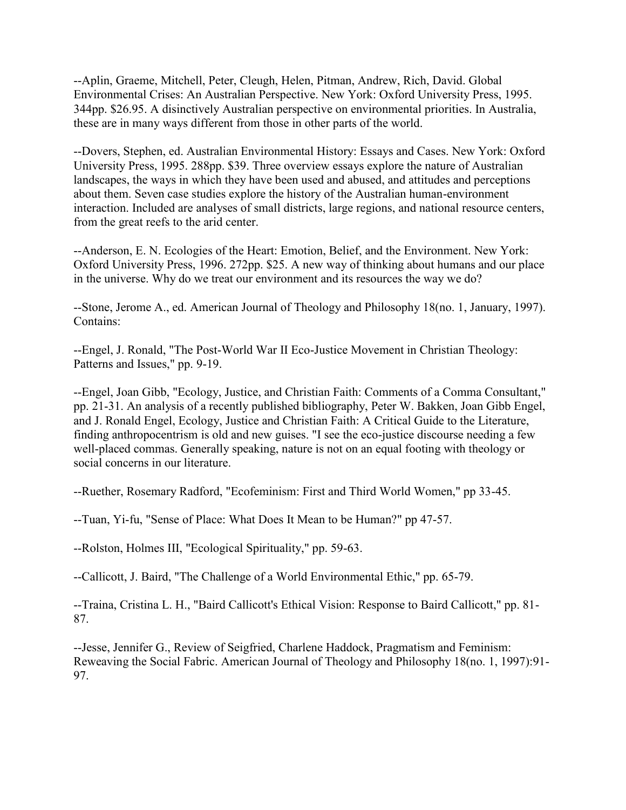--Aplin, Graeme, Mitchell, Peter, Cleugh, Helen, Pitman, Andrew, Rich, David. Global Environmental Crises: An Australian Perspective. New York: Oxford University Press, 1995. 344pp. \$26.95. A disinctively Australian perspective on environmental priorities. In Australia, these are in many ways different from those in other parts of the world.

--Dovers, Stephen, ed. Australian Environmental History: Essays and Cases. New York: Oxford University Press, 1995. 288pp. \$39. Three overview essays explore the nature of Australian landscapes, the ways in which they have been used and abused, and attitudes and perceptions about them. Seven case studies explore the history of the Australian human-environment interaction. Included are analyses of small districts, large regions, and national resource centers, from the great reefs to the arid center.

--Anderson, E. N. Ecologies of the Heart: Emotion, Belief, and the Environment. New York: Oxford University Press, 1996. 272pp. \$25. A new way of thinking about humans and our place in the universe. Why do we treat our environment and its resources the way we do?

--Stone, Jerome A., ed. American Journal of Theology and Philosophy 18(no. 1, January, 1997). Contains:

--Engel, J. Ronald, "The Post-World War II Eco-Justice Movement in Christian Theology: Patterns and Issues," pp. 9-19.

--Engel, Joan Gibb, "Ecology, Justice, and Christian Faith: Comments of a Comma Consultant," pp. 21-31. An analysis of a recently published bibliography, Peter W. Bakken, Joan Gibb Engel, and J. Ronald Engel, Ecology, Justice and Christian Faith: A Critical Guide to the Literature, finding anthropocentrism is old and new guises. "I see the eco-justice discourse needing a few well-placed commas. Generally speaking, nature is not on an equal footing with theology or social concerns in our literature.

--Ruether, Rosemary Radford, "Ecofeminism: First and Third World Women," pp 33-45.

--Tuan, Yi-fu, "Sense of Place: What Does It Mean to be Human?" pp 47-57.

--Rolston, Holmes III, "Ecological Spirituality," pp. 59-63.

--Callicott, J. Baird, "The Challenge of a World Environmental Ethic," pp. 65-79.

--Traina, Cristina L. H., "Baird Callicott's Ethical Vision: Response to Baird Callicott," pp. 81- 87.

--Jesse, Jennifer G., Review of Seigfried, Charlene Haddock, Pragmatism and Feminism: Reweaving the Social Fabric. American Journal of Theology and Philosophy 18(no. 1, 1997):91- 97.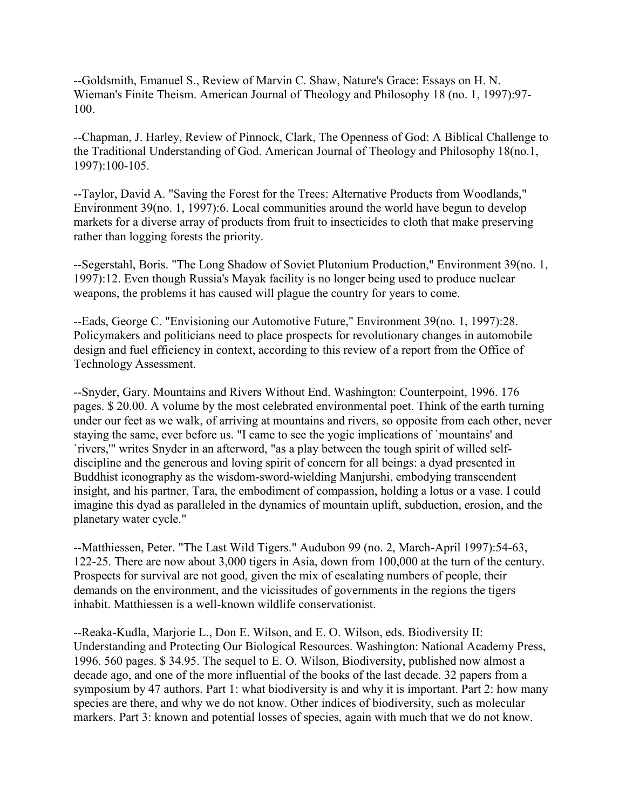--Goldsmith, Emanuel S., Review of Marvin C. Shaw, Nature's Grace: Essays on H. N. Wieman's Finite Theism. American Journal of Theology and Philosophy 18 (no. 1, 1997):97- 100.

--Chapman, J. Harley, Review of Pinnock, Clark, The Openness of God: A Biblical Challenge to the Traditional Understanding of God. American Journal of Theology and Philosophy 18(no.1, 1997):100-105.

--Taylor, David A. "Saving the Forest for the Trees: Alternative Products from Woodlands," Environment 39(no. 1, 1997):6. Local communities around the world have begun to develop markets for a diverse array of products from fruit to insecticides to cloth that make preserving rather than logging forests the priority.

--Segerstahl, Boris. "The Long Shadow of Soviet Plutonium Production," Environment 39(no. 1, 1997):12. Even though Russia's Mayak facility is no longer being used to produce nuclear weapons, the problems it has caused will plague the country for years to come.

--Eads, George C. "Envisioning our Automotive Future," Environment 39(no. 1, 1997):28. Policymakers and politicians need to place prospects for revolutionary changes in automobile design and fuel efficiency in context, according to this review of a report from the Office of Technology Assessment.

--Snyder, Gary. Mountains and Rivers Without End. Washington: Counterpoint, 1996. 176 pages. \$ 20.00. A volume by the most celebrated environmental poet. Think of the earth turning under our feet as we walk, of arriving at mountains and rivers, so opposite from each other, never staying the same, ever before us. "I came to see the yogic implications of `mountains' and `rivers,'" writes Snyder in an afterword, "as a play between the tough spirit of willed selfdiscipline and the generous and loving spirit of concern for all beings: a dyad presented in Buddhist iconography as the wisdom-sword-wielding Manjurshi, embodying transcendent insight, and his partner, Tara, the embodiment of compassion, holding a lotus or a vase. I could imagine this dyad as paralleled in the dynamics of mountain uplift, subduction, erosion, and the planetary water cycle."

--Matthiessen, Peter. "The Last Wild Tigers." Audubon 99 (no. 2, March-April 1997):54-63, 122-25. There are now about 3,000 tigers in Asia, down from 100,000 at the turn of the century. Prospects for survival are not good, given the mix of escalating numbers of people, their demands on the environment, and the vicissitudes of governments in the regions the tigers inhabit. Matthiessen is a well-known wildlife conservationist.

--Reaka-Kudla, Marjorie L., Don E. Wilson, and E. O. Wilson, eds. Biodiversity II: Understanding and Protecting Our Biological Resources. Washington: National Academy Press, 1996. 560 pages. \$ 34.95. The sequel to E. O. Wilson, Biodiversity, published now almost a decade ago, and one of the more influential of the books of the last decade. 32 papers from a symposium by 47 authors. Part 1: what biodiversity is and why it is important. Part 2: how many species are there, and why we do not know. Other indices of biodiversity, such as molecular markers. Part 3: known and potential losses of species, again with much that we do not know.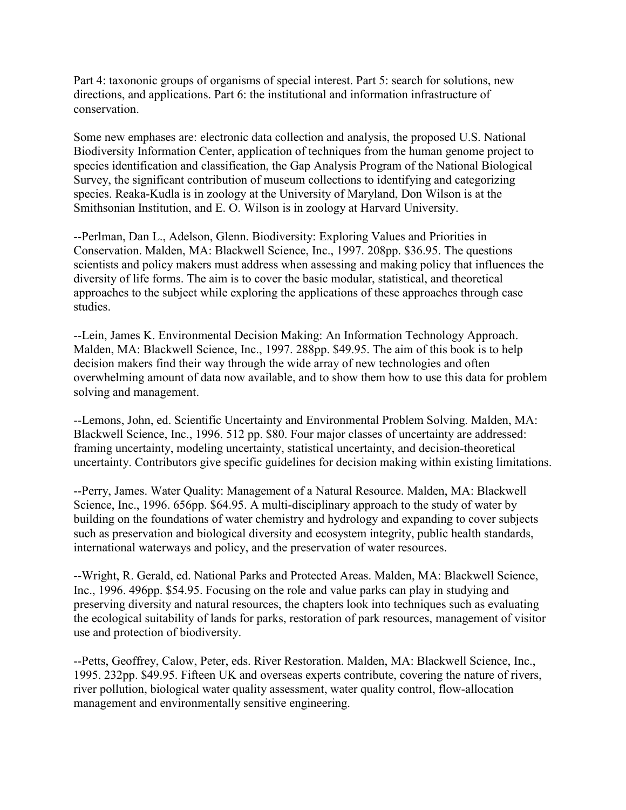Part 4: taxononic groups of organisms of special interest. Part 5: search for solutions, new directions, and applications. Part 6: the institutional and information infrastructure of conservation.

Some new emphases are: electronic data collection and analysis, the proposed U.S. National Biodiversity Information Center, application of techniques from the human genome project to species identification and classification, the Gap Analysis Program of the National Biological Survey, the significant contribution of museum collections to identifying and categorizing species. Reaka-Kudla is in zoology at the University of Maryland, Don Wilson is at the Smithsonian Institution, and E. O. Wilson is in zoology at Harvard University.

--Perlman, Dan L., Adelson, Glenn. Biodiversity: Exploring Values and Priorities in Conservation. Malden, MA: Blackwell Science, Inc., 1997. 208pp. \$36.95. The questions scientists and policy makers must address when assessing and making policy that influences the diversity of life forms. The aim is to cover the basic modular, statistical, and theoretical approaches to the subject while exploring the applications of these approaches through case studies.

--Lein, James K. Environmental Decision Making: An Information Technology Approach. Malden, MA: Blackwell Science, Inc., 1997. 288pp. \$49.95. The aim of this book is to help decision makers find their way through the wide array of new technologies and often overwhelming amount of data now available, and to show them how to use this data for problem solving and management.

--Lemons, John, ed. Scientific Uncertainty and Environmental Problem Solving. Malden, MA: Blackwell Science, Inc., 1996. 512 pp. \$80. Four major classes of uncertainty are addressed: framing uncertainty, modeling uncertainty, statistical uncertainty, and decision-theoretical uncertainty. Contributors give specific guidelines for decision making within existing limitations.

--Perry, James. Water Quality: Management of a Natural Resource. Malden, MA: Blackwell Science, Inc., 1996. 656pp. \$64.95. A multi-disciplinary approach to the study of water by building on the foundations of water chemistry and hydrology and expanding to cover subjects such as preservation and biological diversity and ecosystem integrity, public health standards, international waterways and policy, and the preservation of water resources.

--Wright, R. Gerald, ed. National Parks and Protected Areas. Malden, MA: Blackwell Science, Inc., 1996. 496pp. \$54.95. Focusing on the role and value parks can play in studying and preserving diversity and natural resources, the chapters look into techniques such as evaluating the ecological suitability of lands for parks, restoration of park resources, management of visitor use and protection of biodiversity.

--Petts, Geoffrey, Calow, Peter, eds. River Restoration. Malden, MA: Blackwell Science, Inc., 1995. 232pp. \$49.95. Fifteen UK and overseas experts contribute, covering the nature of rivers, river pollution, biological water quality assessment, water quality control, flow-allocation management and environmentally sensitive engineering.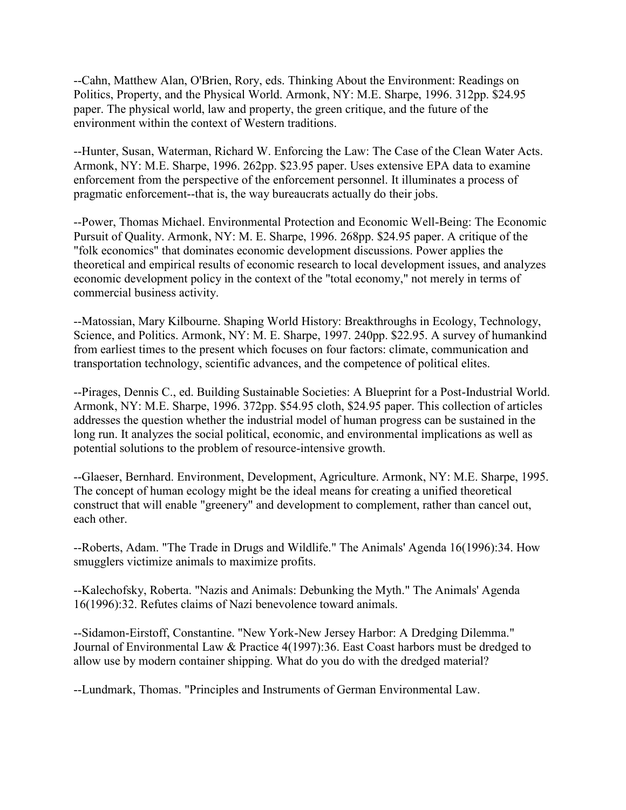--Cahn, Matthew Alan, O'Brien, Rory, eds. Thinking About the Environment: Readings on Politics, Property, and the Physical World. Armonk, NY: M.E. Sharpe, 1996. 312pp. \$24.95 paper. The physical world, law and property, the green critique, and the future of the environment within the context of Western traditions.

--Hunter, Susan, Waterman, Richard W. Enforcing the Law: The Case of the Clean Water Acts. Armonk, NY: M.E. Sharpe, 1996. 262pp. \$23.95 paper. Uses extensive EPA data to examine enforcement from the perspective of the enforcement personnel. It illuminates a process of pragmatic enforcement--that is, the way bureaucrats actually do their jobs.

--Power, Thomas Michael. Environmental Protection and Economic Well-Being: The Economic Pursuit of Quality. Armonk, NY: M. E. Sharpe, 1996. 268pp. \$24.95 paper. A critique of the "folk economics" that dominates economic development discussions. Power applies the theoretical and empirical results of economic research to local development issues, and analyzes economic development policy in the context of the "total economy," not merely in terms of commercial business activity.

--Matossian, Mary Kilbourne. Shaping World History: Breakthroughs in Ecology, Technology, Science, and Politics. Armonk, NY: M. E. Sharpe, 1997. 240pp. \$22.95. A survey of humankind from earliest times to the present which focuses on four factors: climate, communication and transportation technology, scientific advances, and the competence of political elites.

--Pirages, Dennis C., ed. Building Sustainable Societies: A Blueprint for a Post-Industrial World. Armonk, NY: M.E. Sharpe, 1996. 372pp. \$54.95 cloth, \$24.95 paper. This collection of articles addresses the question whether the industrial model of human progress can be sustained in the long run. It analyzes the social political, economic, and environmental implications as well as potential solutions to the problem of resource-intensive growth.

--Glaeser, Bernhard. Environment, Development, Agriculture. Armonk, NY: M.E. Sharpe, 1995. The concept of human ecology might be the ideal means for creating a unified theoretical construct that will enable "greenery" and development to complement, rather than cancel out, each other.

--Roberts, Adam. "The Trade in Drugs and Wildlife." The Animals' Agenda 16(1996):34. How smugglers victimize animals to maximize profits.

--Kalechofsky, Roberta. "Nazis and Animals: Debunking the Myth." The Animals' Agenda 16(1996):32. Refutes claims of Nazi benevolence toward animals.

--Sidamon-Eirstoff, Constantine. "New York-New Jersey Harbor: A Dredging Dilemma." Journal of Environmental Law & Practice 4(1997):36. East Coast harbors must be dredged to allow use by modern container shipping. What do you do with the dredged material?

--Lundmark, Thomas. "Principles and Instruments of German Environmental Law.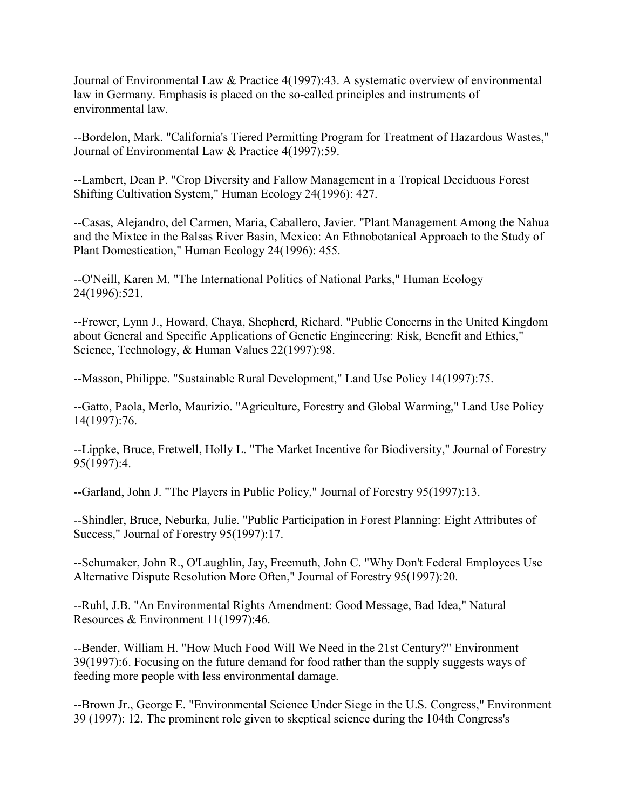Journal of Environmental Law & Practice 4(1997):43. A systematic overview of environmental law in Germany. Emphasis is placed on the so-called principles and instruments of environmental law.

--Bordelon, Mark. "California's Tiered Permitting Program for Treatment of Hazardous Wastes," Journal of Environmental Law & Practice 4(1997):59.

--Lambert, Dean P. "Crop Diversity and Fallow Management in a Tropical Deciduous Forest Shifting Cultivation System," Human Ecology 24(1996): 427.

--Casas, Alejandro, del Carmen, Maria, Caballero, Javier. "Plant Management Among the Nahua and the Mixtec in the Balsas River Basin, Mexico: An Ethnobotanical Approach to the Study of Plant Domestication," Human Ecology 24(1996): 455.

--O'Neill, Karen M. "The International Politics of National Parks," Human Ecology 24(1996):521.

--Frewer, Lynn J., Howard, Chaya, Shepherd, Richard. "Public Concerns in the United Kingdom about General and Specific Applications of Genetic Engineering: Risk, Benefit and Ethics," Science, Technology, & Human Values 22(1997):98.

--Masson, Philippe. "Sustainable Rural Development," Land Use Policy 14(1997):75.

--Gatto, Paola, Merlo, Maurizio. "Agriculture, Forestry and Global Warming," Land Use Policy 14(1997):76.

--Lippke, Bruce, Fretwell, Holly L. "The Market Incentive for Biodiversity," Journal of Forestry 95(1997):4.

--Garland, John J. "The Players in Public Policy," Journal of Forestry 95(1997):13.

--Shindler, Bruce, Neburka, Julie. "Public Participation in Forest Planning: Eight Attributes of Success," Journal of Forestry 95(1997):17.

--Schumaker, John R., O'Laughlin, Jay, Freemuth, John C. "Why Don't Federal Employees Use Alternative Dispute Resolution More Often," Journal of Forestry 95(1997):20.

--Ruhl, J.B. "An Environmental Rights Amendment: Good Message, Bad Idea," Natural Resources & Environment 11(1997):46.

--Bender, William H. "How Much Food Will We Need in the 21st Century?" Environment 39(1997):6. Focusing on the future demand for food rather than the supply suggests ways of feeding more people with less environmental damage.

--Brown Jr., George E. "Environmental Science Under Siege in the U.S. Congress," Environment 39 (1997): 12. The prominent role given to skeptical science during the 104th Congress's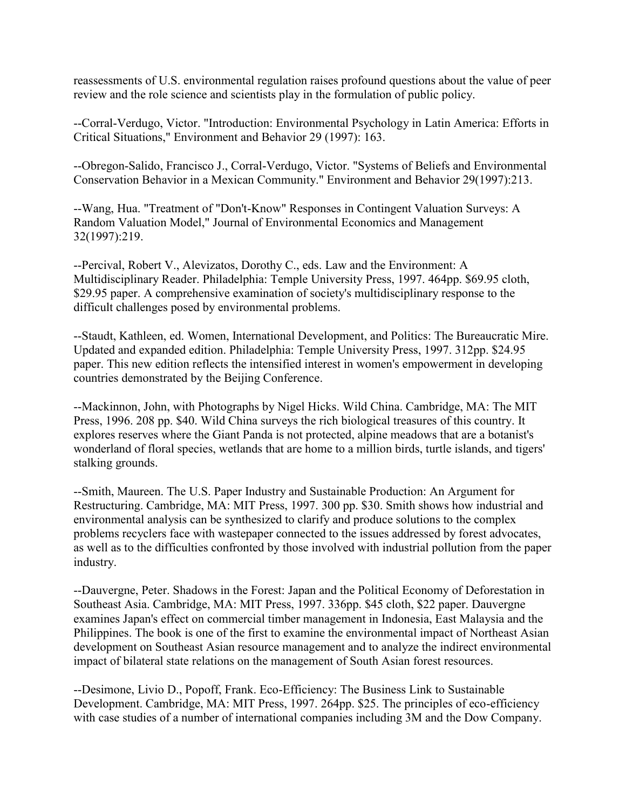reassessments of U.S. environmental regulation raises profound questions about the value of peer review and the role science and scientists play in the formulation of public policy.

--Corral-Verdugo, Victor. "Introduction: Environmental Psychology in Latin America: Efforts in Critical Situations," Environment and Behavior 29 (1997): 163.

--Obregon-Salido, Francisco J., Corral-Verdugo, Victor. "Systems of Beliefs and Environmental Conservation Behavior in a Mexican Community." Environment and Behavior 29(1997):213.

--Wang, Hua. "Treatment of "Don't-Know" Responses in Contingent Valuation Surveys: A Random Valuation Model," Journal of Environmental Economics and Management 32(1997):219.

--Percival, Robert V., Alevizatos, Dorothy C., eds. Law and the Environment: A Multidisciplinary Reader. Philadelphia: Temple University Press, 1997. 464pp. \$69.95 cloth, \$29.95 paper. A comprehensive examination of society's multidisciplinary response to the difficult challenges posed by environmental problems.

--Staudt, Kathleen, ed. Women, International Development, and Politics: The Bureaucratic Mire. Updated and expanded edition. Philadelphia: Temple University Press, 1997. 312pp. \$24.95 paper. This new edition reflects the intensified interest in women's empowerment in developing countries demonstrated by the Beijing Conference.

--Mackinnon, John, with Photographs by Nigel Hicks. Wild China. Cambridge, MA: The MIT Press, 1996. 208 pp. \$40. Wild China surveys the rich biological treasures of this country. It explores reserves where the Giant Panda is not protected, alpine meadows that are a botanist's wonderland of floral species, wetlands that are home to a million birds, turtle islands, and tigers' stalking grounds.

--Smith, Maureen. The U.S. Paper Industry and Sustainable Production: An Argument for Restructuring. Cambridge, MA: MIT Press, 1997. 300 pp. \$30. Smith shows how industrial and environmental analysis can be synthesized to clarify and produce solutions to the complex problems recyclers face with wastepaper connected to the issues addressed by forest advocates, as well as to the difficulties confronted by those involved with industrial pollution from the paper industry.

--Dauvergne, Peter. Shadows in the Forest: Japan and the Political Economy of Deforestation in Southeast Asia. Cambridge, MA: MIT Press, 1997. 336pp. \$45 cloth, \$22 paper. Dauvergne examines Japan's effect on commercial timber management in Indonesia, East Malaysia and the Philippines. The book is one of the first to examine the environmental impact of Northeast Asian development on Southeast Asian resource management and to analyze the indirect environmental impact of bilateral state relations on the management of South Asian forest resources.

--Desimone, Livio D., Popoff, Frank. Eco-Efficiency: The Business Link to Sustainable Development. Cambridge, MA: MIT Press, 1997. 264pp. \$25. The principles of eco-efficiency with case studies of a number of international companies including 3M and the Dow Company.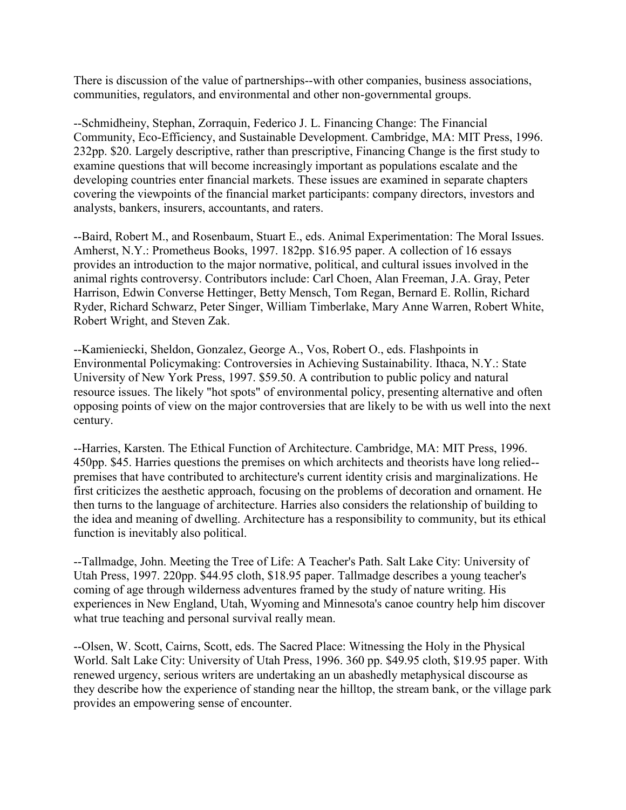There is discussion of the value of partnerships--with other companies, business associations, communities, regulators, and environmental and other non-governmental groups.

--Schmidheiny, Stephan, Zorraquin, Federico J. L. Financing Change: The Financial Community, Eco-Efficiency, and Sustainable Development. Cambridge, MA: MIT Press, 1996. 232pp. \$20. Largely descriptive, rather than prescriptive, Financing Change is the first study to examine questions that will become increasingly important as populations escalate and the developing countries enter financial markets. These issues are examined in separate chapters covering the viewpoints of the financial market participants: company directors, investors and analysts, bankers, insurers, accountants, and raters.

--Baird, Robert M., and Rosenbaum, Stuart E., eds. Animal Experimentation: The Moral Issues. Amherst, N.Y.: Prometheus Books, 1997. 182pp. \$16.95 paper. A collection of 16 essays provides an introduction to the major normative, political, and cultural issues involved in the animal rights controversy. Contributors include: Carl Choen, Alan Freeman, J.A. Gray, Peter Harrison, Edwin Converse Hettinger, Betty Mensch, Tom Regan, Bernard E. Rollin, Richard Ryder, Richard Schwarz, Peter Singer, William Timberlake, Mary Anne Warren, Robert White, Robert Wright, and Steven Zak.

--Kamieniecki, Sheldon, Gonzalez, George A., Vos, Robert O., eds. Flashpoints in Environmental Policymaking: Controversies in Achieving Sustainability. Ithaca, N.Y.: State University of New York Press, 1997. \$59.50. A contribution to public policy and natural resource issues. The likely "hot spots" of environmental policy, presenting alternative and often opposing points of view on the major controversies that are likely to be with us well into the next century.

--Harries, Karsten. The Ethical Function of Architecture. Cambridge, MA: MIT Press, 1996. 450pp. \$45. Harries questions the premises on which architects and theorists have long relied- premises that have contributed to architecture's current identity crisis and marginalizations. He first criticizes the aesthetic approach, focusing on the problems of decoration and ornament. He then turns to the language of architecture. Harries also considers the relationship of building to the idea and meaning of dwelling. Architecture has a responsibility to community, but its ethical function is inevitably also political.

--Tallmadge, John. Meeting the Tree of Life: A Teacher's Path. Salt Lake City: University of Utah Press, 1997. 220pp. \$44.95 cloth, \$18.95 paper. Tallmadge describes a young teacher's coming of age through wilderness adventures framed by the study of nature writing. His experiences in New England, Utah, Wyoming and Minnesota's canoe country help him discover what true teaching and personal survival really mean.

--Olsen, W. Scott, Cairns, Scott, eds. The Sacred Place: Witnessing the Holy in the Physical World. Salt Lake City: University of Utah Press, 1996. 360 pp. \$49.95 cloth, \$19.95 paper. With renewed urgency, serious writers are undertaking an un abashedly metaphysical discourse as they describe how the experience of standing near the hilltop, the stream bank, or the village park provides an empowering sense of encounter.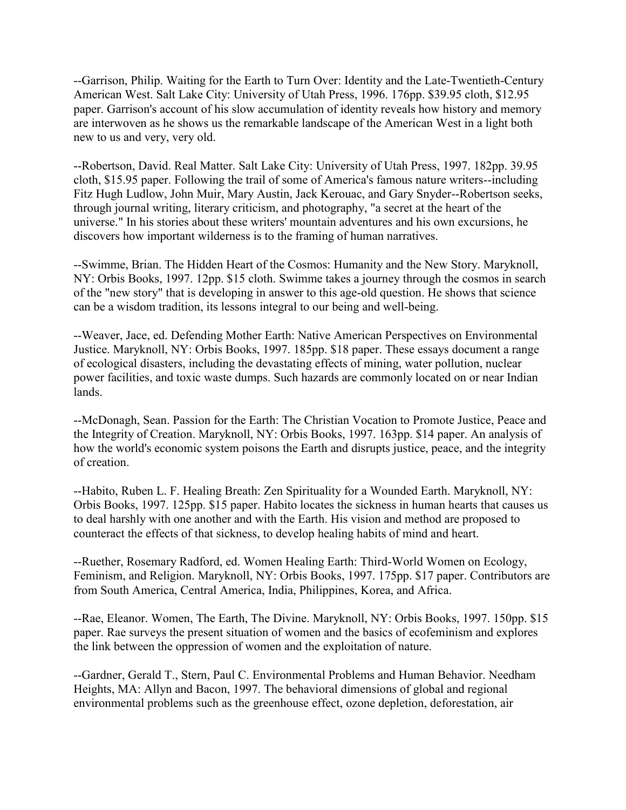--Garrison, Philip. Waiting for the Earth to Turn Over: Identity and the Late-Twentieth-Century American West. Salt Lake City: University of Utah Press, 1996. 176pp. \$39.95 cloth, \$12.95 paper. Garrison's account of his slow accumulation of identity reveals how history and memory are interwoven as he shows us the remarkable landscape of the American West in a light both new to us and very, very old.

--Robertson, David. Real Matter. Salt Lake City: University of Utah Press, 1997. 182pp. 39.95 cloth, \$15.95 paper. Following the trail of some of America's famous nature writers--including Fitz Hugh Ludlow, John Muir, Mary Austin, Jack Kerouac, and Gary Snyder--Robertson seeks, through journal writing, literary criticism, and photography, "a secret at the heart of the universe." In his stories about these writers' mountain adventures and his own excursions, he discovers how important wilderness is to the framing of human narratives.

--Swimme, Brian. The Hidden Heart of the Cosmos: Humanity and the New Story. Maryknoll, NY: Orbis Books, 1997. 12pp. \$15 cloth. Swimme takes a journey through the cosmos in search of the "new story" that is developing in answer to this age-old question. He shows that science can be a wisdom tradition, its lessons integral to our being and well-being.

--Weaver, Jace, ed. Defending Mother Earth: Native American Perspectives on Environmental Justice. Maryknoll, NY: Orbis Books, 1997. 185pp. \$18 paper. These essays document a range of ecological disasters, including the devastating effects of mining, water pollution, nuclear power facilities, and toxic waste dumps. Such hazards are commonly located on or near Indian lands.

--McDonagh, Sean. Passion for the Earth: The Christian Vocation to Promote Justice, Peace and the Integrity of Creation. Maryknoll, NY: Orbis Books, 1997. 163pp. \$14 paper. An analysis of how the world's economic system poisons the Earth and disrupts justice, peace, and the integrity of creation.

--Habito, Ruben L. F. Healing Breath: Zen Spirituality for a Wounded Earth. Maryknoll, NY: Orbis Books, 1997. 125pp. \$15 paper. Habito locates the sickness in human hearts that causes us to deal harshly with one another and with the Earth. His vision and method are proposed to counteract the effects of that sickness, to develop healing habits of mind and heart.

--Ruether, Rosemary Radford, ed. Women Healing Earth: Third-World Women on Ecology, Feminism, and Religion. Maryknoll, NY: Orbis Books, 1997. 175pp. \$17 paper. Contributors are from South America, Central America, India, Philippines, Korea, and Africa.

--Rae, Eleanor. Women, The Earth, The Divine. Maryknoll, NY: Orbis Books, 1997. 150pp. \$15 paper. Rae surveys the present situation of women and the basics of ecofeminism and explores the link between the oppression of women and the exploitation of nature.

--Gardner, Gerald T., Stern, Paul C. Environmental Problems and Human Behavior. Needham Heights, MA: Allyn and Bacon, 1997. The behavioral dimensions of global and regional environmental problems such as the greenhouse effect, ozone depletion, deforestation, air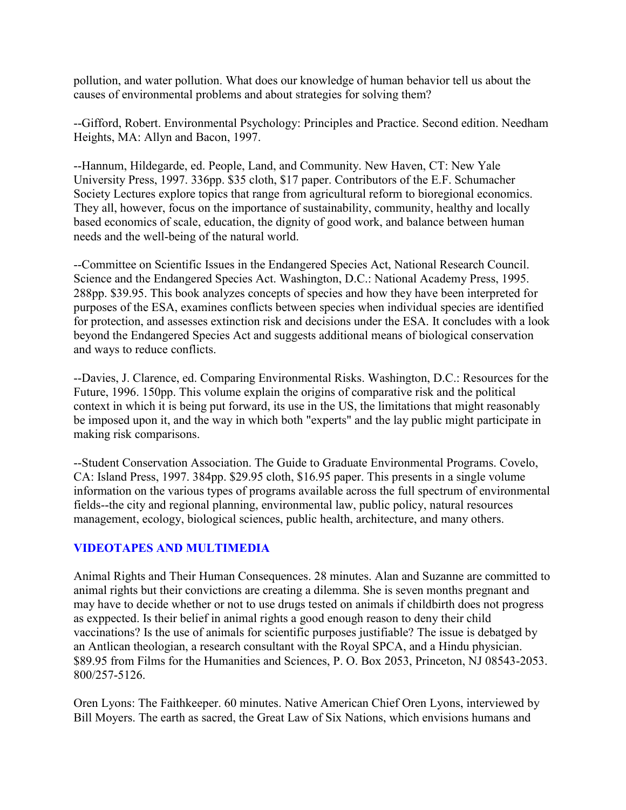pollution, and water pollution. What does our knowledge of human behavior tell us about the causes of environmental problems and about strategies for solving them?

--Gifford, Robert. Environmental Psychology: Principles and Practice. Second edition. Needham Heights, MA: Allyn and Bacon, 1997.

--Hannum, Hildegarde, ed. People, Land, and Community. New Haven, CT: New Yale University Press, 1997. 336pp. \$35 cloth, \$17 paper. Contributors of the E.F. Schumacher Society Lectures explore topics that range from agricultural reform to bioregional economics. They all, however, focus on the importance of sustainability, community, healthy and locally based economics of scale, education, the dignity of good work, and balance between human needs and the well-being of the natural world.

--Committee on Scientific Issues in the Endangered Species Act, National Research Council. Science and the Endangered Species Act. Washington, D.C.: National Academy Press, 1995. 288pp. \$39.95. This book analyzes concepts of species and how they have been interpreted for purposes of the ESA, examines conflicts between species when individual species are identified for protection, and assesses extinction risk and decisions under the ESA. It concludes with a look beyond the Endangered Species Act and suggests additional means of biological conservation and ways to reduce conflicts.

--Davies, J. Clarence, ed. Comparing Environmental Risks. Washington, D.C.: Resources for the Future, 1996. 150pp. This volume explain the origins of comparative risk and the political context in which it is being put forward, its use in the US, the limitations that might reasonably be imposed upon it, and the way in which both "experts" and the lay public might participate in making risk comparisons.

--Student Conservation Association. The Guide to Graduate Environmental Programs. Covelo, CA: Island Press, 1997. 384pp. \$29.95 cloth, \$16.95 paper. This presents in a single volume information on the various types of programs available across the full spectrum of environmental fields--the city and regional planning, environmental law, public policy, natural resources management, ecology, biological sciences, public health, architecture, and many others.

### **VIDEOTAPES AND MULTIMEDIA**

Animal Rights and Their Human Consequences. 28 minutes. Alan and Suzanne are committed to animal rights but their convictions are creating a dilemma. She is seven months pregnant and may have to decide whether or not to use drugs tested on animals if childbirth does not progress as exppected. Is their belief in animal rights a good enough reason to deny their child vaccinations? Is the use of animals for scientific purposes justifiable? The issue is debatged by an Antlican theologian, a research consultant with the Royal SPCA, and a Hindu physician. \$89.95 from Films for the Humanities and Sciences, P. O. Box 2053, Princeton, NJ 08543-2053. 800/257-5126.

Oren Lyons: The Faithkeeper. 60 minutes. Native American Chief Oren Lyons, interviewed by Bill Moyers. The earth as sacred, the Great Law of Six Nations, which envisions humans and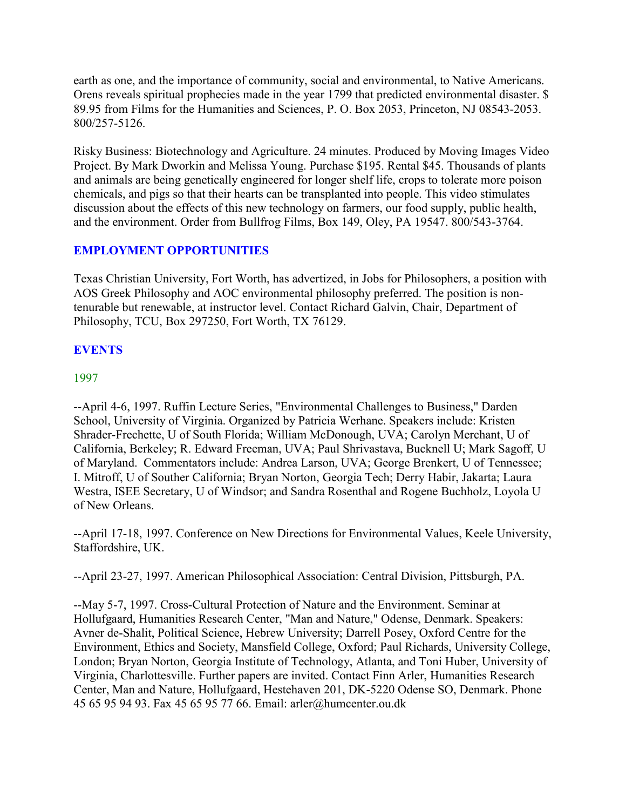earth as one, and the importance of community, social and environmental, to Native Americans. Orens reveals spiritual prophecies made in the year 1799 that predicted environmental disaster. \$ 89.95 from Films for the Humanities and Sciences, P. O. Box 2053, Princeton, NJ 08543-2053. 800/257-5126.

Risky Business: Biotechnology and Agriculture. 24 minutes. Produced by Moving Images Video Project. By Mark Dworkin and Melissa Young. Purchase \$195. Rental \$45. Thousands of plants and animals are being genetically engineered for longer shelf life, crops to tolerate more poison chemicals, and pigs so that their hearts can be transplanted into people. This video stimulates discussion about the effects of this new technology on farmers, our food supply, public health, and the environment. Order from Bullfrog Films, Box 149, Oley, PA 19547. 800/543-3764.

### **EMPLOYMENT OPPORTUNITIES**

Texas Christian University, Fort Worth, has advertized, in Jobs for Philosophers, a position with AOS Greek Philosophy and AOC environmental philosophy preferred. The position is nontenurable but renewable, at instructor level. Contact Richard Galvin, Chair, Department of Philosophy, TCU, Box 297250, Fort Worth, TX 76129.

### **EVENTS**

### 1997

--April 4-6, 1997. Ruffin Lecture Series, "Environmental Challenges to Business," Darden School, University of Virginia. Organized by Patricia Werhane. Speakers include: Kristen Shrader-Frechette, U of South Florida; William McDonough, UVA; Carolyn Merchant, U of California, Berkeley; R. Edward Freeman, UVA; Paul Shrivastava, Bucknell U; Mark Sagoff, U of Maryland. Commentators include: Andrea Larson, UVA; George Brenkert, U of Tennessee; I. Mitroff, U of Souther California; Bryan Norton, Georgia Tech; Derry Habir, Jakarta; Laura Westra, ISEE Secretary, U of Windsor; and Sandra Rosenthal and Rogene Buchholz, Loyola U of New Orleans.

--April 17-18, 1997. Conference on New Directions for Environmental Values, Keele University, Staffordshire, UK.

--April 23-27, 1997. American Philosophical Association: Central Division, Pittsburgh, PA.

--May 5-7, 1997. Cross-Cultural Protection of Nature and the Environment. Seminar at Hollufgaard, Humanities Research Center, "Man and Nature," Odense, Denmark. Speakers: Avner de-Shalit, Political Science, Hebrew University; Darrell Posey, Oxford Centre for the Environment, Ethics and Society, Mansfield College, Oxford; Paul Richards, University College, London; Bryan Norton, Georgia Institute of Technology, Atlanta, and Toni Huber, University of Virginia, Charlottesville. Further papers are invited. Contact Finn Arler, Humanities Research Center, Man and Nature, Hollufgaard, Hestehaven 201, DK-5220 Odense SO, Denmark. Phone 45 65 95 94 93. Fax 45 65 95 77 66. Email: arler@humcenter.ou.dk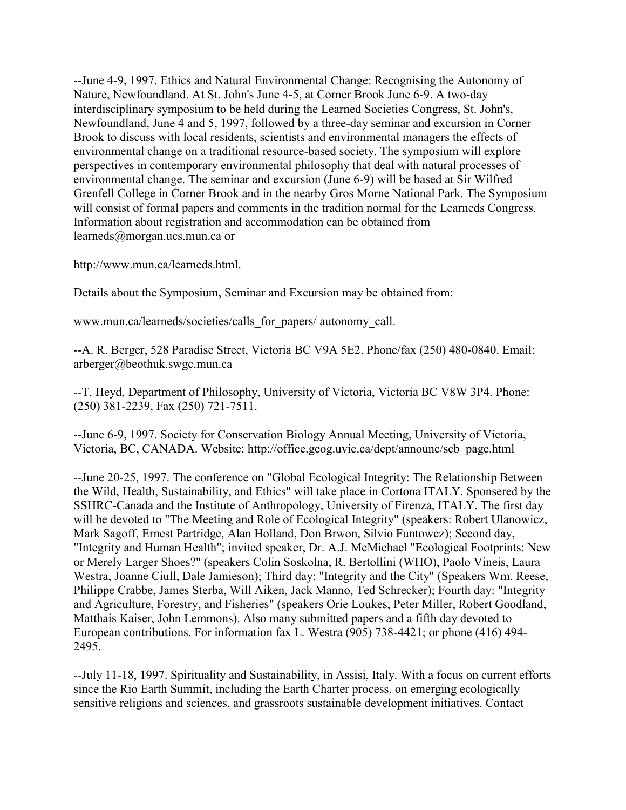--June 4-9, 1997. Ethics and Natural Environmental Change: Recognising the Autonomy of Nature, Newfoundland. At St. John's June 4-5, at Corner Brook June 6-9. A two-day interdisciplinary symposium to be held during the Learned Societies Congress, St. John's, Newfoundland, June 4 and 5, 1997, followed by a three-day seminar and excursion in Corner Brook to discuss with local residents, scientists and environmental managers the effects of environmental change on a traditional resource-based society. The symposium will explore perspectives in contemporary environmental philosophy that deal with natural processes of environmental change. The seminar and excursion (June 6-9) will be based at Sir Wilfred Grenfell College in Corner Brook and in the nearby Gros Morne National Park. The Symposium will consist of formal papers and comments in the tradition normal for the Learneds Congress. Information about registration and accommodation can be obtained from learneds@morgan.ucs.mun.ca or

http://www.mun.ca/learneds.html.

Details about the Symposium, Seminar and Excursion may be obtained from:

www.mun.ca/learneds/societies/calls\_for\_papers/ autonomy\_call.

--A. R. Berger, 528 Paradise Street, Victoria BC V9A 5E2. Phone/fax (250) 480-0840. Email: arberger@beothuk.swgc.mun.ca

--T. Heyd, Department of Philosophy, University of Victoria, Victoria BC V8W 3P4. Phone: (250) 381-2239, Fax (250) 721-7511.

--June 6-9, 1997. Society for Conservation Biology Annual Meeting, University of Victoria, Victoria, BC, CANADA. Website: http://office.geog.uvic.ca/dept/announc/scb\_page.html

--June 20-25, 1997. The conference on "Global Ecological Integrity: The Relationship Between the Wild, Health, Sustainability, and Ethics" will take place in Cortona ITALY. Sponsered by the SSHRC-Canada and the Institute of Anthropology, University of Firenza, ITALY. The first day will be devoted to "The Meeting and Role of Ecological Integrity" (speakers: Robert Ulanowicz, Mark Sagoff, Ernest Partridge, Alan Holland, Don Brwon, Silvio Funtowcz); Second day, "Integrity and Human Health"; invited speaker, Dr. A.J. McMichael "Ecological Footprints: New or Merely Larger Shoes?" (speakers Colin Soskolna, R. Bertollini (WHO), Paolo Vineis, Laura Westra, Joanne Ciull, Dale Jamieson); Third day: "Integrity and the City" (Speakers Wm. Reese, Philippe Crabbe, James Sterba, Will Aiken, Jack Manno, Ted Schrecker); Fourth day: "Integrity and Agriculture, Forestry, and Fisheries" (speakers Orie Loukes, Peter Miller, Robert Goodland, Matthais Kaiser, John Lemmons). Also many submitted papers and a fifth day devoted to European contributions. For information fax L. Westra (905) 738-4421; or phone (416) 494- 2495.

--July 11-18, 1997. Spirituality and Sustainability, in Assisi, Italy. With a focus on current efforts since the Rio Earth Summit, including the Earth Charter process, on emerging ecologically sensitive religions and sciences, and grassroots sustainable development initiatives. Contact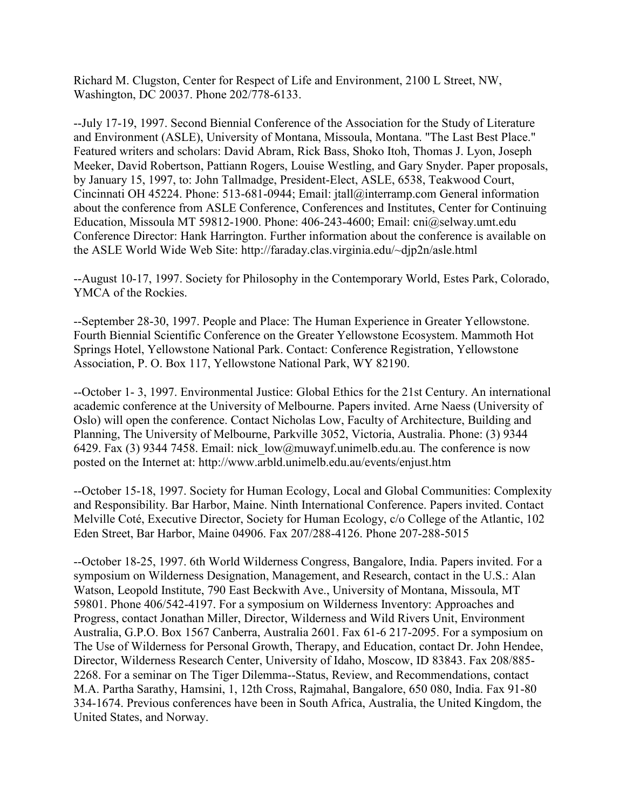Richard M. Clugston, Center for Respect of Life and Environment, 2100 L Street, NW, Washington, DC 20037. Phone 202/778-6133.

--July 17-19, 1997. Second Biennial Conference of the Association for the Study of Literature and Environment (ASLE), University of Montana, Missoula, Montana. "The Last Best Place." Featured writers and scholars: David Abram, Rick Bass, Shoko Itoh, Thomas J. Lyon, Joseph Meeker, David Robertson, Pattiann Rogers, Louise Westling, and Gary Snyder. Paper proposals, by January 15, 1997, to: John Tallmadge, President-Elect, ASLE, 6538, Teakwood Court, Cincinnati OH 45224. Phone: 513-681-0944; Email: jtall@interramp.com General information about the conference from ASLE Conference, Conferences and Institutes, Center for Continuing Education, Missoula MT 59812-1900. Phone: 406-243-4600; Email: cni@selway.umt.edu Conference Director: Hank Harrington. Further information about the conference is available on the ASLE World Wide Web Site: http://faraday.clas.virginia.edu/~djp2n/asle.html

--August 10-17, 1997. Society for Philosophy in the Contemporary World, Estes Park, Colorado, YMCA of the Rockies.

--September 28-30, 1997. People and Place: The Human Experience in Greater Yellowstone. Fourth Biennial Scientific Conference on the Greater Yellowstone Ecosystem. Mammoth Hot Springs Hotel, Yellowstone National Park. Contact: Conference Registration, Yellowstone Association, P. O. Box 117, Yellowstone National Park, WY 82190.

--October 1- 3, 1997. Environmental Justice: Global Ethics for the 21st Century. An international academic conference at the University of Melbourne. Papers invited. Arne Naess (University of Oslo) will open the conference. Contact Nicholas Low, Faculty of Architecture, Building and Planning, The University of Melbourne, Parkville 3052, Victoria, Australia. Phone: (3) 9344 6429. Fax (3) 9344 7458. Email: nick  $low@mu$ wayf.unimelb.edu.au. The conference is now posted on the Internet at: http://www.arbld.unimelb.edu.au/events/enjust.htm

--October 15-18, 1997. Society for Human Ecology, Local and Global Communities: Complexity and Responsibility. Bar Harbor, Maine. Ninth International Conference. Papers invited. Contact Melville Coté, Executive Director, Society for Human Ecology, c/o College of the Atlantic, 102 Eden Street, Bar Harbor, Maine 04906. Fax 207/288-4126. Phone 207-288-5015

--October 18-25, 1997. 6th World Wilderness Congress, Bangalore, India. Papers invited. For a symposium on Wilderness Designation, Management, and Research, contact in the U.S.: Alan Watson, Leopold Institute, 790 East Beckwith Ave., University of Montana, Missoula, MT 59801. Phone 406/542-4197. For a symposium on Wilderness Inventory: Approaches and Progress, contact Jonathan Miller, Director, Wilderness and Wild Rivers Unit, Environment Australia, G.P.O. Box 1567 Canberra, Australia 2601. Fax 61-6 217-2095. For a symposium on The Use of Wilderness for Personal Growth, Therapy, and Education, contact Dr. John Hendee, Director, Wilderness Research Center, University of Idaho, Moscow, ID 83843. Fax 208/885- 2268. For a seminar on The Tiger Dilemma--Status, Review, and Recommendations, contact M.A. Partha Sarathy, Hamsini, 1, 12th Cross, Rajmahal, Bangalore, 650 080, India. Fax 91-80 334-1674. Previous conferences have been in South Africa, Australia, the United Kingdom, the United States, and Norway.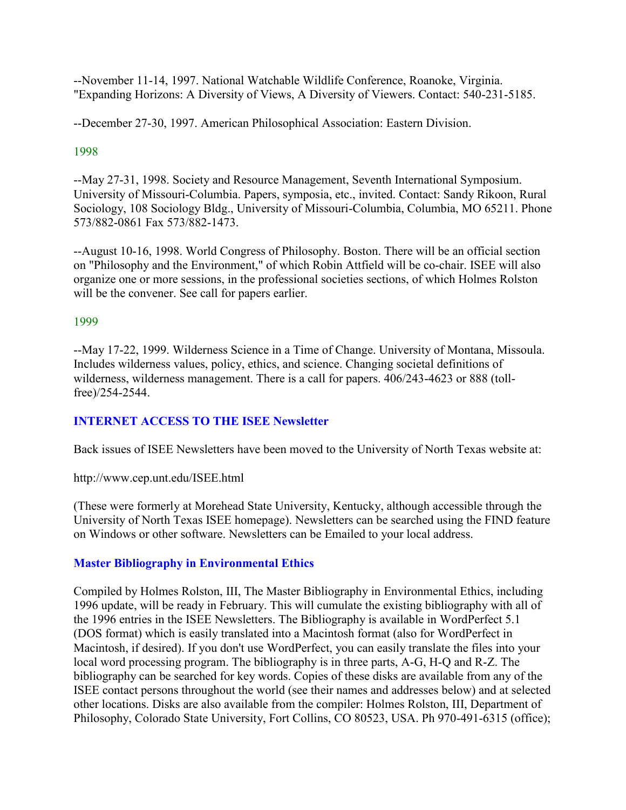--November 11-14, 1997. National Watchable Wildlife Conference, Roanoke, Virginia. "Expanding Horizons: A Diversity of Views, A Diversity of Viewers. Contact: 540-231-5185.

--December 27-30, 1997. American Philosophical Association: Eastern Division.

# 1998

--May 27-31, 1998. Society and Resource Management, Seventh International Symposium. University of Missouri-Columbia. Papers, symposia, etc., invited. Contact: Sandy Rikoon, Rural Sociology, 108 Sociology Bldg., University of Missouri-Columbia, Columbia, MO 65211. Phone 573/882-0861 Fax 573/882-1473.

--August 10-16, 1998. World Congress of Philosophy. Boston. There will be an official section on "Philosophy and the Environment," of which Robin Attfield will be co-chair. ISEE will also organize one or more sessions, in the professional societies sections, of which Holmes Rolston will be the convener. See call for papers earlier.

# 1999

--May 17-22, 1999. Wilderness Science in a Time of Change. University of Montana, Missoula. Includes wilderness values, policy, ethics, and science. Changing societal definitions of wilderness, wilderness management. There is a call for papers. 406/243-4623 or 888 (tollfree)/254-2544.

# **INTERNET ACCESS TO THE ISEE Newsletter**

Back issues of ISEE Newsletters have been moved to the University of North Texas website at:

http://www.cep.unt.edu/ISEE.html

(These were formerly at Morehead State University, Kentucky, although accessible through the University of North Texas ISEE homepage). Newsletters can be searched using the FIND feature on Windows or other software. Newsletters can be Emailed to your local address.

# **Master Bibliography in Environmental Ethics**

Compiled by Holmes Rolston, III, The Master Bibliography in Environmental Ethics, including 1996 update, will be ready in February. This will cumulate the existing bibliography with all of the 1996 entries in the ISEE Newsletters. The Bibliography is available in WordPerfect 5.1 (DOS format) which is easily translated into a Macintosh format (also for WordPerfect in Macintosh, if desired). If you don't use WordPerfect, you can easily translate the files into your local word processing program. The bibliography is in three parts, A-G, H-Q and R-Z. The bibliography can be searched for key words. Copies of these disks are available from any of the ISEE contact persons throughout the world (see their names and addresses below) and at selected other locations. Disks are also available from the compiler: Holmes Rolston, III, Department of Philosophy, Colorado State University, Fort Collins, CO 80523, USA. Ph 970-491-6315 (office);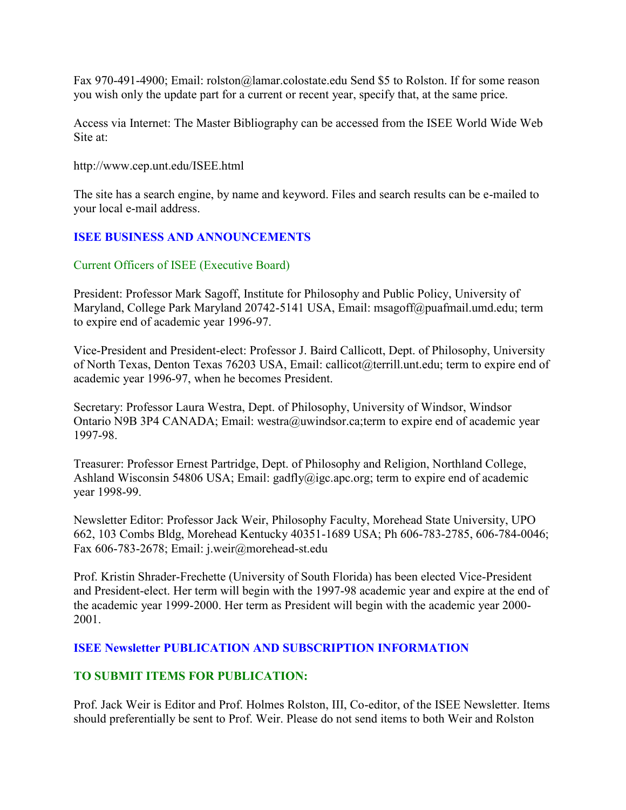Fax 970-491-4900; Email: rolston@lamar.colostate.edu Send \$5 to Rolston. If for some reason you wish only the update part for a current or recent year, specify that, at the same price.

Access via Internet: The Master Bibliography can be accessed from the ISEE World Wide Web Site at:

http://www.cep.unt.edu/ISEE.html

The site has a search engine, by name and keyword. Files and search results can be e-mailed to your local e-mail address.

### **ISEE BUSINESS AND ANNOUNCEMENTS**

### Current Officers of ISEE (Executive Board)

President: Professor Mark Sagoff, Institute for Philosophy and Public Policy, University of Maryland, College Park Maryland 20742-5141 USA, Email: msagoff@puafmail.umd.edu; term to expire end of academic year 1996-97.

Vice-President and President-elect: Professor J. Baird Callicott, Dept. of Philosophy, University of North Texas, Denton Texas 76203 USA, Email: callicot@terrill.unt.edu; term to expire end of academic year 1996-97, when he becomes President.

Secretary: Professor Laura Westra, Dept. of Philosophy, University of Windsor, Windsor Ontario N9B 3P4 CANADA; Email: westra@uwindsor.ca;term to expire end of academic year 1997-98.

Treasurer: Professor Ernest Partridge, Dept. of Philosophy and Religion, Northland College, Ashland Wisconsin 54806 USA; Email: gadfly@igc.apc.org; term to expire end of academic year 1998-99.

Newsletter Editor: Professor Jack Weir, Philosophy Faculty, Morehead State University, UPO 662, 103 Combs Bldg, Morehead Kentucky 40351-1689 USA; Ph 606-783-2785, 606-784-0046; Fax 606-783-2678; Email: j.weir@morehead-st.edu

Prof. Kristin Shrader-Frechette (University of South Florida) has been elected Vice-President and President-elect. Her term will begin with the 1997-98 academic year and expire at the end of the academic year 1999-2000. Her term as President will begin with the academic year 2000- 2001.

### **ISEE Newsletter PUBLICATION AND SUBSCRIPTION INFORMATION**

### **TO SUBMIT ITEMS FOR PUBLICATION:**

Prof. Jack Weir is Editor and Prof. Holmes Rolston, III, Co-editor, of the ISEE Newsletter. Items should preferentially be sent to Prof. Weir. Please do not send items to both Weir and Rolston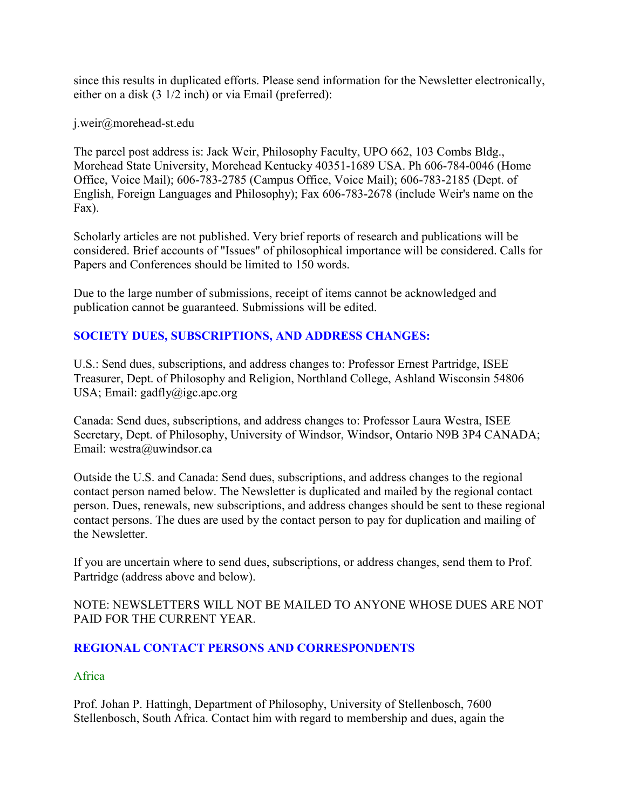since this results in duplicated efforts. Please send information for the Newsletter electronically, either on a disk (3 1/2 inch) or via Email (preferred):

j.weir@morehead-st.edu

The parcel post address is: Jack Weir, Philosophy Faculty, UPO 662, 103 Combs Bldg., Morehead State University, Morehead Kentucky 40351-1689 USA. Ph 606-784-0046 (Home Office, Voice Mail); 606-783-2785 (Campus Office, Voice Mail); 606-783-2185 (Dept. of English, Foreign Languages and Philosophy); Fax 606-783-2678 (include Weir's name on the Fax).

Scholarly articles are not published. Very brief reports of research and publications will be considered. Brief accounts of "Issues" of philosophical importance will be considered. Calls for Papers and Conferences should be limited to 150 words.

Due to the large number of submissions, receipt of items cannot be acknowledged and publication cannot be guaranteed. Submissions will be edited.

# **SOCIETY DUES, SUBSCRIPTIONS, AND ADDRESS CHANGES:**

U.S.: Send dues, subscriptions, and address changes to: Professor Ernest Partridge, ISEE Treasurer, Dept. of Philosophy and Religion, Northland College, Ashland Wisconsin 54806 USA; Email:  $\text{gadfly}(a)$ igc.apc.org

Canada: Send dues, subscriptions, and address changes to: Professor Laura Westra, ISEE Secretary, Dept. of Philosophy, University of Windsor, Windsor, Ontario N9B 3P4 CANADA; Email: westra@uwindsor.ca

Outside the U.S. and Canada: Send dues, subscriptions, and address changes to the regional contact person named below. The Newsletter is duplicated and mailed by the regional contact person. Dues, renewals, new subscriptions, and address changes should be sent to these regional contact persons. The dues are used by the contact person to pay for duplication and mailing of the Newsletter.

If you are uncertain where to send dues, subscriptions, or address changes, send them to Prof. Partridge (address above and below).

NOTE: NEWSLETTERS WILL NOT BE MAILED TO ANYONE WHOSE DUES ARE NOT PAID FOR THE CURRENT YEAR.

### **REGIONAL CONTACT PERSONS AND CORRESPONDENTS**

Africa

Prof. Johan P. Hattingh, Department of Philosophy, University of Stellenbosch, 7600 Stellenbosch, South Africa. Contact him with regard to membership and dues, again the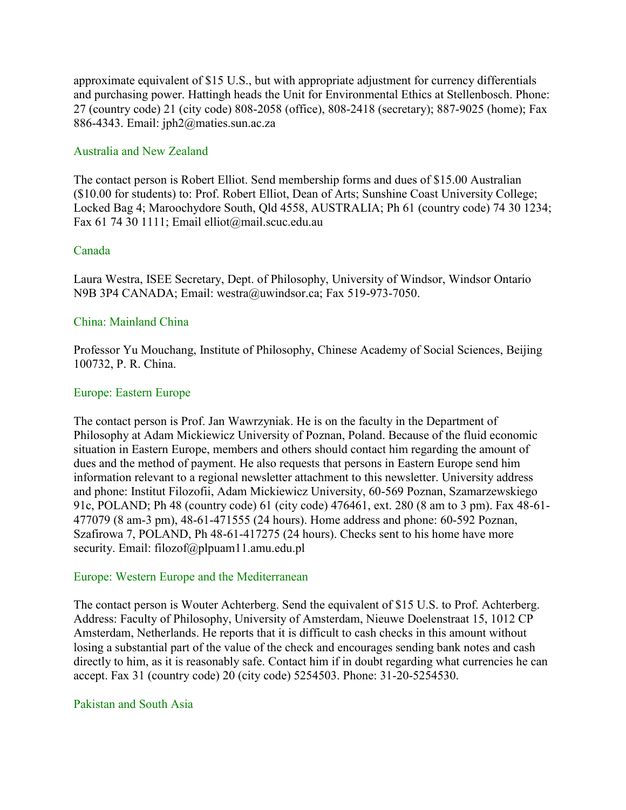approximate equivalent of \$15 U.S., but with appropriate adjustment for currency differentials and purchasing power. Hattingh heads the Unit for Environmental Ethics at Stellenbosch. Phone: 27 (country code) 21 (city code) 808-2058 (office), 808-2418 (secretary); 887-9025 (home); Fax 886-4343. Email: jph2@maties.sun.ac.za

#### Australia and New Zealand

The contact person is Robert Elliot. Send membership forms and dues of \$15.00 Australian (\$10.00 for students) to: Prof. Robert Elliot, Dean of Arts; Sunshine Coast University College; Locked Bag 4; Maroochydore South, Qld 4558, AUSTRALIA; Ph 61 (country code) 74 30 1234; Fax 61 74 30 1111; Email elliot@mail.scuc.edu.au

#### Canada

Laura Westra, ISEE Secretary, Dept. of Philosophy, University of Windsor, Windsor Ontario N9B 3P4 CANADA; Email: westra@uwindsor.ca; Fax 519-973-7050.

#### China: Mainland China

Professor Yu Mouchang, Institute of Philosophy, Chinese Academy of Social Sciences, Beijing 100732, P. R. China.

#### Europe: Eastern Europe

The contact person is Prof. Jan Wawrzyniak. He is on the faculty in the Department of Philosophy at Adam Mickiewicz University of Poznan, Poland. Because of the fluid economic situation in Eastern Europe, members and others should contact him regarding the amount of dues and the method of payment. He also requests that persons in Eastern Europe send him information relevant to a regional newsletter attachment to this newsletter. University address and phone: Institut Filozofii, Adam Mickiewicz University, 60-569 Poznan, Szamarzewskiego 91c, POLAND; Ph 48 (country code) 61 (city code) 476461, ext. 280 (8 am to 3 pm). Fax 48-61- 477079 (8 am-3 pm), 48-61-471555 (24 hours). Home address and phone: 60-592 Poznan, Szafirowa 7, POLAND, Ph 48-61-417275 (24 hours). Checks sent to his home have more security. Email: filozof@plpuam11.amu.edu.pl

#### Europe: Western Europe and the Mediterranean

The contact person is Wouter Achterberg. Send the equivalent of \$15 U.S. to Prof. Achterberg. Address: Faculty of Philosophy, University of Amsterdam, Nieuwe Doelenstraat 15, 1012 CP Amsterdam, Netherlands. He reports that it is difficult to cash checks in this amount without losing a substantial part of the value of the check and encourages sending bank notes and cash directly to him, as it is reasonably safe. Contact him if in doubt regarding what currencies he can accept. Fax 31 (country code) 20 (city code) 5254503. Phone: 31-20-5254530.

#### Pakistan and South Asia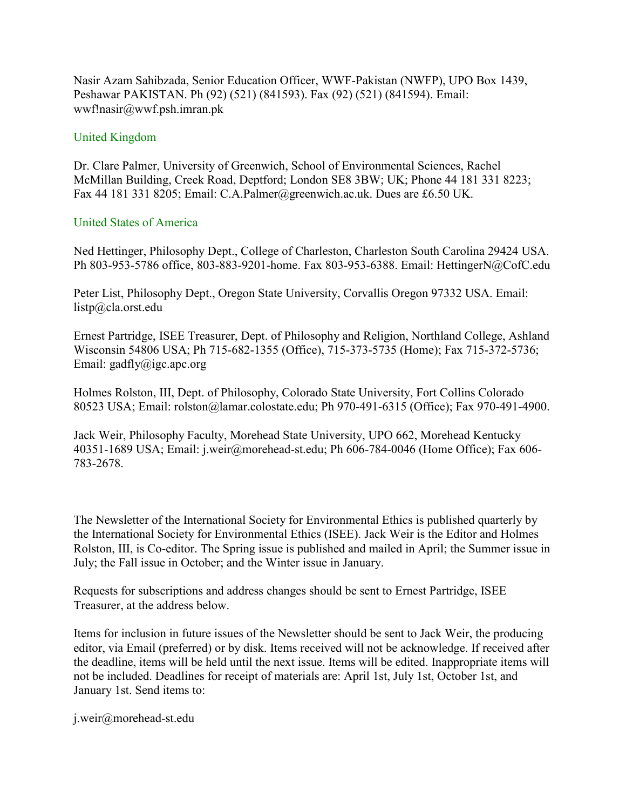Nasir Azam Sahibzada, Senior Education Officer, WWF-Pakistan (NWFP), UPO Box 1439, Peshawar PAKISTAN. Ph (92) (521) (841593). Fax (92) (521) (841594). Email: wwf!nasir@wwf.psh.imran.pk

#### United Kingdom

Dr. Clare Palmer, University of Greenwich, School of Environmental Sciences, Rachel McMillan Building, Creek Road, Deptford; London SE8 3BW; UK; Phone 44 181 331 8223; Fax 44 181 331 8205; Email: C.A.Palmer@greenwich.ac.uk. Dues are £6.50 UK.

#### United States of America

Ned Hettinger, Philosophy Dept., College of Charleston, Charleston South Carolina 29424 USA. Ph 803-953-5786 office, 803-883-9201-home. Fax 803-953-6388. Email: HettingerN@CofC.edu

Peter List, Philosophy Dept., Oregon State University, Corvallis Oregon 97332 USA. Email: listp@cla.orst.edu

Ernest Partridge, ISEE Treasurer, Dept. of Philosophy and Religion, Northland College, Ashland Wisconsin 54806 USA; Ph 715-682-1355 (Office), 715-373-5735 (Home); Fax 715-372-5736; Email: gadfly@igc.apc.org

Holmes Rolston, III, Dept. of Philosophy, Colorado State University, Fort Collins Colorado 80523 USA; Email: rolston@lamar.colostate.edu; Ph 970-491-6315 (Office); Fax 970-491-4900.

Jack Weir, Philosophy Faculty, Morehead State University, UPO 662, Morehead Kentucky 40351-1689 USA; Email: j.weir@morehead-st.edu; Ph 606-784-0046 (Home Office); Fax 606- 783-2678.

The Newsletter of the International Society for Environmental Ethics is published quarterly by the International Society for Environmental Ethics (ISEE). Jack Weir is the Editor and Holmes Rolston, III, is Co-editor. The Spring issue is published and mailed in April; the Summer issue in July; the Fall issue in October; and the Winter issue in January.

Requests for subscriptions and address changes should be sent to Ernest Partridge, ISEE Treasurer, at the address below.

Items for inclusion in future issues of the Newsletter should be sent to Jack Weir, the producing editor, via Email (preferred) or by disk. Items received will not be acknowledge. If received after the deadline, items will be held until the next issue. Items will be edited. Inappropriate items will not be included. Deadlines for receipt of materials are: April 1st, July 1st, October 1st, and January 1st. Send items to:

j.weir@morehead-st.edu